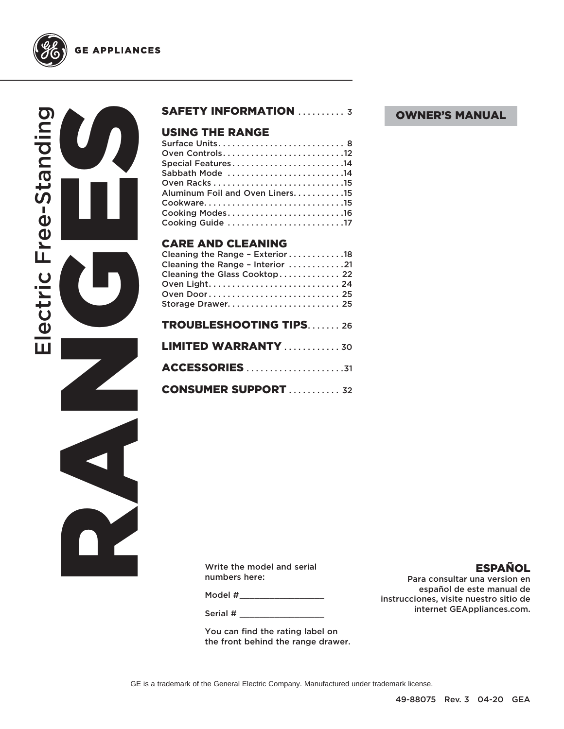

RANGES CONTROLL Electric Free-Standing lectric Free-Standing

### SAFETY INFORMATION .......... 3

### **USING THE RANGE**<br>Surface Units...........

| Oven Controls12                 |  |
|---------------------------------|--|
| Special Features14              |  |
| Sabbath Mode 14                 |  |
|                                 |  |
| Aluminum Foil and Oven Liners15 |  |
|                                 |  |
|                                 |  |
| Cooking Guide 17                |  |
|                                 |  |

### CARE AND CLEANING

| Cleaning the Range - Exterior 18<br>Cleaning the Range - Interior 21 |
|----------------------------------------------------------------------|
| Cleaning the Glass Cooktop 22<br>Oven Door 25                        |
| Storage Drawer 25<br><b>TROUBLESHOOTING TIPS26</b>                   |
| <b>LIMITED WARRANTY</b> 30                                           |
|                                                                      |
| <b>CONSUMER SUPPORT  32</b>                                          |

Write the model and serial numbers here:

Model #\_\_\_\_\_\_\_\_\_\_\_\_\_\_\_\_\_\_\_\_\_\_

Serial #

You can find the rating label on the front behind the range drawer. OWNER'S MANUAL

### ESPAÑOL

Para consultar una version en español de este manual de instrucciones, visite nuestro sitio de internet GEAppliances.com.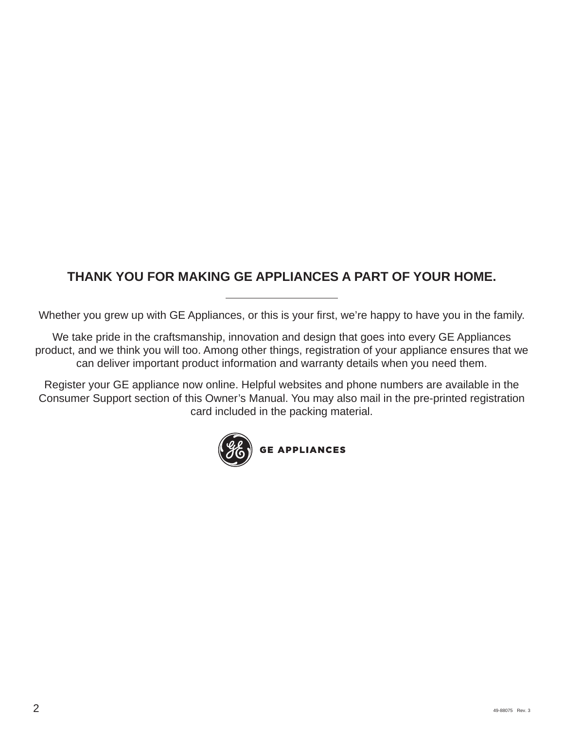### **THANK YOU FOR MAKING GE APPLIANCES A PART OF YOUR HOME.**

Whether you grew up with GE Appliances, or this is your first, we're happy to have you in the family.

We take pride in the craftsmanship, innovation and design that goes into every GE Appliances product, and we think you will too. Among other things, registration of your appliance ensures that we can deliver important product information and warranty details when you need them.

Register your GE appliance now online. Helpful websites and phone numbers are available in the Consumer Support section of this Owner's Manual. You may also mail in the pre-printed registration card included in the packing material.

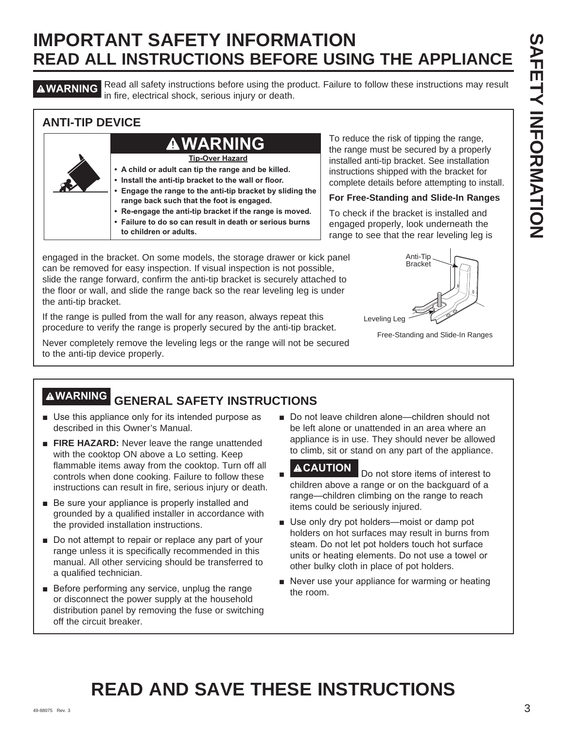**AWARNING** Read all safety instructions before using the product. Failure to follow these instructions may result in fire, electrical shock, serious injury or death.

### **ANTI-TIP DEVICE**

### **• A child or adult can tip the range and be killed. • Install the anti-tip bracket to the wall or floor. • Engage the range to the anti-tip bracket by sliding the range back such that the foot is engaged. • Re-engage the anti-tip bracket if the range is moved. • Failure to do so can result in death or serious burns to children or adults. Tip-Over Hazard WARNING**

To reduce the risk of tipping the range, the range must be secured by a properly installed anti-tip bracket. See installation instructions shipped with the bracket for complete details before attempting to install.

### **For Free-Standing and Slide-In Ranges**

To check if the bracket is installed and engaged properly, look underneath the range to see that the rear leveling leg is

engaged in the bracket. On some models, the storage drawer or kick panel can be removed for easy inspection. If visual inspection is not possible, slide the range forward, confirm the anti-tip bracket is securely attached to the floor or wall, and slide the range back so the rear leveling leg is under the anti-tip bracket.

If the range is pulled from the wall for any reason, always repeat this procedure to verify the range is properly secured by the anti-tip bracket.

Never completely remove the leveling legs or the range will not be secured to the anti-tip device properly.



Free-Standing and Slide-In Ranges

## **WARNING GENERAL SAFETY INSTRUCTIONS**

- $\blacksquare$  Use this appliance only for its intended purpose as described in this Owner's Manual.
- **FIRE HAZARD:** Never leave the range unattended with the cooktop ON above a Lo setting. Keep flammable items away from the cooktop. Turn off all controls when done cooking. Failure to follow these instructions can result in fire, serious injury or death.
- $\blacksquare$  Be sure your appliance is properly installed and grounded by a qualified installer in accordance with the provided installation instructions.
- $\blacksquare$  Do not attempt to repair or replace any part of your range unless it is specifically recommended in this manual. All other servicing should be transferred to a qualified technician.
- $\blacksquare$  Before performing any service, unplug the range or disconnect the power supply at the household distribution panel by removing the fuse or switching off the circuit breaker.

■ Do not leave children alone—children should not be left alone or unattended in an area where an appliance is in use. They should never be allowed to climb, sit or stand on any part of the appliance.

- Ŷ **ACAUTION** Do not store items of interest to children above a range or on the backguard of a range-children climbing on the range to reach items could be seriously injured.
- Use only dry pot holders-moist or damp pot holders on hot surfaces may result in burns from steam. Do not let pot holders touch hot surface units or heating elements. Do not use a towel or other bulky cloth in place of pot holders.
- Never use your appliance for warming or heating the room.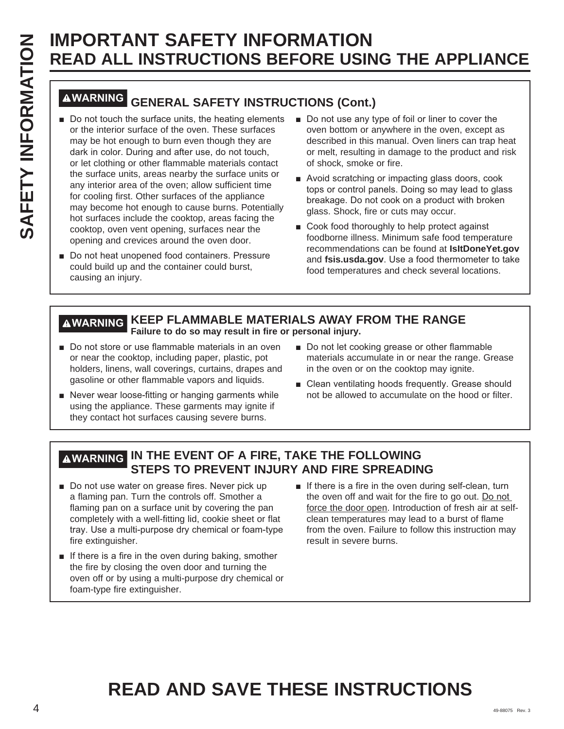# **WARNING GENERAL SAFETY INSTRUCTIONS (Cont.)**

- $\blacksquare$  Do not touch the surface units, the heating elements or the interior surface of the oven. These surfaces may be hot enough to burn even though they are dark in color. During and after use, do not touch, or let clothing or other flammable materials contact the surface units, areas nearby the surface units or any interior area of the oven; allow sufficient time for cooling first. Other surfaces of the appliance may become hot enough to cause burns. Potentially hot surfaces include the cooktop, areas facing the cooktop, oven vent opening, surfaces near the opening and crevices around the oven door.
- Do not heat unopened food containers. Pressure could build up and the container could burst, causing an injury.
- $\blacksquare$  Do not use any type of foil or liner to cover the oven bottom or anywhere in the oven, except as described in this manual. Oven liners can trap heat or melt, resulting in damage to the product and risk of shock, smoke or fire.
- Avoid scratching or impacting glass doors, cook tops or control panels. Doing so may lead to glass breakage. Do not cook on a product with broken glass. Shock, fire or cuts may occur.
- Cook food thoroughly to help protect against foodborne illness. Minimum safe food temperature recommendations can be found at **IsItDoneYet.gov** and **fsis.usda.gov**. Use a food thermometer to take food temperatures and check several locations.

### **WARNING KEEP FLAMMABLE MATERIALS AWAY FROM THE RANGE Failure to do so may result in fire or personal injury.**

- Do not store or use flammable materials in an oven or near the cooktop, including paper, plastic, pot holders, linens, wall coverings, curtains, drapes and gasoline or other flammable vapors and liquids.
- Never wear loose-fitting or hanging garments while using the appliance. These garments may ignite if they contact hot surfaces causing severe burns.
- Do not let cooking grease or other flammable materials accumulate in or near the range. Grease in the oven or on the cooktop may ignite.
- Clean ventilating hoods frequently. Grease should not be allowed to accumulate on the hood or filter.

### **WARNING IN THE EVENT OF A FIRE, TAKE THE FOLLOWING STEPS TO PREVENT INJURY AND FIRE SPREADING**

- Do not use water on grease fires. Never pick up a flaming pan. Turn the controls off. Smother a flaming pan on a surface unit by covering the pan completely with a well-fitting lid, cookie sheet or flat tray. Use a multi-purpose dry chemical or foam-type fire extinguisher.
- $\blacksquare$  If there is a fire in the oven during baking, smother the fire by closing the oven door and turning the oven off or by using a multi-purpose dry chemical or foam-type fire extinguisher.
- $\blacksquare$  If there is a fire in the oven during self-clean, turn the oven off and wait for the fire to go out. Do not force the door open. Introduction of fresh air at selfclean temperatures may lead to a burst of flame from the oven. Failure to follow this instruction may result in severe burns.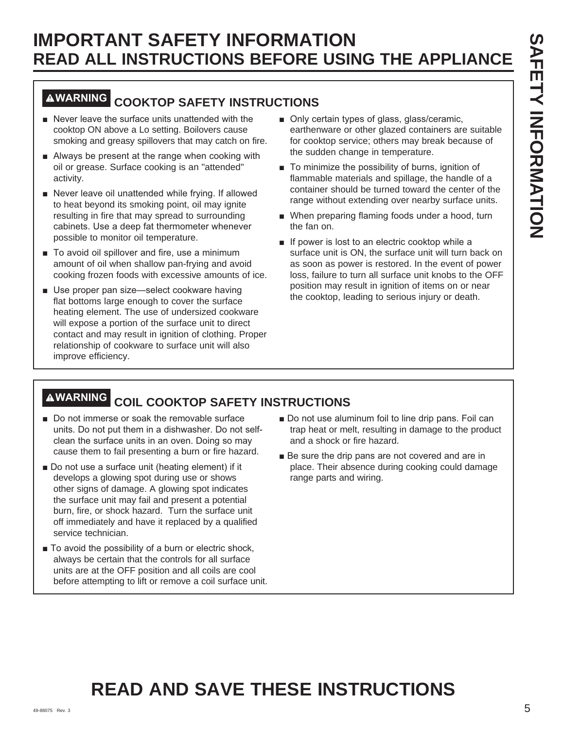### **WARNING COOKTOP SAFETY INSTRUCTIONS**

- Never leave the surface units unattended with the cooktop ON above a Lo setting. Boilovers cause smoking and greasy spillovers that may catch on fire.
- $\blacksquare$  Always be present at the range when cooking with oil or grease. Surface cooking is an "attended" activity.
- $\blacksquare$  Never leave oil unattended while frying. If allowed to heat beyond its smoking point, oil may ignite resulting in fire that may spread to surrounding cabinets. Use a deep fat thermometer whenever possible to monitor oil temperature.
- To avoid oil spillover and fire, use a minimum amount of oil when shallow pan-frying and avoid cooking frozen foods with excessive amounts of ice.
- Use proper pan size-select cookware having flat bottoms large enough to cover the surface heating element. The use of undersized cookware will expose a portion of the surface unit to direct contact and may result in ignition of clothing. Proper relationship of cookware to surface unit will also improve efficiency.
- Only certain types of glass, glass/ceramic, earthenware or other glazed containers are suitable for cooktop service; others may break because of the sudden change in temperature.
- $\blacksquare$  To minimize the possibility of burns, ignition of flammable materials and spillage, the handle of a container should be turned toward the center of the range without extending over nearby surface units.
- When preparing flaming foods under a hood, turn the fan on.
- $\blacksquare$  If power is lost to an electric cooktop while a surface unit is ON, the surface unit will turn back on as soon as power is restored. In the event of power loss, failure to turn all surface unit knobs to the OFF position may result in ignition of items on or near the cooktop, leading to serious injury or death.

## **WARNING COIL COOKTOP SAFETY INSTRUCTIONS**

- Do not immerse or soak the removable surface units. Do not put them in a dishwasher. Do not selfclean the surface units in an oven. Doing so may cause them to fail presenting a burn or fire hazard.
- Do not use a surface unit (heating element) if it develops a glowing spot during use or shows other signs of damage. A glowing spot indicates the surface unit may fail and present a potential burn, fire, or shock hazard. Turn the surface unit off immediately and have it replaced by a qualified service technician.
- $\blacksquare$  To avoid the possibility of a burn or electric shock, always be certain that the controls for all surface units are at the OFF position and all coils are cool before attempting to lift or remove a coil surface unit.
- Do not use aluminum foil to line drip pans. Foil can trap heat or melt, resulting in damage to the product and a shock or fire hazard.
- Be sure the drip pans are not covered and are in place. Their absence during cooking could damage range parts and wiring.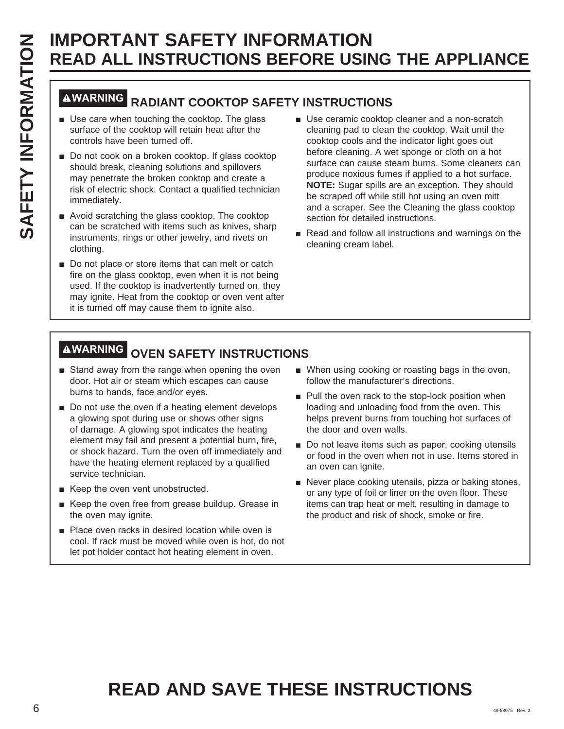# **WARNING RADIANT COOKTOP SAFETY INSTRUCTIONS**

- $\blacksquare$  Use care when touching the cooktop. The glass surface of the cooktop will retain heat after the controls have been turned off.
- Do not cook on a broken cooktop. If glass cooktop should break, cleaning solutions and spillovers may penetrate the broken cooktop and create a risk of electric shock. Contact a qualified technician immediately.
- $\blacksquare$  Avoid scratching the glass cooktop. The cooktop can be scratched with items such as knives, sharp instruments, rings or other jewelry, and rivets on clothing.
- Do not place or store items that can melt or catch fire on the glass cooktop, even when it is not being used. If the cooktop is inadvertently turned on, they may ignite. Heat from the cooktop or oven vent after it is turned off may cause them to ignite also.
- Use ceramic cooktop cleaner and a non-scratch cleaning pad to clean the cooktop. Wait until the cooktop cools and the indicator light goes out before cleaning. A wet sponge or cloth on a hot surface can cause steam burns. Some cleaners can produce noxious fumes if applied to a hot surface. **NOTE:** Sugar spills are an exception. They should be scraped off while still hot using an oven mitt and a scraper. See the Cleaning the glass cooktop section for detailed instructions.
- Read and follow all instructions and warnings on the cleaning cream label.

## **WARNING OVEN SAFETY INSTRUCTIONS**

- Stand away from the range when opening the oven door. Hot air or steam which escapes can cause burns to hands, face and/or eyes.
- Do not use the oven if a heating element develops a glowing spot during use or shows other signs of damage. A glowing spot indicates the heating element may fail and present a potential burn, fire, or shock hazard. Turn the oven off immediately and have the heating element replaced by a qualified service technician.
- $\blacksquare$  Keep the oven vent unobstructed.
- Keep the oven free from grease buildup. Grease in the oven may ignite.
- Place oven racks in desired location while oven is cool. If rack must be moved while oven is hot, do not let pot holder contact hot heating element in oven.
- When using cooking or roasting bags in the oven, follow the manufacturer's directions.
- Pull the oven rack to the stop-lock position when loading and unloading food from the oven. This helps prevent burns from touching hot surfaces of the door and oven walls.
- Do not leave items such as paper, cooking utensils or food in the oven when not in use. Items stored in an oven can ignite.
- Never place cooking utensils, pizza or baking stones, or any type of foil or liner on the oven floor. These items can trap heat or melt, resulting in damage to the product and risk of shock, smoke or fire.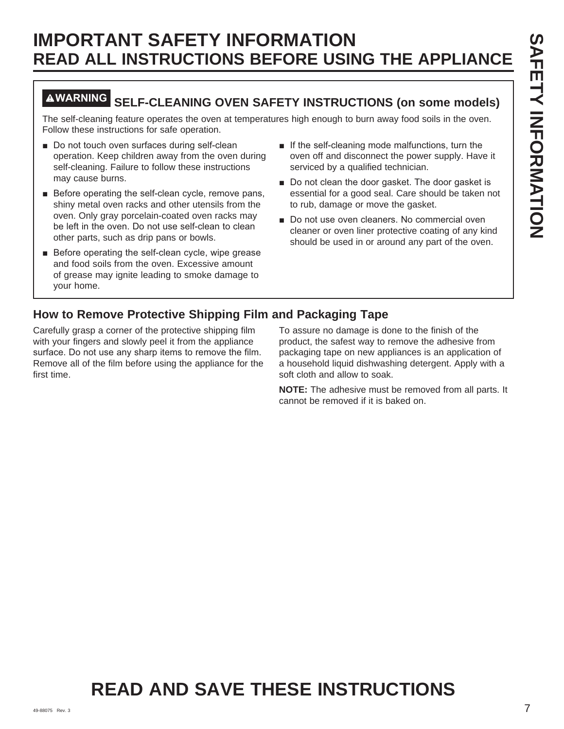### **WARNING SELF-CLEANING OVEN SAFETY INSTRUCTIONS (on some models)**

The self-cleaning feature operates the oven at temperatures high enough to burn away food soils in the oven. Follow these instructions for safe operation.

- Do not touch oven surfaces during self-clean operation. Keep children away from the oven during self-cleaning. Failure to follow these instructions may cause burns.
- $\blacksquare$  Before operating the self-clean cycle, remove pans, shiny metal oven racks and other utensils from the oven. Only gray porcelain-coated oven racks may be left in the oven. Do not use self-clean to clean other parts, such as drip pans or bowls.
- $\blacksquare$  Before operating the self-clean cycle, wipe grease and food soils from the oven. Excessive amount of grease may ignite leading to smoke damage to your home.
- $\blacksquare$  If the self-cleaning mode malfunctions, turn the oven off and disconnect the power supply. Have it serviced by a qualified technician.
- Do not clean the door gasket. The door gasket is essential for a good seal. Care should be taken not to rub, damage or move the gasket.
- Do not use oven cleaners. No commercial oven cleaner or oven liner protective coating of any kind should be used in or around any part of the oven.

### **How to Remove Protective Shipping Film and Packaging Tape**

Carefully grasp a corner of the protective shipping film with your fingers and slowly peel it from the appliance surface. Do not use any sharp items to remove the film. Remove all of the film before using the appliance for the first time.

To assure no damage is done to the finish of the product, the safest way to remove the adhesive from packaging tape on new appliances is an application of a household liquid dishwashing detergent. Apply with a soft cloth and allow to soak.

**NOTE:** The adhesive must be removed from all parts. It cannot be removed if it is baked on.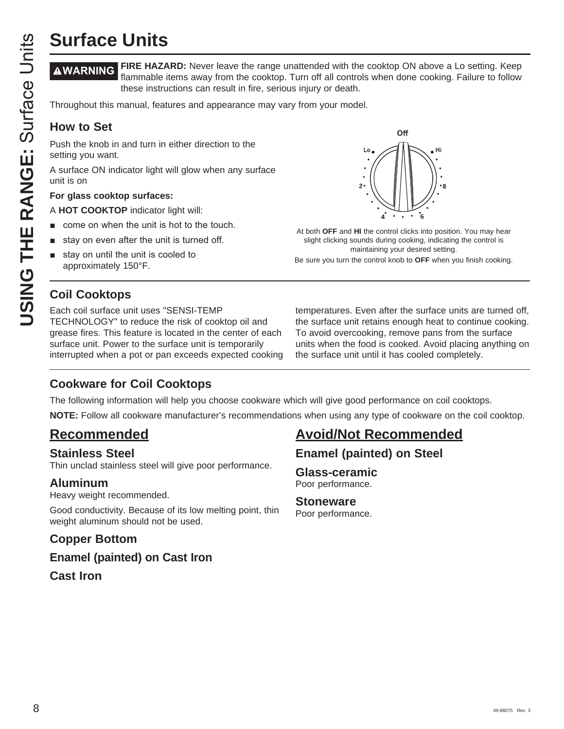**WARNING FIRE HAZARD:** Never leave the range unattended with the cooktop ON above a Lo setting. Keep flammable items away from the cooktop. Turn off all controls when done cooking. Failure to follow these instructions can result in fire, serious injury or death.

Throughout this manual, features and appearance may vary from your model.

### **How to Set**

Push the knob in and turn in either direction to the setting you want.

A surface ON indicator light will glow when any surface unit is on

### **For glass cooktop surfaces:**

- A **HOT COOKTOP** indicator light will:
- come on when the unit is hot to the touch.
- stay on even after the unit is turned off.
- stay on until the unit is cooled to approximately 150°F.

### **Coil Cooktops**

Each coil surface unit uses "SENSI-TEMP TECHNOLOGY" to reduce the risk of cooktop oil and grease fires. This feature is located in the center of each surface unit. Power to the surface unit is temporarily interrupted when a pot or pan exceeds expected cooking



At both **OFF** and **HI** the control clicks into position. You may hear slight clicking sounds during cooking, indicating the control is maintaining your desired setting.

Be sure you turn the control knob to **OFF** when you finish cooking.

temperatures. Even after the surface units are turned off, the surface unit retains enough heat to continue cooking. To avoid overcooking, remove pans from the surface units when the food is cooked. Avoid placing anything on the surface unit until it has cooled completely.

### **Cookware for Coil Cooktops**

The following information will help you choose cookware which will give good performance on coil cooktops.

**NOTE:** Follow all cookware manufacturer's recommendations when using any type of cookware on the coil cooktop.

### **Recommended**

### **Stainless Steel**

Thin unclad stainless steel will give poor performance.

### **Aluminum**

Heavy weight recommended.

Good conductivity. Because of its low melting point, thin weight aluminum should not be used.

### **Copper Bottom**

**Enamel (painted) on Cast Iron Cast Iron**

### **Avoid/Not Recommended**

**Enamel (painted) on Steel**

**Glass-ceramic** Poor performance.

#### **Stoneware** Poor performance.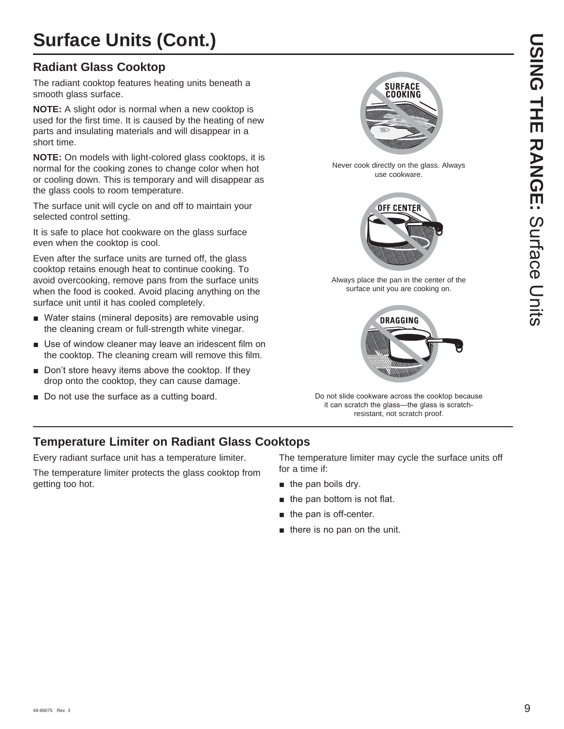# **Surface Units (Cont.)**

### **Radiant Glass Cooktop**

The radiant cooktop features heating units beneath a smooth glass surface.

**NOTE:** A slight odor is normal when a new cooktop is used for the first time. It is caused by the heating of new parts and insulating materials and will disappear in a short time.

**NOTE:** On models with light-colored glass cooktops, it is normal for the cooking zones to change color when hot or cooling down. This is temporary and will disappear as the glass cools to room temperature.

The surface unit will cycle on and off to maintain your selected control setting.

It is safe to place hot cookware on the glass surface even when the cooktop is cool.

Even after the surface units are turned off, the glass cooktop retains enough heat to continue cooking. To avoid overcooking, remove pans from the surface units when the food is cooked. Avoid placing anything on the surface unit until it has cooled completely.

- Water stains (mineral deposits) are removable using the cleaning cream or full-strength white vinegar.
- Use of window cleaner may leave an iridescent film on the cooktop. The cleaning cream will remove this film.
- Don't store heavy items above the cooktop. If they drop onto the cooktop, they can cause damage.
- Do not use the surface as a cutting board.



Never cook directly on the glass. Always use cookware.



Always place the pan in the center of the surface unit you are cooking on.



Do not slide cookware across the cooktop because it can scratch the glass-the glass is scratchresistant, not scratch proof.

### **Temperature Limiter on Radiant Glass Cooktops**

Every radiant surface unit has a temperature limiter.

The temperature limiter protects the glass cooktop from getting too hot.

The temperature limiter may cycle the surface units off for a time if:

- $\blacksquare$  the pan boils dry.
- $\blacksquare$  the pan bottom is not flat.
- the pan is off-center.
- $\blacksquare$  there is no pan on the unit.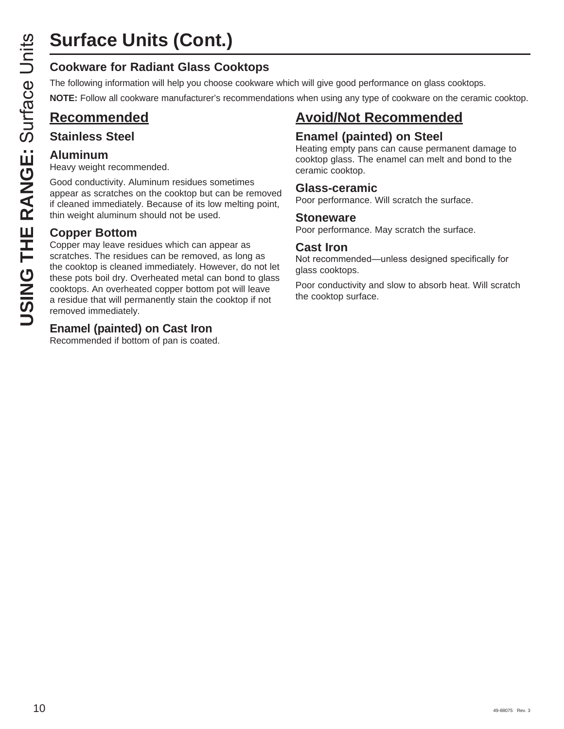The following information will help you choose cookware which will give good performance on glass cooktops.

**NOTE:** Follow all cookware manufacturer's recommendations when using any type of cookware on the ceramic cooktop.

### **Recommended**

### **Stainless Steel**

### **Aluminum**

Heavy weight recommended.

Good conductivity. Aluminum residues sometimes appear as scratches on the cooktop but can be removed if cleaned immediately. Because of its low melting point, thin weight aluminum should not be used.

### **Copper Bottom**

**USING THE RANGE SURVER CONSTRESS COOKTORS**<br>
The following information will help you choose cookwar<br>
NOTE: Follow all cookware manufacturer's recommence<br> **Recommended**<br> **USING THE RANGE STANGE SECUTE:**<br> **USING COON** Coordi Copper may leave residues which can appear as scratches. The residues can be removed, as long as the cooktop is cleaned immediately. However, do not let these pots boil dry. Overheated metal can bond to glass cooktops. An overheated copper bottom pot will leave a residue that will permanently stain the cooktop if not removed immediately.

### **Enamel (painted) on Cast Iron**

Recommended if bottom of pan is coated.

### **Avoid/Not Recommended**

### **Enamel (painted) on Steel**

Heating empty pans can cause permanent damage to cooktop glass. The enamel can melt and bond to the ceramic cooktop.

### **Glass-ceramic**

Poor performance. Will scratch the surface.

### **Stoneware**

Poor performance. May scratch the surface.

### **Cast Iron**

Not recommended—unless designed specifically for glass cooktops.

Poor conductivity and slow to absorb heat. Will scratch the cooktop surface.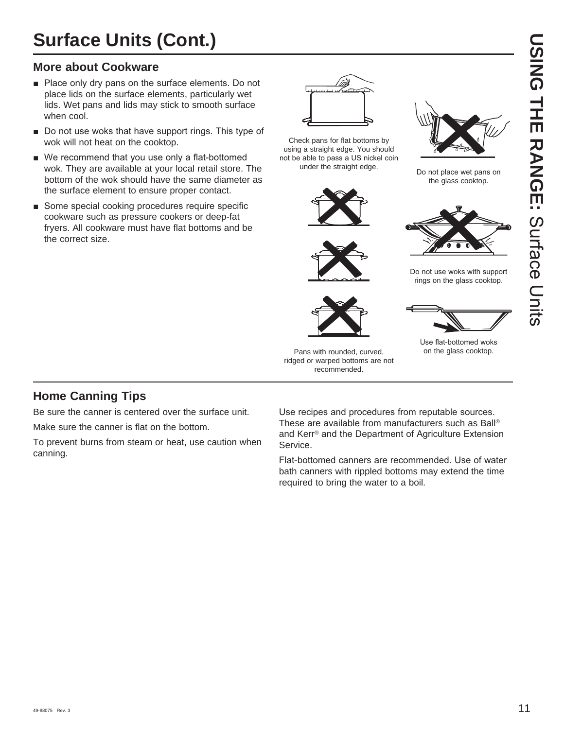# **Surface Units (Cont.)**

### **More about Cookware**

- $\blacksquare$  Place only dry pans on the surface elements. Do not place lids on the surface elements, particularly wet lids. Wet pans and lids may stick to smooth surface when cool.
- Do not use woks that have support rings. This type of wok will not heat on the cooktop.
- $\blacksquare$  We recommend that you use only a flat-bottomed wok. They are available at your local retail store. The bottom of the wok should have the same diameter as the surface element to ensure proper contact.
- Some special cooking procedures require specific cookware such as pressure cookers or deep-fat fryers. All cookware must have flat bottoms and be the correct size.



Check pans for flat bottoms by using a straight edge. You should not be able to pass a US nickel coin under the straight edge.





Do not place wet pans on the glass cooktop.



Do not use woks with support rings on the glass cooktop.



Use flat-bottomed woks on the glass cooktop.

#### Pans with rounded, curved, ridged or warped bottoms are not recommended.

### **Home Canning Tips**

Be sure the canner is centered over the surface unit. Make sure the canner is flat on the bottom.

To prevent burns from steam or heat, use caution when canning.

Use recipes and procedures from reputable sources. These are available from manufacturers such as Ball® and Kerr® and the Department of Agriculture Extension Service.

Flat-bottomed canners are recommended. Use of water bath canners with rippled bottoms may extend the time required to bring the water to a boil.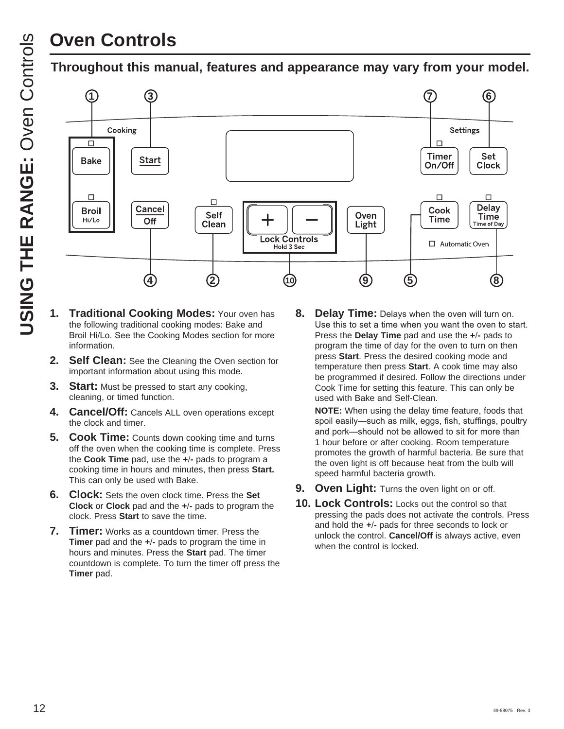# **Oven Controls**

### **Throughout this manual, features and appearance may vary from your model.**



- **1. Traditional Cooking Modes:** Your oven has the following traditional cooking modes: Bake and Broil Hi/Lo. See the Cooking Modes section for more information.
- **2. Self Clean:** See the Cleaning the Oven section for important information about using this mode.
- **3. Start:** Must be pressed to start any cooking, cleaning, or timed function.
- **4. Cancel/Off:** Cancels ALL oven operations except the clock and timer.
- **5. Cook Time:** Counts down cooking time and turns off the oven when the cooking time is complete. Press the **Cook Time** pad, use the **+-** pads to program a cooking time in hours and minutes, then press **Start.** This can only be used with Bake.
- **6. Clock:** Sets the oven clock time. Press the **Set Clock** or **Clock** pad and the **+-** pads to program the clock. Press **Start** to save the time.
- **7. Timer:** Works as a countdown timer. Press the **Timer** pad and the **+-** pads to program the time in hours and minutes. Press the **Start** pad. The timer countdown is complete. To turn the timer off press the **Timer** pad.

**8. Delay Time:** Delays when the oven will turn on. Use this to set a time when you want the oven to start. Press the **Delay Time** pad and use the **+-** pads to program the time of day for the oven to turn on then press **Start**. Press the desired cooking mode and temperature then press **Start**. A cook time may also be programmed if desired. Follow the directions under Cook Time for setting this feature. This can only be used with Bake and Self-Clean.

 **NOTE:** When using the delay time feature, foods that spoil easily-such as milk, eggs, fish, stuffings, poultry and pork-should not be allowed to sit for more than 1 hour before or after cooking. Room temperature promotes the growth of harmful bacteria. Be sure that the oven light is off because heat from the bulb will speed harmful bacteria growth.

- **9. Oven Light:** Turns the oven light on or off.
- **10. Lock Controls:** Locks out the control so that pressing the pads does not activate the controls. Press and hold the **+-** pads for three seconds to lock or unlock the control. **Cancel/Off** is always active, even when the control is locked.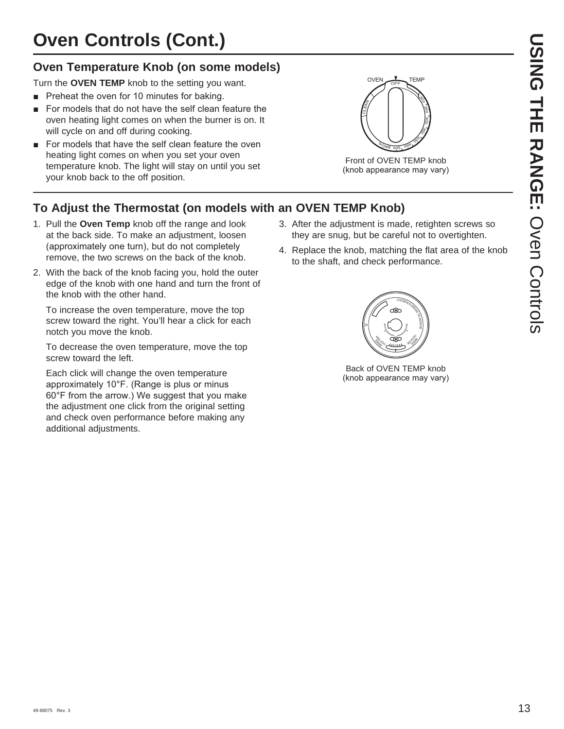### **Oven Temperature Knob (on some models)**

Turn the **OVEN TEMP** knob to the setting you want.

- Preheat the oven for 10 minutes for baking.
- For models that do not have the self clean feature the oven heating light comes on when the burner is on. It will cycle on and off during cooking.
- For models that have the self clean feature the oven heating light comes on when you set your oven temperature knob. The light will stay on until you set your knob back to the off position.



Front of OVEN TEMP knob (knob appearance may vary)

### **To Adjust the Thermostat (on models with an OVEN TEMP Knob)**

- 1. Pull the **Oven Temp** knob off the range and look at the back side. To make an adjustment, loosen (approximately one turn), but do not completely remove, the two screws on the back of the knob.
- 2. With the back of the knob facing you, hold the outer edge of the knob with one hand and turn the front of the knob with the other hand.

 To increase the oven temperature, move the top screw toward the right. You'll hear a click for each notch you move the knob.

 To decrease the oven temperature, move the top screw toward the left.

 Each click will change the oven temperature approximately 10°F. (Range is plus or minus  $60^\circ$ F from the arrow.) We suggest that you make the adjustment one click from the original setting and check oven performance before making any additional adjustments.

- 3. After the adjustment is made, retighten screws so they are snug, but be careful not to overtighten.
- 4. Replace the knob, matching the flat area of the knob to the shaft, and check performance.



Back of OVEN TEMP knob (knob appearance may vary)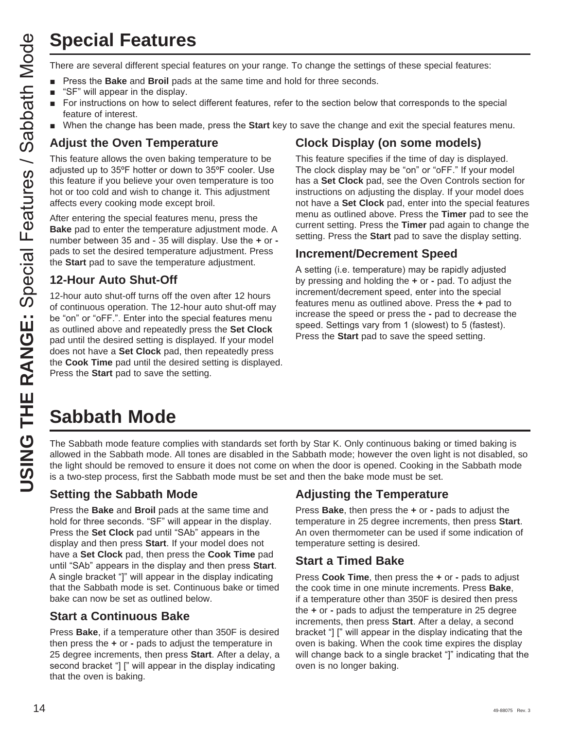# **Special Features**

- Press the **Bake** and **Broil** pads at the same time and hold for three seconds.
- $\blacksquare$  "SF" will appear in the display.
- **F** For instructions on how to select different features, refer to the section below that corresponds to the special feature of interest.
- **Number 1** when the change has been made, press the **Start** key to save the change and exit the special features menu.

### **Adjust the Oven Temperature**

This feature allows the oven baking temperature to be adjusted up to  $35^{\circ}$ F hotter or down to  $35^{\circ}$ F cooler. Use this feature if you believe your oven temperature is too hot or too cold and wish to change it. This adjustment affects every cooking mode except broil.

After entering the special features menu, press the **Bake** pad to enter the temperature adjustment mode. A number between 35 and - 35 will display. Use the  $+$  or  $$ pads to set the desired temperature adjustment. Press the **Start** pad to save the temperature adjustment.

### **12-Hour Auto Shut-Off**

**USING THE RANGE:**<br>
There are several different special features on your range. To change the seconds.<br> **Let there are some and a bottle properties** and the seconds for the seconds.<br> **Let the SHELDON STRANGE:**<br> **Let there** 12-hour auto shut-off turns off the oven after 12 hours of continuous operation. The 12-hour auto shut-off may be "on" or "oFF.". Enter into the special features menu as outlined above and repeatedly press the **Set Clock** pad until the desired setting is displayed. If your model does not have a **Set Clock** pad, then repeatedly press the **Cook Time** pad until the desired setting is displayed. Press the **Start** pad to save the setting.

### **Clock Display (on some models)**

This feature specifies if the time of day is displayed. The clock display may be "on" or "oFF." If your model has a **Set Clock** pad, see the Oven Controls section for instructions on adjusting the display. If your model does not have a **Set Clock** pad, enter into the special features menu as outlined above. Press the **Timer** pad to see the current setting. Press the **Timer** pad again to change the setting. Press the **Start** pad to save the display setting.

### **Increment/Decrement Speed**

A setting (i.e. temperature) may be rapidly adjusted by pressing and holding the **+** or **-** pad. To adjust the increment/decrement speed, enter into the special features menu as outlined above. Press the **+** pad to increase the speed or press the **-** pad to decrease the speed. Settings vary from 1 (slowest) to 5 (fastest). Press the **Start** pad to save the speed setting.

# **Sabbath Mode**

The Sabbath mode feature complies with standards set forth by Star K. Only continuous baking or timed baking is allowed in the Sabbath mode. All tones are disabled in the Sabbath mode; however the oven light is not disabled, so the light should be removed to ensure it does not come on when the door is opened. Cooking in the Sabbath mode is a two-step process, first the Sabbath mode must be set and then the bake mode must be set.

### **Setting the Sabbath Mode**

Press the **Bake** and **Broil** pads at the same time and hold for three seconds. "SF" will appear in the display. Press the **Set Clock** pad until "SAb" appears in the display and then press **Start**. If your model does not have a **Set Clock** pad, then press the **Cook Time** pad until "SAb" appears in the display and then press **Start**. A single bracket "]" will appear in the display indicating that the Sabbath mode is set. Continuous bake or timed bake can now be set as outlined below.

### **Start a Continuous Bake**

Press **Bake**, if a temperature other than 350F is desired then press the **+** or **-** pads to adjust the temperature in 25 degree increments, then press **Start**. After a delay, a second bracket "] [" will appear in the display indicating that the oven is baking.

### **Adjusting the Temperature**

Press **Bake**, then press the **+** or **-** pads to adjust the temperature in 25 degree increments, then press **Start**. An oven thermometer can be used if some indication of temperature setting is desired.

### **Start a Timed Bake**

Press **Cook Time**, then press the **+** or **-** pads to adjust the cook time in one minute increments. Press **Bake**, if a temperature other than 350F is desired then press the **+** or **-** pads to adjust the temperature in 25 degree increments, then press **Start**. After a delay, a second bracket "] [" will appear in the display indicating that the oven is baking. When the cook time expires the display will change back to a single bracket "]" indicating that the oven is no longer baking.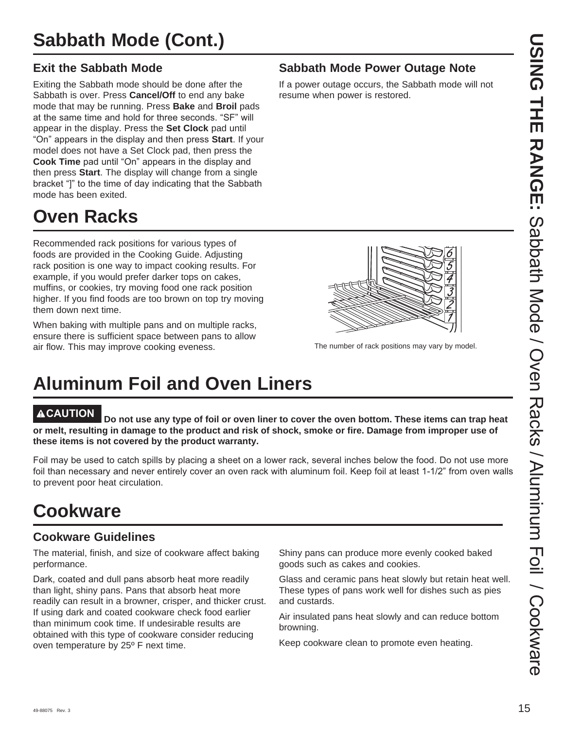### **Exit the Sabbath Mode**

Exiting the Sabbath mode should be done after the Sabbath is over. Press **Cancel/Off** to end any bake mode that may be running. Press **Bake** and **Broil** pads at the same time and hold for three seconds. "SF" will appear in the display. Press the **Set Clock** pad until "On" appears in the display and then press **Start**. If your model does not have a Set Clock pad, then press the **Cook Time** pad until "On" appears in the display and then press **Start**. The display will change from a single bracket "I" to the time of day indicating that the Sabbath mode has been exited.

# **Oven Racks**

Recommended rack positions for various types of foods are provided in the Cooking Guide. Adjusting rack position is one way to impact cooking results. For example, if you would prefer darker tops on cakes, muffins, or cookies, try moving food one rack position higher. If you find foods are too brown on top try moving them down next time.

When baking with multiple pans and on multiple racks, ensure there is sufficient space between pans to allow air flow. This may improve cooking eveness.

# **Aluminum Foil and Oven Liners**

**CAUTION Do not use any type of foil or oven liner to cover the oven bottom. These items can trap heat or melt, resulting in damage to the product and risk of shock, smoke or fire. Damage from improper use of these items is not covered by the product warranty.** 

Foil may be used to catch spills by placing a sheet on a lower rack, several inches below the food. Do not use more foil than necessary and never entirely cover an oven rack with aluminum foil. Keep foil at least 1-1/2" from oven walls to prevent poor heat circulation.

## **Cookware**

### **Cookware Guidelines**

The material, finish, and size of cookware affect baking performance.

Dark, coated and dull pans absorb heat more readily than light, shiny pans. Pans that absorb heat more readily can result in a browner, crisper, and thicker crust. If using dark and coated cookware check food earlier than minimum cook time. If undesirable results are obtained with this type of cookware consider reducing oven temperature by 25º F next time.

Shiny pans can produce more evenly cooked baked goods such as cakes and cookies.

Glass and ceramic pans heat slowly but retain heat well. These types of pans work well for dishes such as pies and custards.

Air insulated pans heat slowly and can reduce bottom browning.

Keep cookware clean to promote even heating.



If a power outage occurs, the Sabbath mode will not resume when power is restored.



The number of rack positions may vary by model.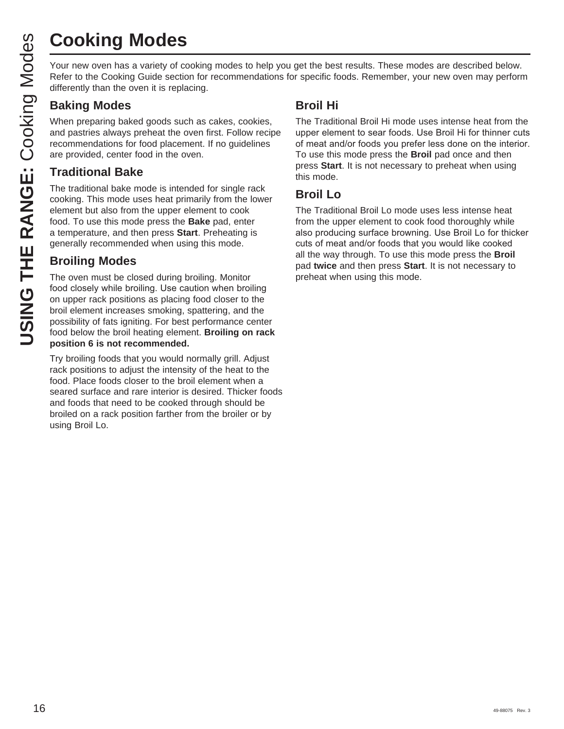# **Cooking Modes**

Your new oven has a variety of cooking modes to help you get the best results. These modes are described below. Refer to the Cooking Guide section for recommendations for specific foods. Remember, your new oven may perform differently than the oven it is replacing.

### **Baking Modes**

When preparing baked goods such as cakes, cookies, and pastries always preheat the oven first. Follow recipe recommendations for food placement. If no guidelines are provided, center food in the oven.

### **Traditional Bake**

The traditional bake mode is intended for single rack cooking. This mode uses heat primarily from the lower element but also from the upper element to cook food. To use this mode press the **Bake** pad, enter a temperature, and then press **Start**. Preheating is generally recommended when using this mode.

### **Broiling Modes**

The oven must be closed during broiling. Monitor food closely while broiling. Use caution when broiling on upper rack positions as placing food closer to the broil element increases smoking, spattering, and the possibility of fats igniting. For best performance center food below the broil heating element. **Broiling on rack position 6 is not recommended.**

Try broiling foods that you would normally grill. Adjust rack positions to adjust the intensity of the heat to the food. Place foods closer to the broil element when a seared surface and rare interior is desired. Thicker foods and foods that need to be cooked through should be broiled on a rack position farther from the broiler or by using Broil Lo.

### **Broil Hi**

The Traditional Broil Hi mode uses intense heat from the upper element to sear foods. Use Broil Hi for thinner cuts of meat and/or foods you prefer less done on the interior. To use this mode press the **Broil** pad once and then press **Start**. It is not necessary to preheat when using this mode.

### **Broil Lo**

The Traditional Broil Lo mode uses less intense heat from the upper element to cook food thoroughly while also producing surface browning. Use Broil Lo for thicker cuts of meat and/or foods that you would like cooked all the way through. To use this mode press the **Broil** pad **twice** and then press **Start**. It is not necessary to preheat when using this mode.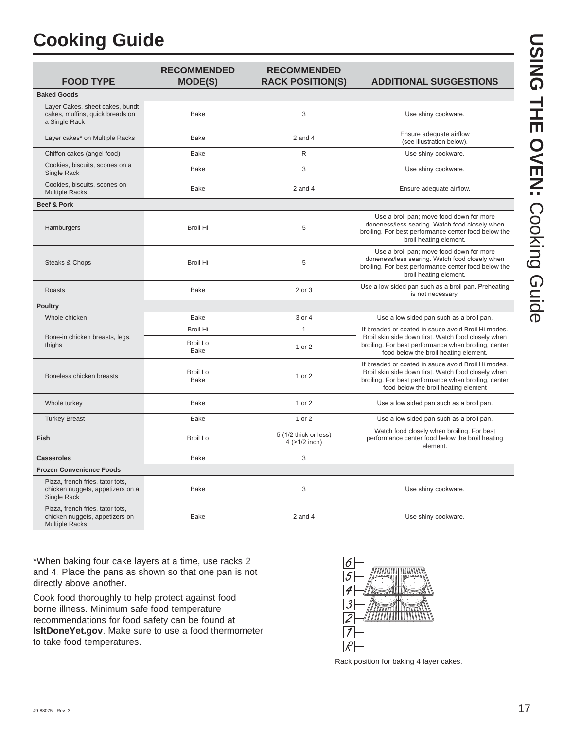# **Cooking Guide**

| <b>FOOD TYPE</b>                                                                            | <b>RECOMMENDED</b><br><b>MODE(S)</b> | <b>RECOMMENDED</b><br><b>RACK POSITION(S)</b> | <b>ADDITIONAL SUGGESTIONS</b>                                                                                                                                                                              |
|---------------------------------------------------------------------------------------------|--------------------------------------|-----------------------------------------------|------------------------------------------------------------------------------------------------------------------------------------------------------------------------------------------------------------|
| <b>Baked Goods</b>                                                                          |                                      |                                               |                                                                                                                                                                                                            |
| Layer Cakes, sheet cakes, bundt<br>cakes, muffins, quick breads on<br>a Single Rack         | <b>Bake</b>                          | 3                                             | Use shiny cookware.                                                                                                                                                                                        |
| Layer cakes* on Multiple Racks                                                              | <b>Bake</b>                          | $2$ and $4$                                   | Ensure adequate airflow<br>(see illustration below).                                                                                                                                                       |
| Chiffon cakes (angel food)                                                                  | <b>Bake</b>                          | $\mathsf{R}$                                  | Use shiny cookware.                                                                                                                                                                                        |
| Cookies, biscuits, scones on a<br>Single Rack                                               | <b>Bake</b>                          | 3                                             | Use shiny cookware.                                                                                                                                                                                        |
| Cookies, biscuits, scones on<br><b>Multiple Racks</b>                                       | Bake                                 | $2$ and $4$                                   | Ensure adequate airflow.                                                                                                                                                                                   |
| Beef & Pork                                                                                 |                                      |                                               |                                                                                                                                                                                                            |
| Hamburgers                                                                                  | <b>Broil Hi</b>                      | 5                                             | Use a broil pan; move food down for more<br>doneness/less searing. Watch food closely when<br>broiling. For best performance center food below the<br>broil heating element.                               |
| Steaks & Chops                                                                              | <b>Broil Hi</b>                      | 5                                             | Use a broil pan; move food down for more<br>doneness/less searing. Watch food closely when<br>broiling. For best performance center food below the<br>broil heating element.                               |
| Roasts                                                                                      | <b>Bake</b>                          | 2 or 3                                        | Use a low sided pan such as a broil pan. Preheating<br>is not necessary.                                                                                                                                   |
| <b>Poultry</b>                                                                              |                                      |                                               |                                                                                                                                                                                                            |
| Whole chicken                                                                               | <b>Bake</b>                          | 3 or 4                                        | Use a low sided pan such as a broil pan.                                                                                                                                                                   |
| Bone-in chicken breasts, legs,                                                              | <b>Broil Hi</b>                      | $\mathbf{1}$                                  | If breaded or coated in sauce avoid Broil Hi modes.<br>Broil skin side down first. Watch food closely when                                                                                                 |
| thighs                                                                                      | Broil Lo<br><b>Bake</b>              | 1 or 2                                        | broiling. For best performance when broiling, center<br>food below the broil heating element.                                                                                                              |
| Boneless chicken breasts                                                                    | <b>Broil Lo</b><br><b>Bake</b>       | 1 or 2                                        | If breaded or coated in sauce avoid Broil Hi modes.<br>Broil skin side down first. Watch food closely when<br>broiling. For best performance when broiling, center<br>food below the broil heating element |
| Whole turkey                                                                                | <b>Bake</b>                          | 1 or 2                                        | Use a low sided pan such as a broil pan.                                                                                                                                                                   |
| <b>Turkey Breast</b>                                                                        | <b>Bake</b>                          | 1 or 2                                        | Use a low sided pan such as a broil pan.                                                                                                                                                                   |
| Fish                                                                                        | <b>Broil Lo</b>                      | 5 (1/2 thick or less)<br>4 (>1/2 inch)        | Watch food closely when broiling. For best<br>performance center food below the broil heating<br>element.                                                                                                  |
| <b>Casseroles</b>                                                                           | <b>Bake</b>                          | 3                                             |                                                                                                                                                                                                            |
| <b>Frozen Convenience Foods</b>                                                             |                                      |                                               |                                                                                                                                                                                                            |
| Pizza, french fries, tator tots,<br>chicken nuggets, appetizers on a<br>Single Rack         | <b>Bake</b>                          | 3                                             | Use shiny cookware.                                                                                                                                                                                        |
| Pizza, french fries, tator tots,<br>chicken nuggets, appetizers on<br><b>Multiple Racks</b> | <b>Bake</b>                          | $2$ and $4$                                   | Use shiny cookware.                                                                                                                                                                                        |

\*When baking four cake layers at a time, use racks 2 and 4. Place the pans as shown so that one pan is not directly above another.

Cook food thoroughly to help protect against food borne illness. Minimum safe food temperature recommendations for food safety can be found at **IsItDoneYet.gov**. Make sure to use a food thermometer to take food temperatures.



Rack position for baking 4 layer cakes.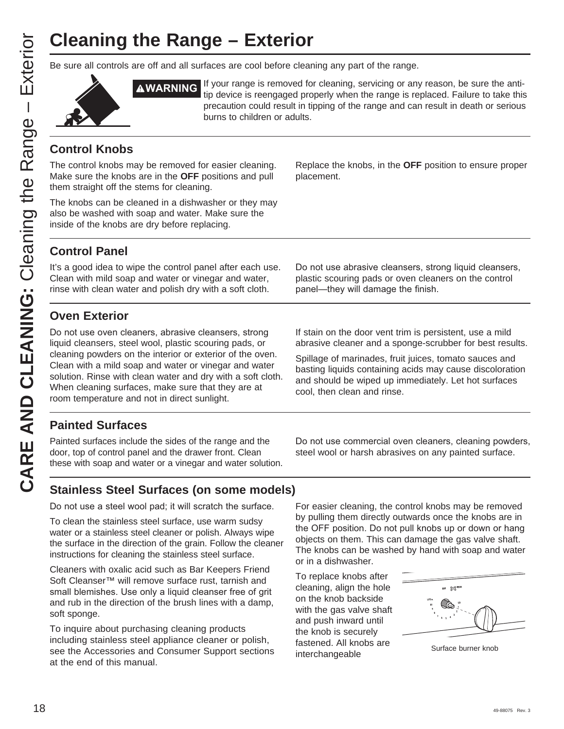# **Cleaning the Range – Exterior**

Be sure all controls are off and all surfaces are cool before cleaning any part of the range.



**AWARNING** If your range is removed for cleaning, servicing or any reason, be sure the antitip device is reengaged properly when the range is replaced. Failure to take this precaution could result in tipping of the range and can result in death or serious burns to children or adults.

### **Control Knobs**

The control knobs may be removed for easier cleaning. Make sure the knobs are in the **OFF** positions and pull them straight off the stems for cleaning.

The knobs can be cleaned in a dishwasher or they may also be washed with soap and water. Make sure the inside of the knobs are dry before replacing.

Replace the knobs, in the **OFF** position to ensure proper placement.

### **Control Panel**

It's a good idea to wipe the control panel after each use. Clean with mild soap and water or vinegar and water, rinse with clean water and polish dry with a soft cloth.

### **Oven Exterior**

Do not use oven cleaners, abrasive cleansers, strong liquid cleansers, steel wool, plastic scouring pads, or cleaning powders on the interior or exterior of the oven. Clean with a mild soap and water or vinegar and water solution. Rinse with clean water and dry with a soft cloth. When cleaning surfaces, make sure that they are at room temperature and not in direct sunlight.

Do not use abrasive cleansers, strong liquid cleansers, plastic scouring pads or oven cleaners on the control panel-they will damage the finish.

If stain on the door vent trim is persistent, use a mild abrasive cleaner and a sponge-scrubber for best results.

Spillage of marinades, fruit juices, tomato sauces and basting liquids containing acids may cause discoloration and should be wiped up immediately. Let hot surfaces cool, then clean and rinse.

### **Painted Surfaces**

Painted surfaces include the sides of the range and the door, top of control panel and the drawer front. Clean these with soap and water or a vinegar and water solution.

Do not use commercial oven cleaners, cleaning powders, steel wool or harsh abrasives on any painted surface.

### **Stainless Steel Surfaces (on some models)**

Do not use a steel wool pad; it will scratch the surface.

To clean the stainless steel surface, use warm sudsy water or a stainless steel cleaner or polish. Always wipe the surface in the direction of the grain. Follow the cleaner instructions for cleaning the stainless steel surface.

Cleaners with oxalic acid such as Bar Keepers Friend Soft Cleanser™ will remove surface rust, tarnish and small blemishes. Use only a liquid cleanser free of grit and rub in the direction of the brush lines with a damp, soft sponge.

To inquire about purchasing cleaning products including stainless steel appliance cleaner or polish, see the Accessories and Consumer Support sections at the end of this manual.

For easier cleaning, the control knobs may be removed by pulling them directly outwards once the knobs are in the OFF position. Do not pull knobs up or down or hang objects on them. This can damage the gas valve shaft. The knobs can be washed by hand with soap and water or in a dishwasher.

To replace knobs after cleaning, align the hole on the knob backside with the gas valve shaft and push inward until the knob is securely fastened. All knobs are interchangeable Surface burner knobs<br>
Surface burner knobs

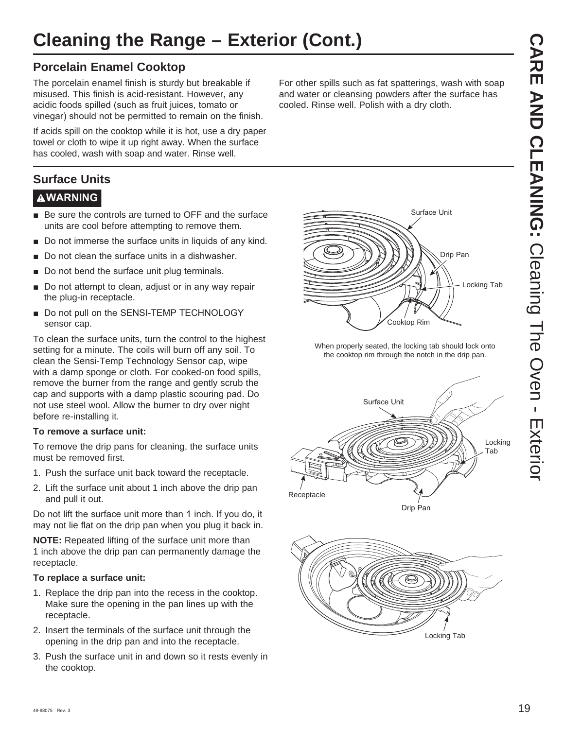## **Cleaning the Range – Exterior (Cont.)**

### **Porcelain Enamel Cooktop**

The porcelain enamel finish is sturdy but breakable if misused. This finish is acid-resistant. However, any acidic foods spilled (such as fruit juices, tomato or vinegar) should not be permitted to remain on the finish.

If acids spill on the cooktop while it is hot, use a dry paper towel or cloth to wipe it up right away. When the surface has cooled, wash with soap and water. Rinse well.

### **Surface Units**

### **WARNING**

- Be sure the controls are turned to OFF and the surface units are cool before attempting to remove them.
- $\blacksquare$  Do not immerse the surface units in liquids of any kind.
- $\blacksquare$  Do not clean the surface units in a dishwasher.
- Do not bend the surface unit plug terminals.
- Do not attempt to clean, adjust or in any way repair the plug-in receptacle.
- Do not pull on the SENSI-TEMP TECHNOLOGY sensor cap.

To clean the surface units, turn the control to the highest setting for a minute. The coils will burn off any soil. To clean the Sensi-Temp Technology Sensor cap, wipe with a damp sponge or cloth. For cooked-on food spills, remove the burner from the range and gently scrub the cap and supports with a damp plastic scouring pad. Do not use steel wool. Allow the burner to dry over night before re-installing it.

### **To remove a surface unit:**

To remove the drip pans for cleaning, the surface units must be removed first.

- 1. Push the surface unit back toward the receptacle.
- 2. Lift the surface unit about 1 inch above the drip pan and pull it out.

Do not lift the surface unit more than 1 inch. If you do, it may not lie flat on the drip pan when you plug it back in.

**NOTE:** Repeated lifting of the surface unit more than 1 inch above the drip pan can permanently damage the receptacle.

### **To replace a surface unit:**

- 1. Replace the drip pan into the recess in the cooktop. Make sure the opening in the pan lines up with the receptacle.
- 2. Insert the terminals of the surface unit through the opening in the drip pan and into the receptacle.
- 3. Push the surface unit in and down so it rests evenly in the cooktop.

For other spills such as fat spatterings, wash with soap and water or cleansing powders after the surface has cooled. Rinse well. Polish with a dry cloth.



When properly seated, the locking tab should lock onto the cooktop rim through the notch in the drip pan.



Drip Pan

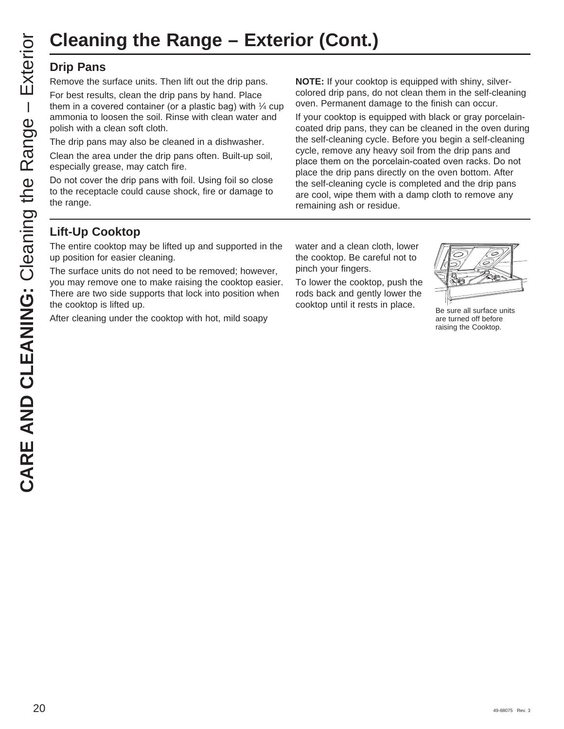# **Cleaning the Range – Exterior (Cont.)**

### **Drip Pans**

Remove the surface units. Then lift out the drip pans.

For best results, clean the drip pans by hand. Place them in a covered container (or a plastic bag) with  $\frac{1}{4}$  cup ammonia to loosen the soil. Rinse with clean water and polish with a clean soft cloth.

The drip pans may also be cleaned in a dishwasher.

Clean the area under the drip pans often. Built-up soil, especially grease, may catch fire.

Do not cover the drip pans with foil. Using foil so close to the receptacle could cause shock, fire or damage to the range.

**NOTE:** If your cooktop is equipped with shiny, silvercolored drip pans, do not clean them in the self-cleaning oven. Permanent damage to the finish can occur.

If your cooktop is equipped with black or gray porcelaincoated drip pans, they can be cleaned in the oven during the self-cleaning cycle. Before you begin a self-cleaning cycle, remove any heavy soil from the drip pans and place them on the porcelain-coated oven racks. Do not place the drip pans directly on the oven bottom. After the self-cleaning cycle is completed and the drip pans are cool, wipe them with a damp cloth to remove any remaining ash or residue.

### **Lift-Up Cooktop**

The entire cooktop may be lifted up and supported in the up position for easier cleaning.

The surface units do not need to be removed; however, you may remove one to make raising the cooktop easier. There are two side supports that lock into position when the cooktop is lifted up.

After cleaning under the cooktop with hot, mild soapy

water and a clean cloth, lower the cooktop. Be careful not to pinch your fingers.

To lower the cooktop, push the rods back and gently lower the cooktop until it rests in place.<br>Be sure all surface units



are turned off before raising the Cooktop.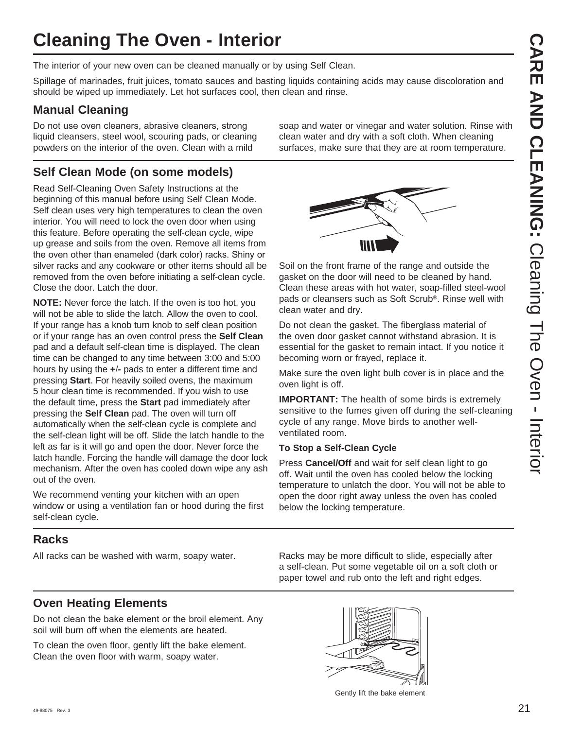# **Cleaning The Oven - Interior**

The interior of your new oven can be cleaned manually or by using Self Clean.

Spillage of marinades, fruit juices, tomato sauces and basting liquids containing acids may cause discoloration and should be wiped up immediately. Let hot surfaces cool, then clean and rinse.

### **Manual Cleaning**

Do not use oven cleaners, abrasive cleaners, strong liquid cleansers, steel wool, scouring pads, or cleaning powders on the interior of the oven. Clean with a mild

### **Self Clean Mode (on some models)**

Read Self-Cleaning Oven Safety Instructions at the beginning of this manual before using Self Clean Mode. Self clean uses very high temperatures to clean the oven interior. You will need to lock the oven door when using this feature. Before operating the self-clean cycle, wipe up grease and soils from the oven. Remove all items from the oven other than enameled (dark color) racks. Shiny or silver racks and any cookware or other items should all be removed from the oven before initiating a self-clean cycle. Close the door. Latch the door.

**NOTE:** Never force the latch. If the oven is too hot, you will not be able to slide the latch. Allow the oven to cool. If your range has a knob turn knob to self clean position or if your range has an oven control press the **Self Clean** pad and a default self-clean time is displayed. The clean time can be changed to any time between 3:00 and 5:00 hours by using the **+-** pads to enter a different time and pressing **Start**. For heavily soiled ovens, the maximum 5 hour clean time is recommended. If you wish to use the default time, press the **Start** pad immediately after pressing the **Self Clean** pad. The oven will turn off automatically when the self-clean cycle is complete and the self-clean light will be off. Slide the latch handle to the left as far is it will go and open the door. Never force the latch handle. Forcing the handle will damage the door lock mechanism. After the oven has cooled down wipe any ash out of the oven.

We recommend venting your kitchen with an open window or using a ventilation fan or hood during the first self-clean cycle.

### **Racks**

soap and water or vinegar and water solution. Rinse with clean water and dry with a soft cloth. When cleaning surfaces, make sure that they are at room temperature.



Soil on the front frame of the range and outside the gasket on the door will need to be cleaned by hand. Clean these areas with hot water, soap-filled steel-wool pads or cleansers such as Soft Scrub®. Rinse well with clean water and dry.

Do not clean the gasket. The fiberglass material of the oven door gasket cannot withstand abrasion. It is essential for the gasket to remain intact. If you notice it becoming worn or frayed, replace it.

Make sure the oven light bulb cover is in place and the oven light is off.

**IMPORTANT:** The health of some birds is extremely sensitive to the fumes given off during the self-cleaning cycle of any range. Move birds to another wellventilated room.

### **To Stop a Self-Clean Cycle**

Press **Cancel/Off** and wait for self clean light to go off. Wait until the oven has cooled below the locking temperature to unlatch the door. You will not be able to open the door right away unless the oven has cooled below the locking temperature.

All racks can be washed with warm, soapy water. Racks may be more difficult to slide, especially after a self-clean. Put some vegetable oil on a soft cloth or paper towel and rub onto the left and right edges.

### **Oven Heating Elements**

Do not clean the bake element or the broil element. Any soil will burn off when the elements are heated.

To clean the oven floor, gently lift the bake element. Clean the oven floor with warm, soapy water.



Gently lift the bake element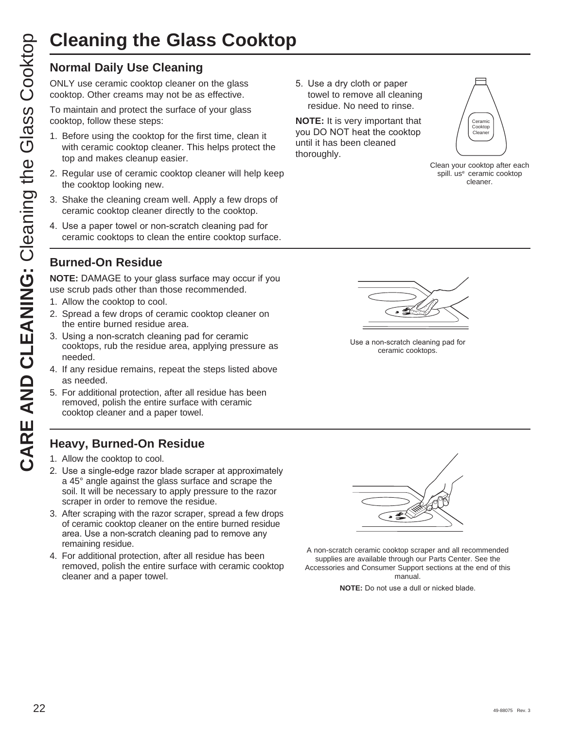# **Cleaning the Glass Cooktop**

ONLY use ceramic cooktop cleaner on the glass cooktop. Other creams may not be as effective.

To maintain and protect the surface of your glass cooktop, follow these steps:

- 1. Before using the cooktop for the first time, clean it with ceramic cooktop cleaner. This helps protect the top and makes cleanup easier.
- 2. Regular use of ceramic cooktop cleaner will help keep the cooktop looking new.
- 3. Shake the cleaning cream well. Apply a few drops of ceramic cooktop cleaner directly to the cooktop.
- 4. Use a paper towel or non-scratch cleaning pad for ceramic cooktops to clean the entire cooktop surface.
- **Burned-On Residue**

**NOTE:** DAMAGE to your glass surface may occur if you use scrub pads other than those recommended.

- 1. Allow the cooktop to cool.
- 2. Spread a few drops of ceramic cooktop cleaner on the entire burned residue area.
- 3. Using a non-scratch cleaning pad for ceramic cooktops, rub the residue area, applying pressure as needed.
- 4. If any residue remains, repeat the steps listed above as needed.
- 5. For additional protection, after all residue has been removed, polish the entire surface with ceramic cooktop cleaner and a paper towel.

### **Heavy, Burned-On Residue**

- 1. Allow the cooktop to cool.
- 2. Use a single-edge razor blade scraper at approximately a 45° angle against the glass surface and scrape the soil. It will be necessary to apply pressure to the razor scraper in order to remove the residue.
- 3. After scraping with the razor scraper, spread a few drops of ceramic cooktop cleaner on the entire burned residue area. Use a non-scratch cleaning pad to remove any remaining residue.
- 4. For additional protection, after all residue has been removed, polish the entire surface with ceramic cooktop cleaner and a paper towel.

5. Use a dry cloth or paper towel to remove all cleaning residue. No need to rinse.

**NOTE:** It is very important that you DO NOT heat the cooktop until it has been cleaned thoroughly.



Clean your cooktop after each spill. us<sup>e</sup> ceramic cooktop cleaner.



Use a non-scratch cleaning pad for ceramic cooktops.



A non-scratch ceramic cooktop scraper and all recommended supplies are available through our Parts Center. See the Accessories and Consumer Support sections at the end of this manual.

**NOTE:** Do not use a dull or nicked blade.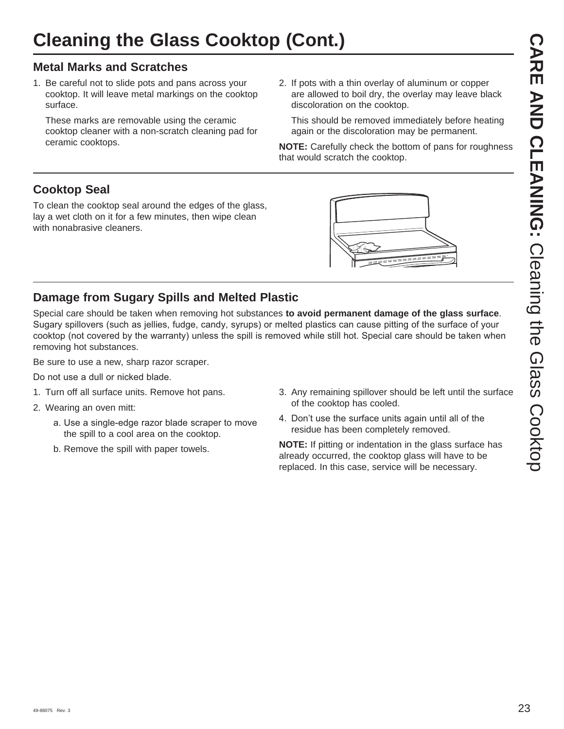### **Metal Marks and Scratches**

1. Be careful not to slide pots and pans across your cooktop. It will leave metal markings on the cooktop surface.

 These marks are removable using the ceramic cooktop cleaner with a non-scratch cleaning pad for ceramic cooktops.

2. If pots with a thin overlay of aluminum or copper are allowed to boil dry, the overlay may leave black discoloration on the cooktop.

 This should be removed immediately before heating again or the discoloration may be permanent.

**NOTE:** Carefully check the bottom of pans for roughness that would scratch the cooktop.

### **Cooktop Seal**

To clean the cooktop seal around the edges of the glass, lay a wet cloth on it for a few minutes, then wipe clean with nonabrasive cleaners.



### **Damage from Sugary Spills and Melted Plastic**

Special care should be taken when removing hot substances **to avoid permanent damage of the glass surface**. Sugary spillovers (such as jellies, fudge, candy, syrups) or melted plastics can cause pitting of the surface of your cooktop (not covered by the warranty) unless the spill is removed while still hot. Special care should be taken when removing hot substances.

Be sure to use a new, sharp razor scraper.

Do not use a dull or nicked blade.

- 1. Turn off all surface units. Remove hot pans.
- 2. Wearing an oven mitt:
	- a. Use a single-edge razor blade scraper to move the spill to a cool area on the cooktop.
	- b. Remove the spill with paper towels.
- 3. Any remaining spillover should be left until the surface of the cooktop has cooled.
- 4. Don't use the surface units again until all of the residue has been completely removed.

**NOTE:** If pitting or indentation in the glass surface has already occurred, the cooktop glass will have to be replaced. In this case, service will be necessary.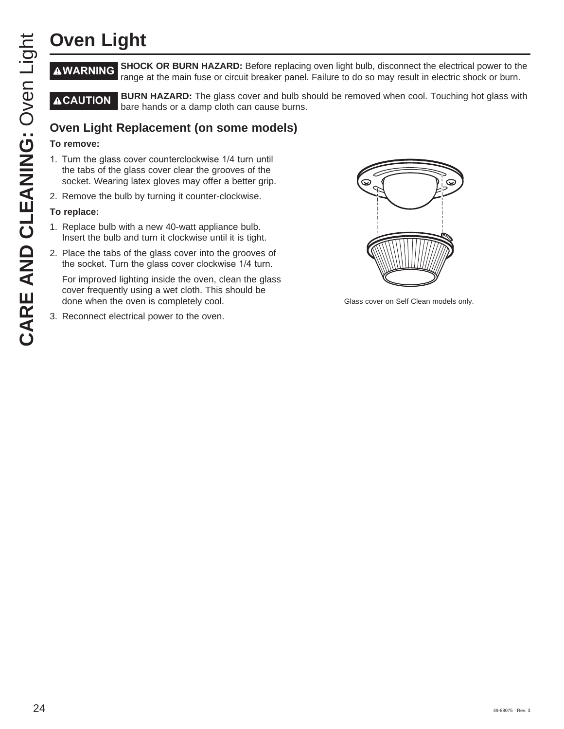**WARNING SHOCK OR BURN HAZARD:** Before replacing oven light bulb, disconnect the electrical power to the range at the main fuse or circuit breaker panel. Failure to do so may result in electric shock or burn.

**ACAUTION** BURN HAZARD: The glass cover and bulb should be removed when cool. Touching hot glass with bare hands or a damp cloth can cause burns.

### **Oven Light Replacement (on some models)**

### **To remove:**

- 1. Turn the glass cover counterclockwise 1/4 turn until the tabs of the glass cover clear the grooves of the socket. Wearing latex gloves may offer a better grip.
- 2. Remove the bulb by turning it counter-clockwise.

### **To replace:**

- 1. Replace bulb with a new 40-watt appliance bulb. Insert the bulb and turn it clockwise until it is tight.
- 2. Place the tabs of the glass cover into the grooves of the socket. Turn the glass cover clockwise 1/4 turn.

 For improved lighting inside the oven, clean the glass cover frequently using a wet cloth. This should be done when the oven is completely cool.

3. Reconnect electrical power to the oven.



Glass cover on Self Clean models only.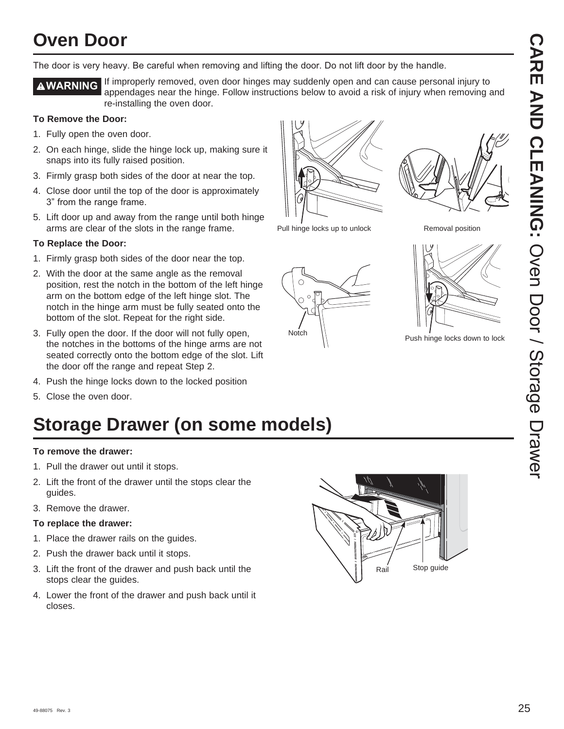## **Oven Door**

The door is very heavy. Be careful when removing and lifting the door. Do not lift door by the handle.

**AWARNING** If improperly removed, oven door hinges may suddenly open and can cause personal injury to appendages near the hinge. Follow instructions below to avoid a risk of injury when removing and re-installing the oven door.

### **To Remove the Door:**

- 1. Fully open the oven door.
- 2. On each hinge, slide the hinge lock up, making sure it snaps into its fully raised position.
- 3. Firmly grasp both sides of the door at near the top.
- 4. Close door until the top of the door is approximately 3" from the range frame.
- 5. Lift door up and away from the range until both hinge arms are clear of the slots in the range frame.

### **To Replace the Door:**

- 1. Firmly grasp both sides of the door near the top.
- 2. With the door at the same angle as the removal position, rest the notch in the bottom of the left hinge arm on the bottom edge of the left hinge slot. The notch in the hinge arm must be fully seated onto the bottom of the slot. Repeat for the right side.
- 3. Fully open the door. If the door will not fully open, the notches in the bottoms of the hinge arms are not seated correctly onto the bottom edge of the slot. Lift the door off the range and repeat Step 2.
- 4. Push the hinge locks down to the locked position
- 5. Close the oven door.

# **Storage Drawer (on some models)**

### **To remove the drawer:**

- 1. Pull the drawer out until it stops.
- 2. Lift the front of the drawer until the stops clear the guides.
- 3. Remove the drawer.

### **To replace the drawer:**

- 1. Place the drawer rails on the guides.
- 2. Push the drawer back until it stops.
- 3. Lift the front of the drawer and push back until the stops clear the guides.
- 4. Lower the front of the drawer and push back until it closes.







Removal position



Notch  $\bigwedge$  Push hinge locks down to lock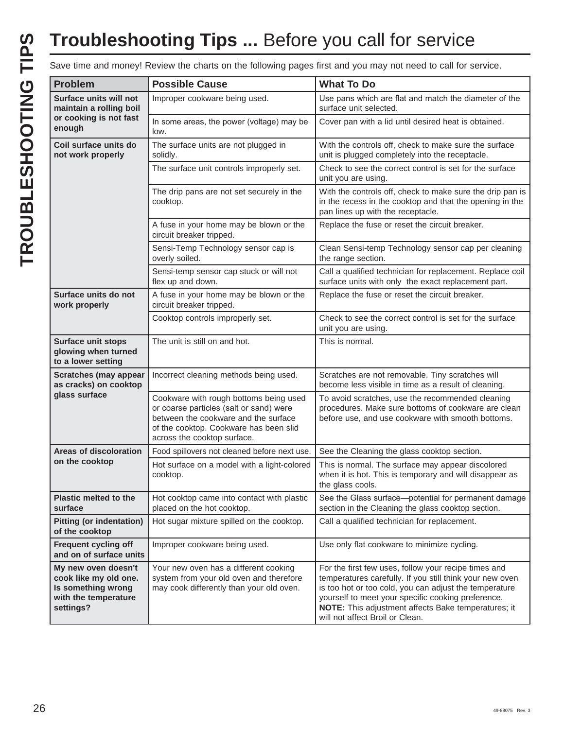|                                                                                                         |                                                                                                                                                                                                    | Save time and money! Review the charts on the following pages first and you may not need to call for service.                                                                                                                                                                                                              |
|---------------------------------------------------------------------------------------------------------|----------------------------------------------------------------------------------------------------------------------------------------------------------------------------------------------------|----------------------------------------------------------------------------------------------------------------------------------------------------------------------------------------------------------------------------------------------------------------------------------------------------------------------------|
| <b>Problem</b>                                                                                          | <b>Possible Cause</b>                                                                                                                                                                              | <b>What To Do</b>                                                                                                                                                                                                                                                                                                          |
| Surface units will not<br>maintain a rolling boil                                                       | Improper cookware being used.                                                                                                                                                                      | Use pans which are flat and match the diameter of the<br>surface unit selected.                                                                                                                                                                                                                                            |
| or cooking is not fast<br>enough                                                                        | In some areas, the power (voltage) may be<br>low.                                                                                                                                                  | Cover pan with a lid until desired heat is obtained.                                                                                                                                                                                                                                                                       |
| Coil surface units do<br>not work properly                                                              | The surface units are not plugged in<br>solidly.                                                                                                                                                   | With the controls off, check to make sure the surface<br>unit is plugged completely into the receptacle.                                                                                                                                                                                                                   |
|                                                                                                         | The surface unit controls improperly set.                                                                                                                                                          | Check to see the correct control is set for the surface<br>unit you are using.                                                                                                                                                                                                                                             |
|                                                                                                         | The drip pans are not set securely in the<br>cooktop.                                                                                                                                              | With the controls off, check to make sure the drip pan is<br>in the recess in the cooktop and that the opening in the<br>pan lines up with the receptacle.                                                                                                                                                                 |
|                                                                                                         | A fuse in your home may be blown or the<br>circuit breaker tripped.                                                                                                                                | Replace the fuse or reset the circuit breaker.                                                                                                                                                                                                                                                                             |
|                                                                                                         | Sensi-Temp Technology sensor cap is<br>overly soiled.                                                                                                                                              | Clean Sensi-temp Technology sensor cap per cleaning<br>the range section.                                                                                                                                                                                                                                                  |
|                                                                                                         | Sensi-temp sensor cap stuck or will not<br>flex up and down.                                                                                                                                       | Call a qualified technician for replacement. Replace coil<br>surface units with only the exact replacement part.                                                                                                                                                                                                           |
| Surface units do not<br>work properly                                                                   | A fuse in your home may be blown or the<br>circuit breaker tripped.                                                                                                                                | Replace the fuse or reset the circuit breaker.                                                                                                                                                                                                                                                                             |
|                                                                                                         | Cooktop controls improperly set.                                                                                                                                                                   | Check to see the correct control is set for the surface<br>unit you are using.                                                                                                                                                                                                                                             |
| Surface unit stops<br>glowing when turned<br>to a lower setting                                         | The unit is still on and hot.                                                                                                                                                                      | This is normal.                                                                                                                                                                                                                                                                                                            |
| <b>Scratches (may appear</b><br>as cracks) on cooktop<br>glass surface                                  | Incorrect cleaning methods being used.                                                                                                                                                             | Scratches are not removable. Tiny scratches will<br>become less visible in time as a result of cleaning.                                                                                                                                                                                                                   |
|                                                                                                         | Cookware with rough bottoms being used<br>or coarse particles (salt or sand) were<br>between the cookware and the surface<br>of the cooktop. Cookware has been slid<br>across the cooktop surface. | To avoid scratches, use the recommended cleaning<br>procedures. Make sure bottoms of cookware are clean<br>before use, and use cookware with smooth bottoms.                                                                                                                                                               |
| <b>Areas of discoloration</b>                                                                           | Food spillovers not cleaned before next use.                                                                                                                                                       | See the Cleaning the glass cooktop section.                                                                                                                                                                                                                                                                                |
| on the cooktop                                                                                          | Hot surface on a model with a light-colored<br>cooktop.                                                                                                                                            | This is normal. The surface may appear discolored<br>when it is hot. This is temporary and will disappear as<br>the glass cools.                                                                                                                                                                                           |
| Plastic melted to the<br>surface                                                                        | Hot cooktop came into contact with plastic<br>placed on the hot cooktop.                                                                                                                           | See the Glass surface-potential for permanent damage<br>section in the Cleaning the glass cooktop section.                                                                                                                                                                                                                 |
| <b>Pitting (or indentation)</b><br>of the cooktop                                                       | Hot sugar mixture spilled on the cooktop.                                                                                                                                                          | Call a qualified technician for replacement.                                                                                                                                                                                                                                                                               |
| <b>Frequent cycling off</b><br>and on of surface units                                                  | Improper cookware being used.                                                                                                                                                                      | Use only flat cookware to minimize cycling.                                                                                                                                                                                                                                                                                |
| My new oven doesn't<br>cook like my old one.<br>Is something wrong<br>with the temperature<br>settings? | Your new oven has a different cooking<br>system from your old oven and therefore<br>may cook differently than your old oven.                                                                       | For the first few uses, follow your recipe times and<br>temperatures carefully. If you still think your new oven<br>is too hot or too cold, you can adjust the temperature<br>yourself to meet your specific cooking preference.<br>NOTE: This adjustment affects Bake temperatures; it<br>will not affect Broil or Clean. |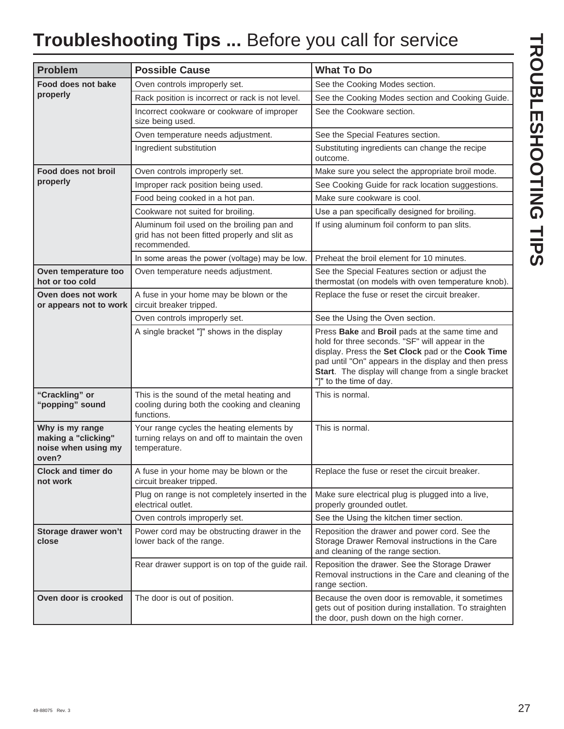# **Troubleshooting Tips ...** Before you call for service

| <b>Problem</b>                                                         | <b>Possible Cause</b>                                                                                       | <b>What To Do</b>                                                                                                                                                                                                                                                                                 |
|------------------------------------------------------------------------|-------------------------------------------------------------------------------------------------------------|---------------------------------------------------------------------------------------------------------------------------------------------------------------------------------------------------------------------------------------------------------------------------------------------------|
| Food does not bake                                                     | Oven controls improperly set.                                                                               | See the Cooking Modes section.                                                                                                                                                                                                                                                                    |
| properly                                                               | Rack position is incorrect or rack is not level.                                                            | See the Cooking Modes section and Cooking Guide.                                                                                                                                                                                                                                                  |
|                                                                        | Incorrect cookware or cookware of improper<br>size being used.                                              | See the Cookware section.                                                                                                                                                                                                                                                                         |
|                                                                        | Oven temperature needs adjustment.                                                                          | See the Special Features section.                                                                                                                                                                                                                                                                 |
|                                                                        | Ingredient substitution                                                                                     | Substituting ingredients can change the recipe<br>outcome.                                                                                                                                                                                                                                        |
| Food does not broil                                                    | Oven controls improperly set.                                                                               | Make sure you select the appropriate broil mode.                                                                                                                                                                                                                                                  |
| properly                                                               | Improper rack position being used.                                                                          | See Cooking Guide for rack location suggestions.                                                                                                                                                                                                                                                  |
|                                                                        | Food being cooked in a hot pan.                                                                             | Make sure cookware is cool.                                                                                                                                                                                                                                                                       |
|                                                                        | Cookware not suited for broiling.                                                                           | Use a pan specifically designed for broiling.                                                                                                                                                                                                                                                     |
|                                                                        | Aluminum foil used on the broiling pan and<br>grid has not been fitted properly and slit as<br>recommended. | If using aluminum foil conform to pan slits.                                                                                                                                                                                                                                                      |
|                                                                        | In some areas the power (voltage) may be low.                                                               | Preheat the broil element for 10 minutes.                                                                                                                                                                                                                                                         |
| Oven temperature too<br>hot or too cold                                | Oven temperature needs adjustment.                                                                          | See the Special Features section or adjust the<br>thermostat (on models with oven temperature knob).                                                                                                                                                                                              |
| Oven does not work<br>or appears not to work                           | A fuse in your home may be blown or the<br>circuit breaker tripped.                                         | Replace the fuse or reset the circuit breaker.                                                                                                                                                                                                                                                    |
|                                                                        | Oven controls improperly set.                                                                               | See the Using the Oven section.                                                                                                                                                                                                                                                                   |
|                                                                        | A single bracket "]" shows in the display                                                                   | Press Bake and Broil pads at the same time and<br>hold for three seconds. "SF" will appear in the<br>display. Press the Set Clock pad or the Cook Time<br>pad until "On" appears in the display and then press<br>Start. The display will change from a single bracket<br>"]" to the time of day. |
| "Crackling" or<br>"popping" sound                                      | This is the sound of the metal heating and<br>cooling during both the cooking and cleaning<br>functions.    | This is normal.                                                                                                                                                                                                                                                                                   |
| Why is my range<br>making a "clicking"<br>noise when using my<br>oven? | Your range cycles the heating elements by<br>turning relays on and off to maintain the oven<br>temperature. | This is normal.                                                                                                                                                                                                                                                                                   |
| <b>Clock and timer do</b><br>not work                                  | A fuse in your home may be blown or the<br>circuit breaker tripped.                                         | Replace the fuse or reset the circuit breaker.                                                                                                                                                                                                                                                    |
|                                                                        | Plug on range is not completely inserted in the<br>electrical outlet.                                       | Make sure electrical plug is plugged into a live,<br>properly grounded outlet.                                                                                                                                                                                                                    |
|                                                                        | Oven controls improperly set.                                                                               | See the Using the kitchen timer section.                                                                                                                                                                                                                                                          |
| Storage drawer won't<br>close                                          | Power cord may be obstructing drawer in the<br>lower back of the range.                                     | Reposition the drawer and power cord. See the<br>Storage Drawer Removal instructions in the Care<br>and cleaning of the range section.                                                                                                                                                            |
|                                                                        | Rear drawer support is on top of the guide rail.                                                            | Reposition the drawer. See the Storage Drawer<br>Removal instructions in the Care and cleaning of the<br>range section.                                                                                                                                                                           |
| Oven door is crooked                                                   | The door is out of position.                                                                                | Because the oven door is removable, it sometimes<br>gets out of position during installation. To straighten<br>the door, push down on the high corner.                                                                                                                                            |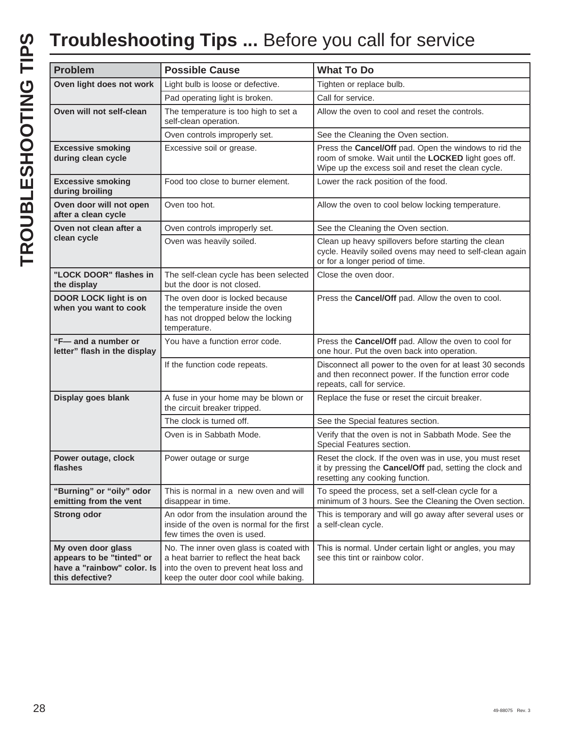| <b>Problem</b>                                                                                   | <b>Possible Cause</b>                                                                                                                                                  | <b>What To Do</b>                                                                                                                                                   |
|--------------------------------------------------------------------------------------------------|------------------------------------------------------------------------------------------------------------------------------------------------------------------------|---------------------------------------------------------------------------------------------------------------------------------------------------------------------|
| Oven light does not work                                                                         | Light bulb is loose or defective.                                                                                                                                      | Tighten or replace bulb.                                                                                                                                            |
|                                                                                                  | Pad operating light is broken.                                                                                                                                         | Call for service.                                                                                                                                                   |
| Oven will not self-clean                                                                         | The temperature is too high to set a<br>self-clean operation.                                                                                                          | Allow the oven to cool and reset the controls.                                                                                                                      |
|                                                                                                  | Oven controls improperly set.                                                                                                                                          | See the Cleaning the Oven section.                                                                                                                                  |
| <b>Excessive smoking</b><br>during clean cycle                                                   | Excessive soil or grease.                                                                                                                                              | Press the Cancel/Off pad. Open the windows to rid the<br>room of smoke. Wait until the LOCKED light goes off.<br>Wipe up the excess soil and reset the clean cycle. |
| <b>Excessive smoking</b><br>during broiling                                                      | Food too close to burner element.                                                                                                                                      | Lower the rack position of the food.                                                                                                                                |
| Oven door will not open<br>after a clean cycle                                                   | Oven too hot.                                                                                                                                                          | Allow the oven to cool below locking temperature.                                                                                                                   |
| Oven not clean after a                                                                           | Oven controls improperly set.                                                                                                                                          | See the Cleaning the Oven section.                                                                                                                                  |
| clean cycle                                                                                      | Oven was heavily soiled.                                                                                                                                               | Clean up heavy spillovers before starting the clean<br>cycle. Heavily soiled ovens may need to self-clean again<br>or for a longer period of time.                  |
| "LOCK DOOR" flashes in<br>the display                                                            | The self-clean cycle has been selected<br>but the door is not closed.                                                                                                  | Close the oven door.                                                                                                                                                |
| DOOR LOCK light is on<br>when you want to cook                                                   | The oven door is locked because<br>the temperature inside the oven<br>has not dropped below the locking<br>temperature.                                                | Press the Cancel/Off pad. Allow the oven to cool.                                                                                                                   |
| "F-and a number or<br>letter" flash in the display                                               | You have a function error code.                                                                                                                                        | Press the Cancel/Off pad. Allow the oven to cool for<br>one hour. Put the oven back into operation.                                                                 |
|                                                                                                  | If the function code repeats.                                                                                                                                          | Disconnect all power to the oven for at least 30 seconds<br>and then reconnect power. If the function error code<br>repeats, call for service.                      |
| Display goes blank                                                                               | A fuse in your home may be blown or<br>the circuit breaker tripped.                                                                                                    | Replace the fuse or reset the circuit breaker.                                                                                                                      |
|                                                                                                  | The clock is turned off.                                                                                                                                               | See the Special features section.                                                                                                                                   |
|                                                                                                  | Oven is in Sabbath Mode.                                                                                                                                               | Verify that the oven is not in Sabbath Mode. See the<br>Special Features section.                                                                                   |
| Power outage, clock<br>flashes                                                                   | Power outage or surge                                                                                                                                                  | Reset the clock. If the oven was in use, you must reset<br>it by pressing the Cancel/Off pad, setting the clock and<br>resetting any cooking function.              |
| "Burning" or "oily" odor<br>emitting from the vent                                               | This is normal in a new oven and will<br>disappear in time.                                                                                                            | To speed the process, set a self-clean cycle for a<br>minimum of 3 hours. See the Cleaning the Oven section.                                                        |
| <b>Strong odor</b>                                                                               | An odor from the insulation around the<br>inside of the oven is normal for the first<br>few times the oven is used.                                                    | This is temporary and will go away after several uses or<br>a self-clean cycle.                                                                                     |
| My oven door glass<br>appears to be "tinted" or<br>have a "rainbow" color. Is<br>this defective? | No. The inner oven glass is coated with<br>a heat barrier to reflect the heat back<br>into the oven to prevent heat loss and<br>keep the outer door cool while baking. | This is normal. Under certain light or angles, you may<br>see this tint or rainbow color.                                                                           |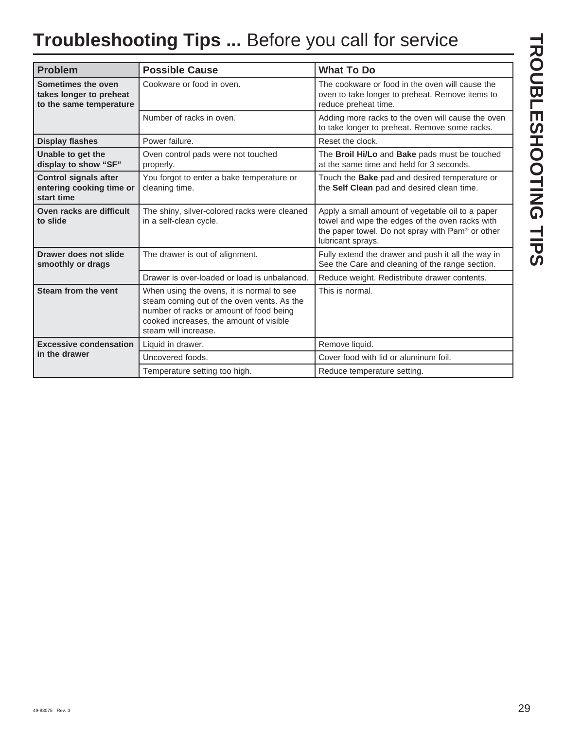# **Troubleshooting Tips ...** Before you call for service

| <b>Problem</b>                                                           | <b>Possible Cause</b>                                                                                                                                                                                 | <b>What To Do</b>                                                                                                                                                            |
|--------------------------------------------------------------------------|-------------------------------------------------------------------------------------------------------------------------------------------------------------------------------------------------------|------------------------------------------------------------------------------------------------------------------------------------------------------------------------------|
| Sometimes the oven<br>takes longer to preheat<br>to the same temperature | Cookware or food in oven.                                                                                                                                                                             | The cookware or food in the oven will cause the<br>oven to take longer to preheat. Remove items to<br>reduce preheat time.                                                   |
|                                                                          | Number of racks in oven.                                                                                                                                                                              | Adding more racks to the oven will cause the oven<br>to take longer to preheat. Remove some racks.                                                                           |
| <b>Display flashes</b>                                                   | Power failure.                                                                                                                                                                                        | Reset the clock.                                                                                                                                                             |
| Unable to get the<br>display to show "SF"                                | Oven control pads were not touched<br>properly.                                                                                                                                                       | The Broil Hi/Lo and Bake pads must be touched<br>at the same time and held for 3 seconds.                                                                                    |
| <b>Control signals after</b><br>entering cooking time or<br>start time   | You forgot to enter a bake temperature or<br>cleaning time.                                                                                                                                           | Touch the Bake pad and desired temperature or<br>the Self Clean pad and desired clean time.                                                                                  |
| Oven racks are difficult<br>to slide                                     | The shiny, silver-colored racks were cleaned<br>in a self-clean cycle.                                                                                                                                | Apply a small amount of vegetable oil to a paper<br>towel and wipe the edges of the oven racks with<br>the paper towel. Do not spray with Pam® or other<br>lubricant sprays. |
| Drawer does not slide<br>smoothly or drags                               | The drawer is out of alignment.                                                                                                                                                                       | Fully extend the drawer and push it all the way in<br>See the Care and cleaning of the range section.                                                                        |
|                                                                          | Drawer is over-loaded or load is unbalanced.                                                                                                                                                          | Reduce weight. Redistribute drawer contents.                                                                                                                                 |
| Steam from the vent                                                      | When using the ovens, it is normal to see<br>steam coming out of the oven vents. As the<br>number of racks or amount of food being<br>cooked increases, the amount of visible<br>steam will increase. | This is normal.                                                                                                                                                              |
| <b>Excessive condensation</b>                                            | Liquid in drawer.                                                                                                                                                                                     | Remove liquid.                                                                                                                                                               |
| in the drawer                                                            | Uncovered foods.                                                                                                                                                                                      | Cover food with lid or aluminum foil.                                                                                                                                        |
|                                                                          | Temperature setting too high.                                                                                                                                                                         | Reduce temperature setting.                                                                                                                                                  |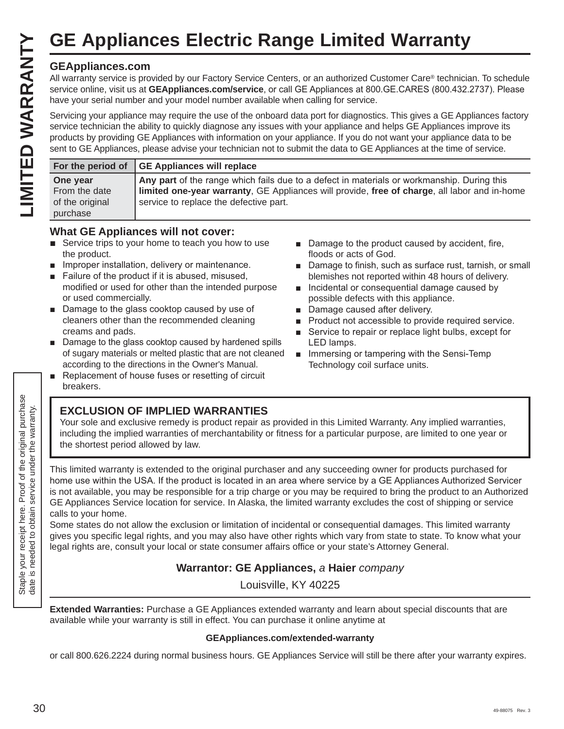### **GEAppliances.com**

|                                                          | <b>GE Appliances Electric Range Limited Warranty</b>                                                                                                                                                                                                                                                                                                                                                                                                                                               |
|----------------------------------------------------------|----------------------------------------------------------------------------------------------------------------------------------------------------------------------------------------------------------------------------------------------------------------------------------------------------------------------------------------------------------------------------------------------------------------------------------------------------------------------------------------------------|
| <b>GEAppliances.com</b>                                  | All warranty service is provided by our Factory Service Centers, or an authorized Customer Care® technician. To schedule<br>service online, visit us at GEAppliances.com/service, or call GE Appliances at 800.GE.CARES (800.432.2737). Please<br>have your serial number and your model number available when calling for service.                                                                                                                                                                |
|                                                          | Servicing your appliance may require the use of the onboard data port for diagnostics. This gives a GE Appliances factory<br>service technician the ability to quickly diagnose any issues with your appliance and helps GE Appliances improve its<br>products by providing GE Appliances with information on your appliance. If you do not want your appliance data to be<br>sent to GE Appliances, please advise your technician not to submit the data to GE Appliances at the time of service. |
| For the period of                                        | <b>GE Appliances will replace</b>                                                                                                                                                                                                                                                                                                                                                                                                                                                                  |
| One year<br>From the date<br>of the original<br>purchase | Any part of the range which fails due to a defect in materials or workmanship. During this<br>limited one-year warranty, GE Appliances will provide, free of charge, all labor and in-home<br>service to replace the defective part.                                                                                                                                                                                                                                                               |

### **What GE Appliances will not cover:**

- $\blacksquare$  Service trips to your home to teach you how to use the product.
- **E.** Improper installation, delivery or maintenance.
- $\blacksquare$  Failure of the product if it is abused, misused, modified or used for other than the intended purpose or used commercially.
- $\blacksquare$  Damage to the glass cooktop caused by use of cleaners other than the recommended cleaning creams and pads.
- $\blacksquare$  Damage to the glass cooktop caused by hardened spills of sugary materials or melted plastic that are not cleaned according to the directions in the Owner's Manual.
- Replacement of house fuses or resetting of circuit breakers.
- Damage to the product caused by accident, fire, floods or acts of God.
- Damage to finish, such as surface rust, tarnish, or small blemishes not reported within 48 hours of delivery.
- $\blacksquare$  Incidental or consequential damage caused by possible defects with this appliance.
- Damage caused after delivery.
- **Product not accessible to provide required service.**
- Service to repair or replace light bulbs, except for LED lamps.
- **I** Immersing or tampering with the Sensi-Temp Technology coil surface units.

### **EXCLUSION OF IMPLIED WARRANTIES**

Your sole and exclusive remedy is product repair as provided in this Limited Warranty. Any implied warranties, including the implied warranties of merchantability or fitness for a particular purpose, are limited to one year or the shortest period allowed by law.

This limited warranty is extended to the original purchaser and any succeeding owner for products purchased for home use within the USA. If the product is located in an area where service by a GE Appliances Authorized Servicer is not available, you may be responsible for a trip charge or you may be required to bring the product to an Authorized GE Appliances Service location for service. In Alaska, the limited warranty excludes the cost of shipping or service calls to your home.

Some states do not allow the exclusion or limitation of incidental or consequential damages. This limited warranty gives you specific legal rights, and you may also have other rights which vary from state to state. To know what your legal rights are, consult your local or state consumer affairs office or your state's Attorney General.

### **Warrantor: GE Appliances,** *a* **Haier** *company*

Louisville, KY 40225

**Extended Warranties:** Purchase a GE Appliances extended warranty and learn about special discounts that are available while your warranty is still in effect. You can purchase it online anytime at

### **GEAppliances.com/extended-warranty**

or call 800.626.2224 during normal business hours. GE Appliances Service will still be there after your warranty expires.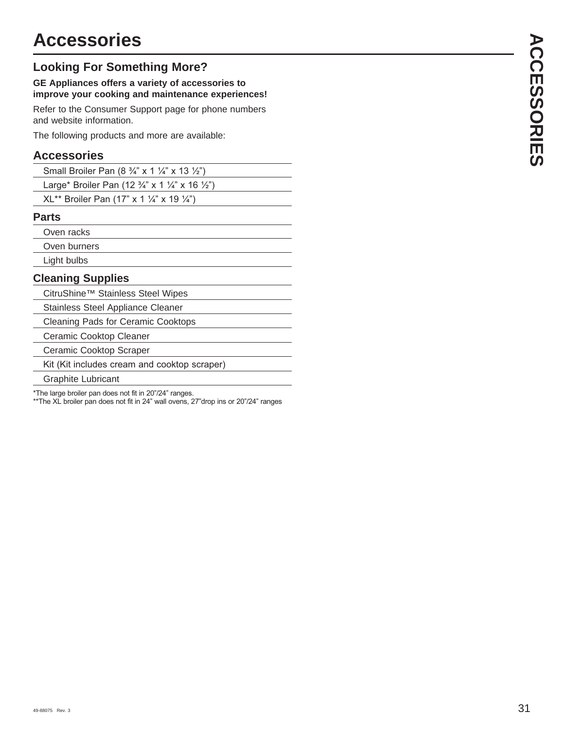### **Looking For Something More?**

### **GE Appliances offers a variety of accessories to improve your cooking and maintenance experiences!**

Refer to the Consumer Support page for phone numbers and website information.

The following products and more are available:

### **Accessories**

|--|

Large\* Broiler Pan (12  $\frac{3}{4}$ " x 1  $\frac{1}{4}$ " x 16  $\frac{1}{2}$ ")

 $XL^{**}$  Broiler Pan (17" x 1 1/4" x 19 1/4")

### **Parts**

Oven racks

Oven burners

Light bulbs

### **Cleaning Supplies**

CitruShine™ Stainless Steel Wipes

Stainless Steel Appliance Cleaner

Cleaning Pads for Ceramic Cooktops

Ceramic Cooktop Cleaner

Ceramic Cooktop Scraper

Kit (Kit includes cream and cooktop scraper)

Graphite Lubricant

\*The large broiler pan does not fit in 20"/24" ranges.

\*\*The XL broiler pan does not fit in 24" wall ovens, 27" drop ins or 20"/24" ranges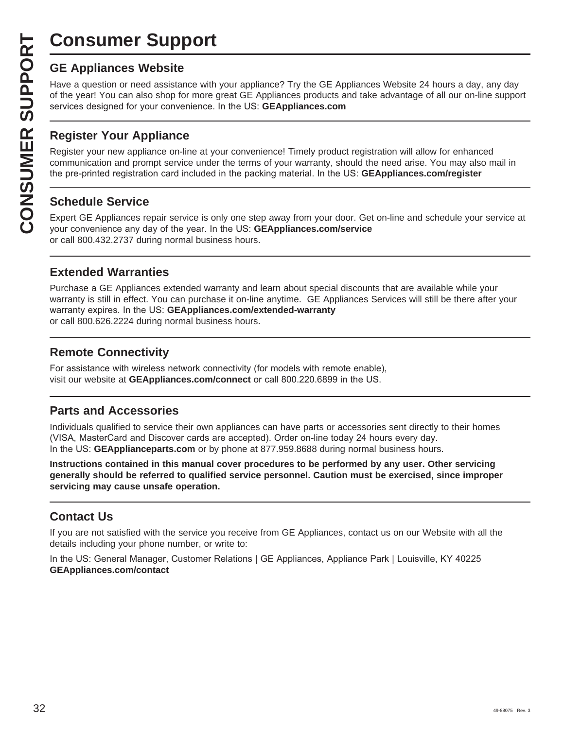# **Consumer Support**

**CONSUMER SUP**<br> **GE Appliances Website**<br>
Have a question or need assistar<br>
of the year! You can also shop for<br>
services designed for your conver<br> **CONSUMER Appliance OF APPLIANCE Register your new appliance on-1**<br> **CONSUME** Have a question or need assistance with your appliance? Try the GE Appliances Website 24 hours a day, any day of the year! You can also shop for more great GE Appliances products and take advantage of all our on-line support services designed for your convenience. In the US: GEAppliances.com

### **Register Your Appliance**

Register your new appliance on-line at your convenience! Timely product registration will allow for enhanced communication and prompt service under the terms of your warranty, should the need arise. You may also mail in the pre-printed registration card included in the packing material. In the US: **GEAppliances.com/register** 

### **Schedule Service**

Expert GE Appliances repair service is only one step away from your door. Get on-line and schedule your service at your convenience any day of the year. In the US: **GEAppliances.com/service** or call 800.432.2737 during normal business hours.

### **Extended Warranties**

Purchase a GE Appliances extended warranty and learn about special discounts that are available while your warranty is still in effect. You can purchase it on-line anytime. GE Appliances Services will still be there after your warranty expires. In the US: GEAppliances.com/extended-warranty or call 800.626.2224 during normal business hours.

### **Remote Connectivity**

For assistance with wireless network connectivity (for models with remote enable), visit our website at GEAppliances.com/connect or call 800.220.6899 in the US.

### **Parts and Accessories**

Individuals qualified to service their own appliances can have parts or accessories sent directly to their homes (VISA, MasterCard and Discover cards are accepted). Order on-line today 24 hours every day. In the US: **GEApplianceparts.com** or by phone at 877.959.8688 during normal business hours.

**Instructions contained in this manual cover procedures to be performed by any user. Other servicing generally should be referred to qualified service personnel. Caution must be exercised, since improper servicing may cause unsafe operation.**

### **Contact Us**

If you are not satisfied with the service you receive from GE Appliances, contact us on our Website with all the details including your phone number, or write to:

In the US: General Manager, Customer Relations | GE Appliances, Appliance Park | Louisville, KY 40225 **GEAppliances.com/contact**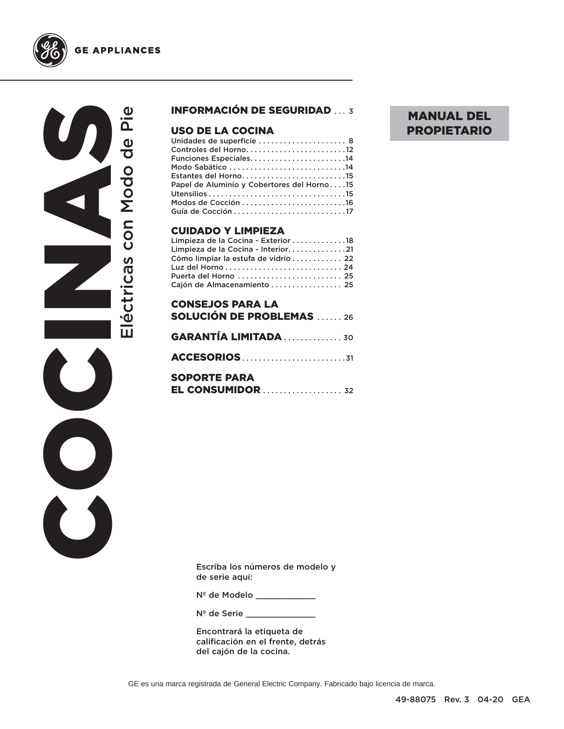

### **GE APPLIANCES**

COCINAS Eléctricas con Modo de Pie Eléctricas con Modo de Pie  $\bigcirc$  $\breve{\mathbf{C}}$ 

### INFORMACIÓN DE SEGURIDAD ... 3

### **USO DE LA COCINA**<br>Unidades de superficie ....

| Controles del Horno12                      |
|--------------------------------------------|
| Funciones Especiales14                     |
|                                            |
| Estantes del Horno15                       |
| Papel de Aluminio y Cobertores del Horno15 |
|                                            |
|                                            |
|                                            |

### CUIDADO Y LIMPIEZA

| Limpieza de la Cocina - Exterior 18  |  |
|--------------------------------------|--|
| Limpieza de la Cocina - Interior21   |  |
| Cómo limpiar la estufa de vidrio  22 |  |
|                                      |  |
| Puerta del Horno  25                 |  |
| Cajón de Almacenamiento  25          |  |

| <b>CONSEJOS PARA LA</b>                                                                 |
|-----------------------------------------------------------------------------------------|
| <b>SOLUCIÓN DE PROBLEMAS</b> 26                                                         |
|                                                                                         |
| <b>GARANTÍA LIMITADA  30</b>                                                            |
|                                                                                         |
| <b>SOPORTE PARA</b>                                                                     |
| $EL$ CONSUMIDOR $\ldots$ $\ldots$ $\ldots$ $\ldots$ $\ldots$ $\ldots$ $\ldots$ $\ldots$ |

Escriba los números de modelo y de serie aquí:

Nº de Modelo \_\_\_\_\_\_\_\_\_\_\_\_

Nº de Serie

Encontrará la etiqueta de calificación en el frente, detrás del cajón de la cocina.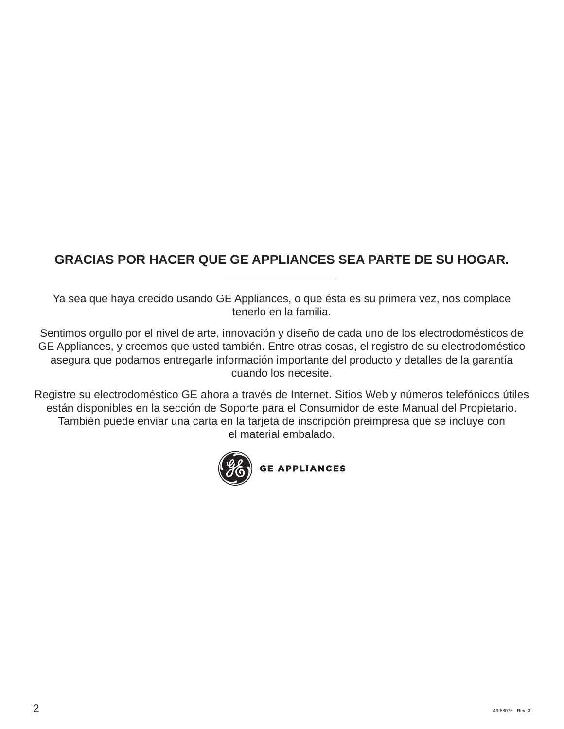### **GRACIAS POR HACER QUE GE APPLIANCES SEA PARTE DE SU HOGAR.**

Ya sea que haya crecido usando GE Appliances, o que ésta es su primera vez, nos complace tenerlo en la familia.

Sentimos orgullo por el nivel de arte, innovación y diseño de cada uno de los electrodomésticos de GE Appliances, y creemos que usted también. Entre otras cosas, el registro de su electrodoméstico asegura que podamos entregarle información importante del producto y detalles de la garantía cuando los necesite.

Registre su electrodoméstico GE ahora a través de Internet. Sitios Web y números telefónicos útiles están disponibles en la sección de Soporte para el Consumidor de este Manual del Propietario. También puede enviar una carta en la tarjeta de inscripción preimpresa que se incluye con el material embalado.

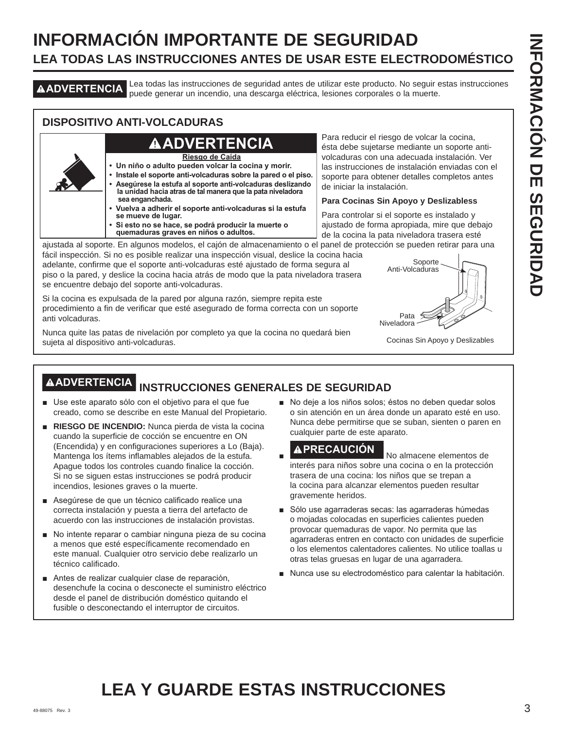### **INFORMACIÓN IMPORTANTE DE SEGURIDAD LEA TODAS LAS INSTRUCCIONES ANTES DE USAR ESTE ELECTRODOMÉSTICO**

**ADVERTENCIA** Lea todas las instrucciones de seguridad antes de utilizar este producto. No seguir estas instrucciones puede generar un incendio, una descarga eléctrica, lesiones corporales o la muerte.

### **DISPOSITIVO ANTI-VOLCADURAS**

### **ADVERTENCIA**

**Riesgo de Caída**

- **Un niño o adulto pueden volcar la cocina y morir.**
- **Instale el soporte anti-volcaduras sobre la pared o el piso. • Asegúrese la estufa al soporte anti-volcaduras deslizando la unidad hacia atras de tal manera que la pata niveladora sea enganchada.**
- **Vuelva a adherir el soporte anti-volcaduras si la estufa se mueve de lugar.**
- **Si esto no se hace, se podrá producir la muerte o quemaduras graves en niños o adultos.**

Para reducir el riesgo de volcar la cocina, ésta debe sujetarse mediante un soporte antivolcaduras con una adecuada instalación. Ver las instrucciones de instalación enviadas con el soporte para obtener detalles completos antes de iniciar la instalación.

#### **Para Cocinas Sin Apoyo y Deslizabless**

Para controlar si el soporte es instalado y ajustado de forma apropiada, mire que debajo de la cocina la pata niveladora trasera esté

ajustada al soporte. En algunos modelos, el cajón de almacenamiento o el panel de protección se pueden retirar para una fácil inspección. Si no es posible realizar una inspección visual, deslice la cocina hacia

adelante, confirme que el soporte anti-volcaduras esté ajustado de forma segura al piso o la pared, y deslice la cocina hacia atrás de modo que la pata niveladora trasera se encuentre debajo del soporte anti-volcaduras.

Si la cocina es expulsada de la pared por alguna razón, siempre repita este procedimiento a fin de verificar que esté asegurado de forma correcta con un soporte anti volcaduras.

Nunca quite las patas de nivelación por completo ya que la cocina no quedará bien sujeta al dispositivo anti-volcaduras.



Cocinas Sin Apoyo y Deslizables

## **ADVERTENCIA INSTRUCCIONES GENERALES DE SEGURIDAD**

- Use este aparato sólo con el objetivo para el que fue creado, como se describe en este Manual del Propietario.
- **RIESGO DE INCENDIO:** Nunca pierda de vista la cocina cuando la superficie de cocción se encuentre en ON (Encendida) y en configuraciones superiores a Lo (Baja). Mantenga los ítems inflamables alejados de la estufa. Apague todos los controles cuando finalice la cocción. Si no se siguen estas instrucciones se podrá producir incendios, lesiones graves o la muerte.
- Asegúrese de que un técnico calificado realice una correcta instalación y puesta a tierra del artefacto de acuerdo con las instrucciones de instalación provistas.
- No intente reparar o cambiar ninguna pieza de su cocina a menos que esté específicamente recomendado en este manual. Cualquier otro servicio debe realizarlo un técnico calificado.
- Antes de realizar cualquier clase de reparación, desenchufe la cocina o desconecte el suministro eléctrico desde el panel de distribución doméstico quitando el fusible o desconectando el interruptor de circuitos.

No deje a los niños solos; éstos no deben quedar solos o sin atención en un área donde un aparato esté en uso. Nunca debe permitirse que se suban, sienten o paren en cualquier parte de este aparato.

- **APRECAUCIÓN** No almacene elementos de interés para niños sobre una cocina o en la protección trasera de una cocina: los niños que se trepan a la cocina para alcanzar elementos pueden resultar gravemente heridos.
- Sólo use agarraderas secas: las agarraderas húmedas o mojadas colocadas en superficies calientes pueden provocar quemaduras de vapor. No permita que las agarraderas entren en contacto con unidades de superficie o los elementos calentadores calientes. No utilice toallas u otras telas gruesas en lugar de una agarradera.
- Nunca use su electrodoméstico para calentar la habitación.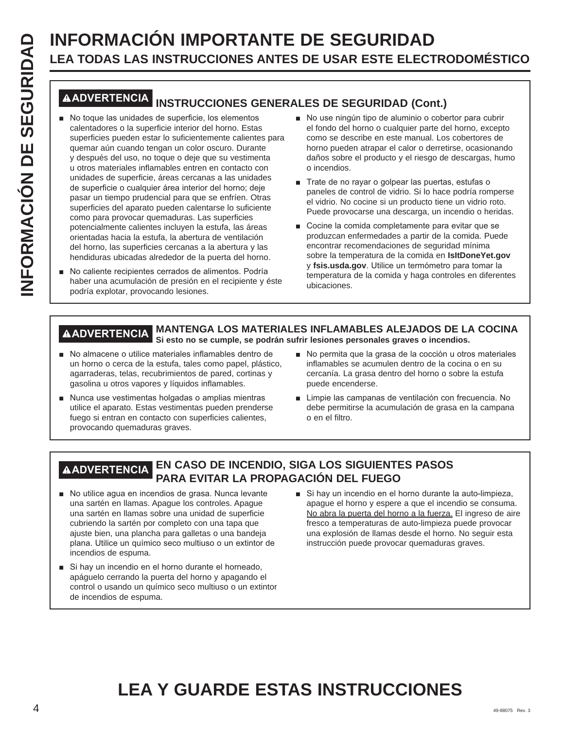# **LEA TODAS LAS INSTRUCCIONES ANTES DE USAR ESTE ELECTRODOMÉSTICO**

### **ADVERTENCIA INSTRUCCIONES GENERALES DE SEGURIDAD (Cont.)**

- **INFORMACIÓN IMPORTANTE DE SEGURIDAD**<br> **INFORMACIÓN IMPORTANTE DE SEGURIDAD**<br> **INFORMACIÓN INSTRUCCIONES GENERALES DE SEGURIDAD (CON ES GENERALES DE SEGURIDAD (CON ES GENERALES DE SEGURIDAD (CON ES GENERALES DE SEGURIDAD (** No toque las unidades de superficie, los elementos calentadores o la superficie interior del horno. Estas superficies pueden estar lo suficientemente calientes para quemar aún cuando tengan un color oscuro. Durante y después del uso, no toque o deje que su vestimenta u otros materiales inflamables entren en contacto con unidades de superficie, áreas cercanas a las unidades de superficie o cualquier área interior del horno; deje pasar un tiempo prudencial para que se enfríen. Otras superficies del aparato pueden calentarse lo suficiente como para provocar quemaduras. Las superficies potencialmente calientes incluyen la estufa, las áreas orientadas hacia la estufa, la abertura de ventilación del horno, las superficies cercanas a la abertura y las hendiduras ubicadas alrededor de la puerta del horno.
	- No caliente recipientes cerrados de alimentos. Podría haber una acumulación de presión en el recipiente y éste podría explotar, provocando lesiones.
- No use ningún tipo de aluminio o cobertor para cubrir el fondo del horno o cualquier parte del horno, excepto como se describe en este manual. Los cobertores de horno pueden atrapar el calor o derretirse, ocasionando daños sobre el producto y el riesgo de descargas, humo o incendios.
- Trate de no rayar o golpear las puertas, estufas o paneles de control de vidrio. Si lo hace podría romperse el vidrio. No cocine si un producto tiene un vidrio roto. Puede provocarse una descarga, un incendio o heridas.
- Cocine la comida completamente para evitar que se produzcan enfermedades a partir de la comida. Puede encontrar recomendaciones de seguridad mínima sobre la temperatura de la comida en **IsItDoneYet.gov** y fsis.usda.gov. Utilice un termómetro para tomar la temperatura de la comida y haga controles en diferentes ubicaciones.

#### **ADVERTENCIA MANTENGA LOS MATERIALES INFLAMABLES ALEJADOS DE LA COCINA Si esto no se cumple, se podrán sufrir lesiones personales graves o incendios.**

- No almacene o utilice materiales inflamables dentro de un horno o cerca de la estufa, tales como papel, plástico, agarraderas, telas, recubrimientos de pared, cortinas y gasolina u otros vapores y líquidos inflamables.
- Nunca use vestimentas holgadas o amplias mientras utilice el aparato. Estas vestimentas pueden prenderse fuego si entran en contacto con superficies calientes, provocando quemaduras graves.
- No permita que la grasa de la cocción u otros materiales inflamables se acumulen dentro de la cocina o en su cercanía. La grasa dentro del horno o sobre la estufa puede encenderse.
- Limpie las campanas de ventilación con frecuencia. No debe permitirse la acumulación de grasa en la campana o en el filtro.

### **ADVERTENCIA EN CASO DE INCENDIO, SIGA LOS SIGUIENTES PASOS PARA EVITAR LA PROPAGACIÓN DEL FUEGO**

- No utilice agua en incendios de grasa. Nunca levante una sartén en llamas. Apague los controles. Apague una sartén en llamas sobre una unidad de superficie cubriendo la sartén por completo con una tapa que ajuste bien, una plancha para galletas o una bandeja plana. Utilice un químico seco multiuso o un extintor de incendios de espuma.
- Si hay un incendio en el horno durante el horneado, apáguelo cerrando la puerta del horno y apagando el control o usando un químico seco multiuso o un extintor de incendios de espuma.
- $\blacksquare$  Si hay un incendio en el horno durante la auto-limpieza. apague el horno y espere a que el incendio se consuma. No abra la puerta del horno a la fuerza. El ingreso de aire fresco a temperaturas de auto-limpieza puede provocar una explosión de llamas desde el horno. No seguir esta instrucción puede provocar quemaduras graves.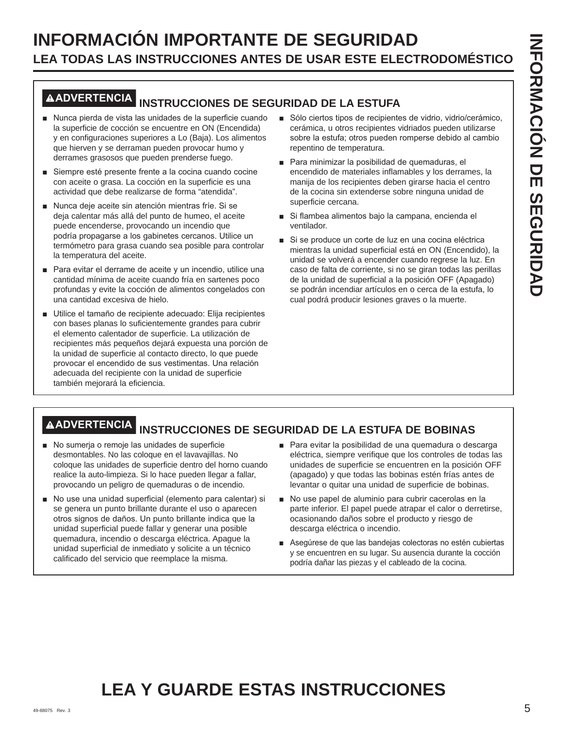### **INFORMACIÓN IMPORTANTE DE SEGURIDAD LEA TODAS LAS INSTRUCCIONES ANTES DE USAR ESTE ELECTRODOMÉSTICO**

### **ADVERTENCIA INSTRUCCIONES DE SEGURIDAD DE LA ESTUFA**

- Nunca pierda de vista las unidades de la superficie cuando la superficie de cocción se encuentre en ON (Encendida) y en configuraciones superiores a Lo (Baja). Los alimentos que hierven y se derraman pueden provocar humo y derrames grasosos que pueden prenderse fuego.
- Siempre esté presente frente a la cocina cuando cocine con aceite o grasa. La cocción en la superficie es una actividad que debe realizarse de forma "atendida".
- Nunca deje aceite sin atención mientras fríe. Si se deja calentar más allá del punto de humeo, el aceite puede encenderse, provocando un incendio que podría propagarse a los gabinetes cercanos. Utilice un termómetro para grasa cuando sea posible para controlar la temperatura del aceite.
- Para evitar el derrame de aceite y un incendio, utilice una cantidad mínima de aceite cuando fría en sartenes poco profundas y evite la cocción de alimentos congelados con una cantidad excesiva de hielo.
- Utilice el tamaño de recipiente adecuado: Elija recipientes con bases planas lo suficientemente grandes para cubrir el elemento calentador de superficie. La utilización de recipientes más pequeños dejará expuesta una porción de la unidad de superficie al contacto directo, lo que puede provocar el encendido de sus vestimentas. Una relación adecuada del recipiente con la unidad de superficie también mejorará la eficiencia.
- Sólo ciertos tipos de recipientes de vidrio, vidrio/cerámico, cerámica, u otros recipientes vidriados pueden utilizarse sobre la estufa; otros pueden romperse debido al cambio repentino de temperatura.
- Para minimizar la posibilidad de quemaduras, el encendido de materiales inflamables y los derrames, la manija de los recipientes deben girarse hacia el centro de la cocina sin extenderse sobre ninguna unidad de superficie cercana.
- Si flambea alimentos bajo la campana, encienda el ventilador.
- Si se produce un corte de luz en una cocina eléctrica mientras la unidad superficial está en ON (Encendido), la unidad se volverá a encender cuando regrese la luz. En caso de falta de corriente, si no se giran todas las perillas de la unidad de superficial a la posición OFF (Apagado) se podrán incendiar artículos en o cerca de la estufa, lo cual podrá producir lesiones graves o la muerte.

## **ADVERTENCIA INSTRUCCIONES DE SEGURIDAD DE LA ESTUFA DE BOBINAS**

- No sumerja o remoje las unidades de superficie desmontables. No las coloque en el lavavajillas. No coloque las unidades de superficie dentro del horno cuando realice la auto-limpieza. Si lo hace pueden llegar a fallar, provocando un peligro de quemaduras o de incendio.
- No use una unidad superficial (elemento para calentar) si se genera un punto brillante durante el uso o aparecen otros signos de daños. Un punto brillante indica que la unidad superficial puede fallar y generar una posible quemadura, incendio o descarga eléctrica. Apague la unidad superficial de inmediato y solicite a un técnico calificado del servicio que reemplace la misma.
- Para evitar la posibilidad de una quemadura o descarga eléctrica, siempre verifique que los controles de todas las unidades de superficie se encuentren en la posición OFF (apagado) y que todas las bobinas estén frías antes de levantar o quitar una unidad de superficie de bobinas.
- No use papel de aluminio para cubrir cacerolas en la parte inferior. El papel puede atrapar el calor o derretirse, ocasionando daños sobre el producto y riesgo de descarga eléctrica o incendio.
- Asegúrese de que las bandejas colectoras no estén cubiertas y se encuentren en su lugar. Su ausencia durante la cocción podría dañar las piezas y el cableado de la cocina.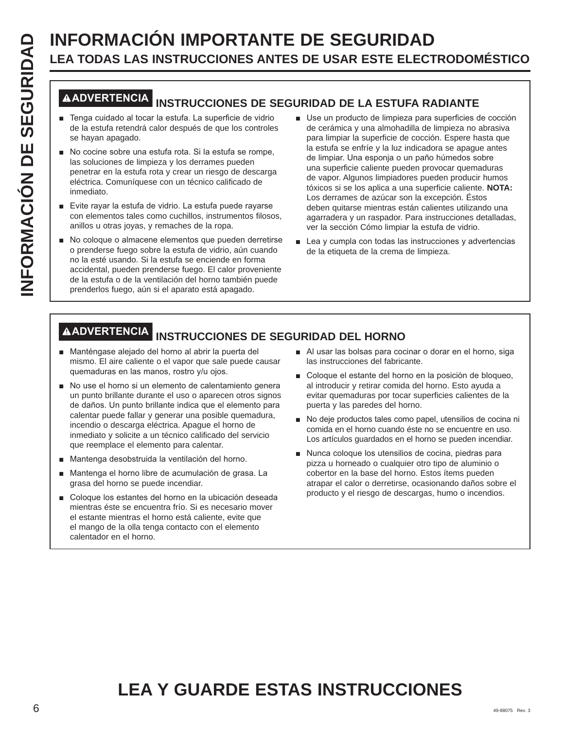# **LEA TODAS LAS INSTRUCCIONES ANTES DE USAR ESTE ELECTRODOMÉSTICO**

### **ADVERTENCIA INSTRUCCIONES DE SEGURIDAD DE LA ESTUFA RADIANTE**

- F Tenga cuidado al tocar la estufa. La superficie de vidrio de la estufa retendrá calor después de que los controles se hayan apagado.
- No cocine sobre una estufa rota. Si la estufa se rompe, las soluciones de limpieza y los derrames pueden penetrar en la estufa rota y crear un riesgo de descarga eléctrica. Comuníquese con un técnico calificado de inmediato.
- Evite rayar la estufa de vidrio. La estufa puede rayarse con elementos tales como cuchillos, instrumentos filosos, anillos u otras joyas, y remaches de la ropa.
- No coloque o almacene elementos que pueden derretirse o prenderse fuego sobre la estufa de vidrio, aún cuando no la esté usando. Si la estufa se enciende en forma accidental, pueden prenderse fuego. El calor proveniente de la estufa o de la ventilación del horno también puede prenderlos fuego, aún si el aparato está apagado.
- **INFORMACIÓN IMPORTANTE DE SEGURIDAD**<br> **INFORMACIÓN IMPORTANTE DE SEGURIDAD**<br> **INFORMACIÓN INSTRUCCIONES ANTES DE USAR ESTE ELECT<br>
<b>INFORMACIÓN INSTRUCCIONES DE SEGURIDAD DE LA ESTUFA RA<br>
a regia cuidado al tocar la estufa** Use un producto de limpieza para superficies de cocción de cerámica y una almohadilla de limpieza no abrasiva para limpiar la superficie de cocción. Espere hasta que la estufa se enfríe y la luz indicadora se apague antes de limpiar. Una esponja o un paño húmedos sobre una superficie caliente pueden provocar quemaduras de vapor. Algunos limpiadores pueden producir humos tóxicos si se los aplica a una superficie caliente. **NOTA:** Los derrames de azúcar son la excepción. Éstos deben quitarse mientras están calientes utilizando una agarradera y un raspador. Para instrucciones detalladas, ver la sección Cómo limpiar la estufa de vidrio.
	- $\blacksquare$  Lea y cumpla con todas las instrucciones y advertencias de la etiqueta de la crema de limpieza.

### **ADVERTENCIA INSTRUCCIONES DE SEGURIDAD DEL HORNO**

- Manténgase alejado del horno al abrir la puerta del mismo. El aire caliente o el vapor que sale puede causar quemaduras en las manos, rostro y/u ojos.
- No use el horno si un elemento de calentamiento genera un punto brillante durante el uso o aparecen otros signos de daños. Un punto brillante indica que el elemento para calentar puede fallar y generar una posible quemadura, incendio o descarga eléctrica. Apague el horno de inmediato y solicite a un técnico calificado del servicio que reemplace el elemento para calentar.
- Mantenga desobstruida la ventilación del horno.
- Mantenga el horno libre de acumulación de grasa. La grasa del horno se puede incendiar.
- Coloque los estantes del horno en la ubicación deseada mientras éste se encuentra frío. Si es necesario mover el estante mientras el horno está caliente, evite que el mango de la olla tenga contacto con el elemento calentador en el horno.
- Al usar las bolsas para cocinar o dorar en el horno, siga las instrucciones del fabricante.
- Coloque el estante del horno en la posición de bloqueo, al introducir y retirar comida del horno. Esto ayuda a evitar quemaduras por tocar superficies calientes de la puerta y las paredes del horno.
- No deje productos tales como papel, utensilios de cocina ni comida en el horno cuando éste no se encuentre en uso. Los artículos guardados en el horno se pueden incendiar.
- Nunca coloque los utensilios de cocina, piedras para pizza u horneado o cualquier otro tipo de aluminio o cobertor en la base del horno. Estos ítems pueden atrapar el calor o derretirse, ocasionando daños sobre el producto y el riesgo de descargas, humo o incendios.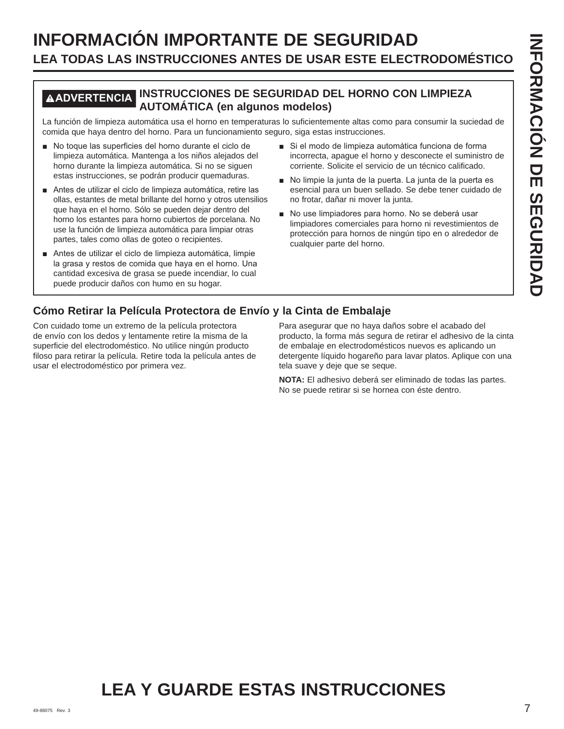### **INFORMACIÓN IMPORTANTE DE SEGURIDAD LEA TODAS LAS INSTRUCCIONES ANTES DE USAR ESTE ELECTRODOMÉSTICO**

### **ADVERTENCIA INSTRUCCIONES DE SEGURIDAD DEL HORNO CON LIMPIEZA AUTOMÁTICA (en algunos modelos)**

La función de limpieza automática usa el horno en temperaturas lo suficientemente altas como para consumir la suciedad de comida que haya dentro del horno. Para un funcionamiento seguro, siga estas instrucciones.

- No toque las superficies del horno durante el ciclo de limpieza automática. Mantenga a los niños alejados del horno durante la limpieza automática. Si no se siguen estas instrucciones, se podrán producir quemaduras.
- Antes de utilizar el ciclo de limpieza automática, retire las ollas, estantes de metal brillante del horno y otros utensilios que haya en el horno. Sólo se pueden dejar dentro del horno los estantes para horno cubiertos de porcelana. No use la función de limpieza automática para limpiar otras partes, tales como ollas de goteo o recipientes.
- Antes de utilizar el ciclo de limpieza automática, limpie la grasa y restos de comida que haya en el horno. Una cantidad excesiva de grasa se puede incendiar, lo cual puede producir daños con humo en su hogar.
- Si el modo de limpieza automática funciona de forma incorrecta, apague el horno y desconecte el suministro de corriente. Solicite el servicio de un técnico calificado.
- No limpie la junta de la puerta. La junta de la puerta es esencial para un buen sellado. Se debe tener cuidado de no frotar, dañar ni mover la junta.
- No use limpiadores para horno. No se deberá usar limpiadores comerciales para horno ni revestimientos de protección para hornos de ningún tipo en o alrededor de cualquier parte del horno.

### **Cómo Retirar la Película Protectora de Envío y la Cinta de Embalaje**

Con cuidado tome un extremo de la película protectora de envío con los dedos y lentamente retire la misma de la superficie del electrodoméstico. No utilice ningún producto filoso para retirar la película. Retire toda la película antes de usar el electrodoméstico por primera vez.

Para asegurar que no haya daños sobre el acabado del producto, la forma más segura de retirar el adhesivo de la cinta de embalaje en electrodomésticos nuevos es aplicando un detergente líquido hogareño para lavar platos. Aplique con una tela suave y deje que se seque.

**NOTA:** El adhesivo deberá ser eliminado de todas las partes. No se puede retirar si se hornea con éste dentro.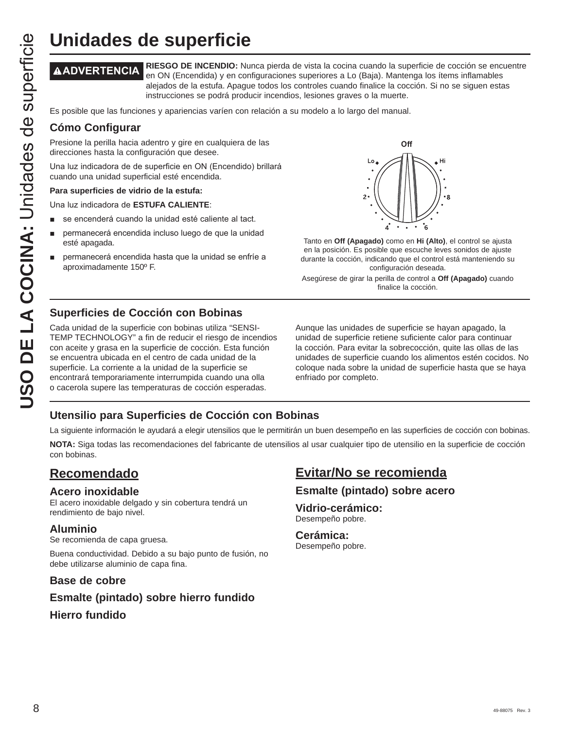**ADVERTENCIA RIESGO DE INCENDIO:** Nunca pierda de vista la cocina cuando la superficie de cocción se encuentre en ON (Encendida) y en configuraciones superiores a Lo (Baja). Mantenga los ítems inflamables alejados de la estufa. Apague todos los controles cuando finalice la cocción. Si no se siguen estas instrucciones se podrá producir incendios, lesiones graves o la muerte.

Es posible que las funciones y apariencias varíen con relación a su modelo a lo largo del manual.

### **Cómo Configurar**

Presione la perilla hacia adentro y gire en cualquiera de las direcciones hasta la configuración que desee.

Una luz indicadora de de superficie en ON (Encendido) brillará cuando una unidad superficial esté encendida.

#### **Para superficies de vidrio de la estufa:**

Una luz indicadora de **ESTUFA CALIENTE:** 

- se encenderá cuando la unidad esté caliente al tact.
- permanecerá encendida incluso luego de que la unidad esté apagada.
- permanecerá encendida hasta que la unidad se enfríe a aproximadamente 150º F.



Tanto en **Off (Apagado)** como en **Hi (Alto)**, el control se ajusta en la posición. Es posible que escuche leves sonidos de ajuste durante la cocción, indicando que el control está manteniendo su configuración deseada.

Asegúrese de girar la perilla de control a **Off (Apagado)** cuando finalice la cocción.

### **Superficies de Cocción con Bobinas**

**UNICACES DE SUPETFICIE**<br> **AADVERTENCIA** en ON (Encendida) y en con<br>
alejados de la estufa. Apagu<br> **Es posible que las funciones y apariencias** varien con<br> **Com Configurar**<br> **Es posible que las funciones y apariencias** var Cada unidad de la superficie con bobinas utiliza "SENSI-TEMP TECHNOLOGY" a fin de reducir el riesgo de incendios con aceite y grasa en la superficie de cocción. Esta función se encuentra ubicada en el centro de cada unidad de la superficie. La corriente a la unidad de la superficie se encontrará temporariamente interrumpida cuando una olla o cacerola supere las temperaturas de cocción esperadas.

Aunque las unidades de superficie se hayan apagado, la unidad de superficie retiene suficiente calor para continuar la cocción. Para evitar la sobrecocción, quite las ollas de las unidades de superficie cuando los alimentos estén cocidos. No coloque nada sobre la unidad de superficie hasta que se haya enfriado por completo.

### **Utensilio para Superficies de Cocción con Bobinas**

La siguiente información le ayudará a elegir utensilios que le permitirán un buen desempeño en las superficies de cocción con bobinas.

**NOTA:** Siga todas las recomendaciones del fabricante de utensilios al usar cualquier tipo de utensilio en la superficie de cocción con bobinas.

### **Recomendado**

### **Acero inoxidable**

El acero inoxidable delgado y sin cobertura tendrá un rendimiento de bajo nivel.

### **Aluminio**

Se recomienda de capa gruesa.

Buena conductividad. Debido a su bajo punto de fusión, no debe utilizarse aluminio de capa fina.

### **Base de cobre**

### **Esmalte (pintado) sobre hierro fundido**

### **Hierro fundido**

### **Evitar/No se recomienda**

### **Esmalte (pintado) sobre acero**

#### **Vidrio-cerámico:** Desempeño pobre.

**Cerámica:** Desempeño pobre.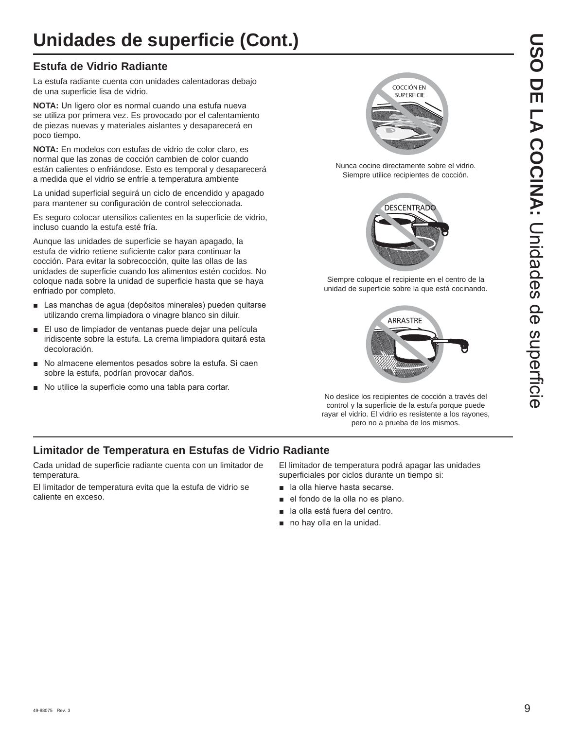## **Unidades de superficie (Cont.)**

### **Estufa de Vidrio Radiante**

La estufa radiante cuenta con unidades calentadoras debajo de una superficie lisa de vidrio.

**NOTA:** Un ligero olor es normal cuando una estufa nueva se utiliza por primera vez. Es provocado por el calentamiento de piezas nuevas y materiales aislantes y desaparecerá en poco tiempo.

**NOTA:** En modelos con estufas de vidrio de color claro, es normal que las zonas de cocción cambien de color cuando están calientes o enfriándose. Esto es temporal y desaparecerá a medida que el vidrio se enfríe a temperatura ambiente

La unidad superficial seguirá un ciclo de encendido y apagado para mantener su configuración de control seleccionada.

Es seguro colocar utensilios calientes en la superficie de vidrio, incluso cuando la estufa esté fría.

Aunque las unidades de superficie se hayan apagado, la estufa de vidrio retiene suficiente calor para continuar la cocción. Para evitar la sobrecocción, quite las ollas de las unidades de superficie cuando los alimentos estén cocidos. No coloque nada sobre la unidad de superficie hasta que se haya enfriado por completo.

- Las manchas de aqua (depósitos minerales) pueden quitarse utilizando crema limpiadora o vinagre blanco sin diluir.
- El uso de limpiador de ventanas puede dejar una película iridiscente sobre la estufa. La crema limpiadora quitará esta decoloración.
- No almacene elementos pesados sobre la estufa. Si caen sobre la estufa, podrían provocar daños.
- No utilice la superficie como una tabla para cortar.



Nunca cocine directamente sobre el vidrio. Siempre utilice recipientes de cocción.



Siempre coloque el recipiente en el centro de la unidad de superficie sobre la que está cocinando.



No deslice los recipientes de cocción a través del control y la superficie de la estufa porque puede rayar el vidrio. El vidrio es resistente a los rayones, pero no a prueba de los mismos.

### **Limitador de Temperatura en Estufas de Vidrio Radiante**

Cada unidad de superficie radiante cuenta con un limitador de temperatura.

El limitador de temperatura evita que la estufa de vidrio se caliente en exceso.

El limitador de temperatura podrá apagar las unidades superficiales por ciclos durante un tiempo si:

- **a** la olla hierve hasta secarse.
- el fondo de la olla no es plano.
- la olla está fuera del centro.
- no hay olla en la unidad.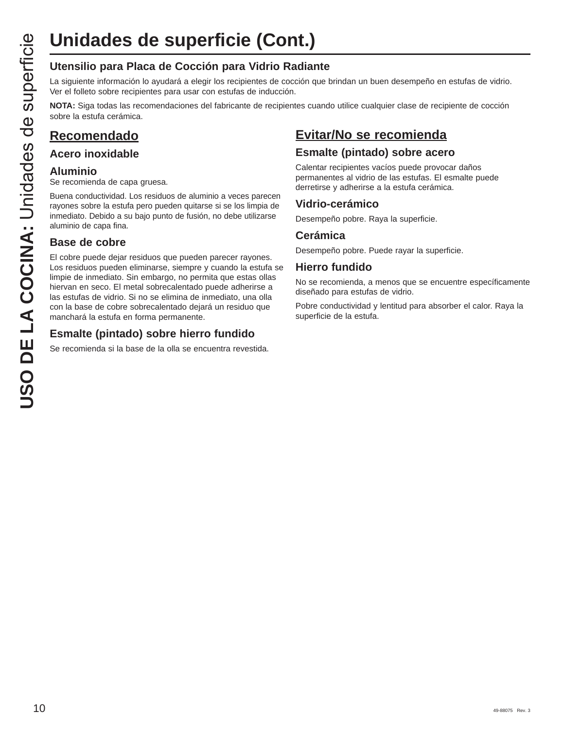# **Unidades de superficie (Cont.)**

### **Utensilio para Placa de Cocción para Vidrio Radiante**

La siguiente información lo ayudará a elegir los recipientes de cocción que brindan un buen desempeño en estufas de vidrio. Ver el folleto sobre recipientes para usar con estufas de inducción.

**NOTA:** Siga todas las recomendaciones del fabricante de recipientes cuando utilice cualquier clase de recipiente de cocción sobre la estufa cerámica.

### **Recomendado**

### **Acero inoxidable**

### **Aluminio**

Se recomienda de capa gruesa.

Buena conductividad. Los residuos de aluminio a veces parecen rayones sobre la estufa pero pueden quitarse si se los limpia de inmediato. Debido a su bajo punto de fusión, no debe utilizarse aluminio de capa fina.

### **Base de cobre**

El cobre puede dejar residuos que pueden parecer rayones. Los residuos pueden eliminarse, siempre y cuando la estufa se limpie de inmediato. Sin embargo, no permita que estas ollas hiervan en seco. El metal sobrecalentado puede adherirse a las estufas de vidrio. Si no se elimina de inmediato, una olla con la base de cobre sobrecalentado dejará un residuo que manchará la estufa en forma permanente.

### **Esmalte (pintado) sobre hierro fundido**

Se recomienda si la base de la olla se encuentra revestida.

### **Evitar/No se recomienda**

### **Esmalte (pintado) sobre acero**

Calentar recipientes vacíos puede provocar daños permanentes al vidrio de las estufas. El esmalte puede derretirse y adherirse a la estufa cerámica.

### **Vidrio-cerámico**

Desempeño pobre. Raya la superficie.

### **Cerámica**

Desempeño pobre. Puede rayar la superficie.

### **Hierro fundido**

No se recomienda, a menos que se encuentre específicamente diseñado para estufas de vidrio.

Pobre conductividad y lentitud para absorber el calor. Raya la superficie de la estufa.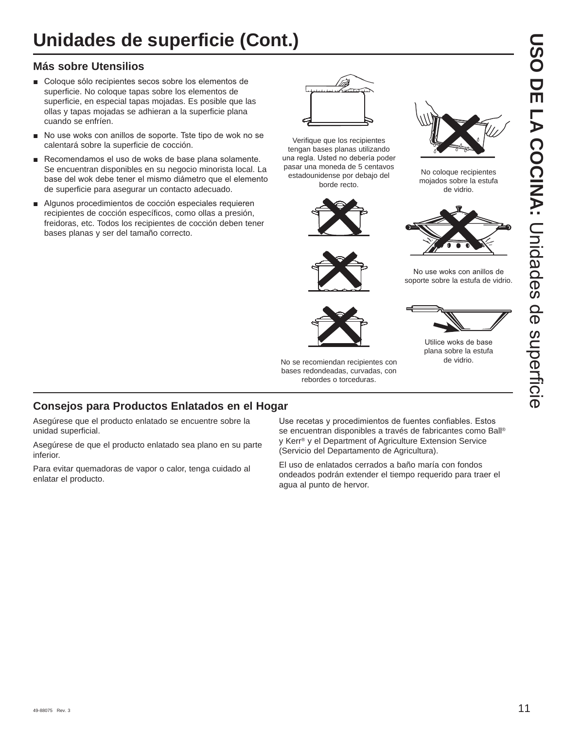### **Más sobre Utensilios**

- Coloque sólo recipientes secos sobre los elementos de superficie. No coloque tapas sobre los elementos de superficie, en especial tapas mojadas. Es posible que las ollas y tapas mojadas se adhieran a la superficie plana cuando se enfríen.
- No use woks con anillos de soporte. Tste tipo de wok no se calentará sobre la superficie de cocción.
- Recomendamos el uso de woks de base plana solamente. Se encuentran disponibles en su negocio minorista local. La base del wok debe tener el mismo diámetro que el elemento de superficie para asegurar un contacto adecuado.
- Algunos procedimientos de cocción especiales requieren recipientes de cocción específicos, como ollas a presión, freidoras, etc. Todos los recipientes de cocción deben tener bases planas y ser del tamaño correcto.



Verifique que los recipientes tengan bases planas utilizando una regla. Usted no debería poder pasar una moneda de 5 centavos estadounidense por debajo del borde recto.



No se recomiendan recipientes con bases redondeadas, curvadas, con rebordes o torceduras.



No coloque recipientes mojados sobre la estufa de vidrio.



No use woks con anillos de soporte sobre la estufa de vidrio.



Utilice woks de base plana sobre la estufa

de vidrio.

### **Consejos para Productos Enlatados en el Hogar**

Asegúrese que el producto enlatado se encuentre sobre la unidad superficial.

Asegúrese de que el producto enlatado sea plano en su parte inferior.

Para evitar quemadoras de vapor o calor, tenga cuidado al enlatar el producto.

Use recetas y procedimientos de fuentes confiables. Estos se encuentran disponibles a través de fabricantes como Ball® y Kerr® y el Department of Agriculture Extension Service (Servicio del Departamento de Agricultura).

El uso de enlatados cerrados a baño maría con fondos ondeados podrán extender el tiempo requerido para traer el agua al punto de hervor.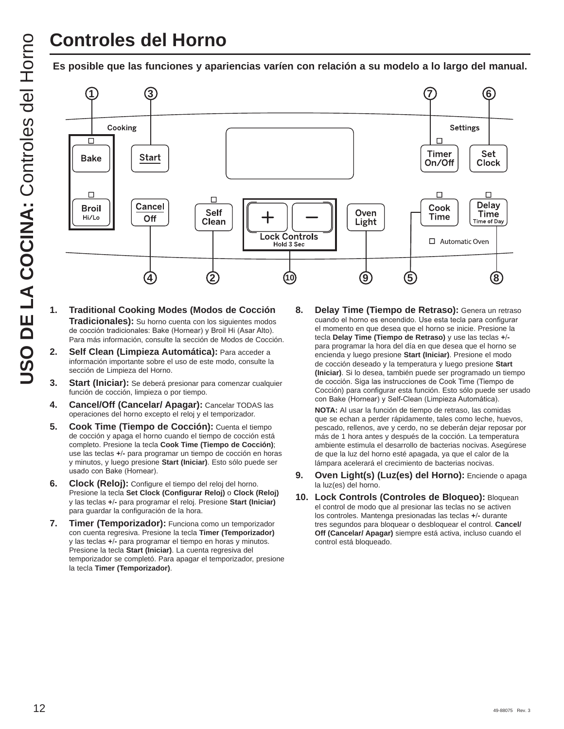## **Controles del Horno**

**Es posible que las funciones y apariencias varíen con relación a su modelo a lo largo del manual.**



- **1. Traditional Cooking Modes (Modos de Cocción Tradicionales):** Su horno cuenta con los siguientes modos de cocción tradicionales: Bake (Hornear) y Broil Hi (Asar Alto). Para más información, consulte la sección de Modos de Cocción.
- **2. Self Clean (Limpieza Automática):** Para acceder a información importante sobre el uso de este modo, consulte la sección de Limpieza del Horno.
- **3. Start (Iniciar):** Se deberá presionar para comenzar cualquier función de cocción, limpieza o por tiempo.
- **4. Cancel/Off (Cancelar/ Apagar):** Cancelar TODAS las operaciones del horno excepto el reloj y el temporizador.
- **5. Cook Time (Tiempo de Cocción):** Cuenta el tiempo de cocción y apaga el horno cuando el tiempo de cocción está completo. Presione la tecla **Cook Time (Tiempo de Cocción)** use las teclas **+-** para programar un tiempo de cocción en horas y minutos, y luego presione **Start (Iniciar)**. Esto sólo puede ser usado con Bake (Hornear).
- **6. Clock (Reloj):** Configure el tiempo del reloj del horno. Presione la tecla **Set Clock (Configurar Reloj)** o **Clock (Reloj)** y las teclas **+-** para programar el reloj. Presione **Start (Iniciar)** para guardar la configuración de la hora.
- **7. Timer (Temporizador):** Funciona como un temporizador con cuenta regresiva. Presione la tecla **Timer (Temporizador)** y las teclas **+-** para programar el tiempo en horas y minutos. Presione la tecla **Start (Iniciar)**. La cuenta regresiva del temporizador se completó. Para apagar el temporizador, presione la tecla **Timer (Temporizador)**.

**8. Delay Time (Tiempo de Retraso):** Genera un retraso cuando el horno es encendido. Use esta tecla para configurar el momento en que desea que el horno se inicie. Presione la tecla **Delay Time (Tiempo de Retraso)** y use las teclas **+** para programar la hora del día en que desea que el horno se encienda y luego presione **Start (Iniciar)**. Presione el modo de cocción deseado y la temperatura y luego presione **Start (Iniciar)**. Si lo desea, también puede ser programado un tiempo de cocción. Siga las instrucciones de Cook Time (Tiempo de Cocción) para configurar esta función. Esto sólo puede ser usado con Bake (Hornear) y Self-Clean (Limpieza Automática).

 **NOTA:** Al usar la función de tiempo de retraso, las comidas que se echan a perder rápidamente, tales como leche, huevos, pescado, rellenos, ave y cerdo, no se deberán dejar reposar por más de 1 hora antes y después de la cocción. La temperatura ambiente estimula el desarrollo de bacterias nocivas. Asegúrese de que la luz del horno esté apagada, ya que el calor de la lámpara acelerará el crecimiento de bacterias nocivas.

- 9. **Oven Light(s) (Luz(es) del Horno):** Enciende o apaga la luz(es) del horno.
- **10. Lock Controls (Controles de Bloqueo):** Bloquean el control de modo que al presionar las teclas no se activen los controles. Mantenga presionadas las teclas **+-** durante tres segundos para bloquear o desbloquear el control. **Cancel/ Off (Cancelar/ Apagar)** siempre está activa, incluso cuando el control está bloqueado.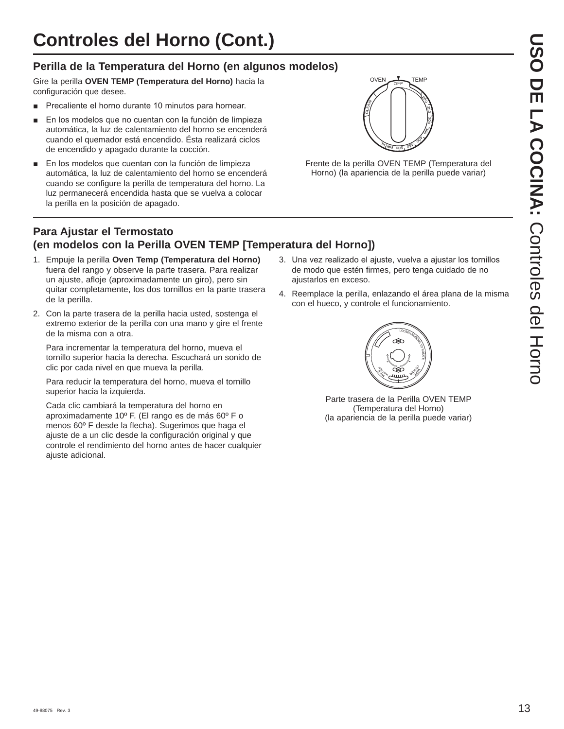## **Controles del Horno (Cont.)**

### **Perilla de la Temperatura del Horno (en algunos modelos)**

Gire la perilla **OVEN TEMP (Temperatura del Horno)** hacia la configuración que desee.

- **Precaliente el horno durante 10 minutos para hornear.**
- En los modelos que no cuentan con la función de limpieza automática, la luz de calentamiento del horno se encenderá cuando el quemador está encendido. Ésta realizará ciclos de encendido y apagado durante la cocción.
- En los modelos que cuentan con la función de limpieza automática, la luz de calentamiento del horno se encenderá cuando se configure la perilla de temperatura del horno. La luz permanecerá encendida hasta que se vuelva a colocar la perilla en la posición de apagado.



Frente de la perilla OVEN TEMP (Temperatura del Horno) (la apariencia de la perilla puede variar)

### **Para Ajustar el Termostato (en modelos con la Perilla OVEN TEMP [Temperatura del Horno])**

- 1. Empuje la perilla **Oven Temp (Temperatura del Horno)** fuera del rango y observe la parte trasera. Para realizar un ajuste, afloje (aproximadamente un giro), pero sin quitar completamente, los dos tornillos en la parte trasera de la perilla.
- 2. Con la parte trasera de la perilla hacia usted, sostenga el extremo exterior de la perilla con una mano y gire el frente de la misma con a otra.

 Para incrementar la temperatura del horno, mueva el tornillo superior hacia la derecha. Escuchará un sonido de clic por cada nivel en que mueva la perilla.

 Para reducir la temperatura del horno, mueva el tornillo superior hacia la izquierda.

 Cada clic cambiará la temperatura del horno en aproximadamente 10º F. (El rango es de más 60º F o menos 60º F desde la flecha). Sugerimos que haga el ajuste de a un clic desde la configuración original y que controle el rendimiento del horno antes de hacer cualquier ajuste adicional.

- 3. Una vez realizado el ajuste, vuelva a ajustar los tornillos de modo que estén firmes, pero tenga cuidado de no ajustarlos en exceso.
- 4. Reemplace la perilla, enlazando el área plana de la misma con el hueco, y controle el funcionamiento.



Parte trasera de la Perilla OVEN TEMP (Temperatura del Horno) (la apariencia de la perilla puede variar)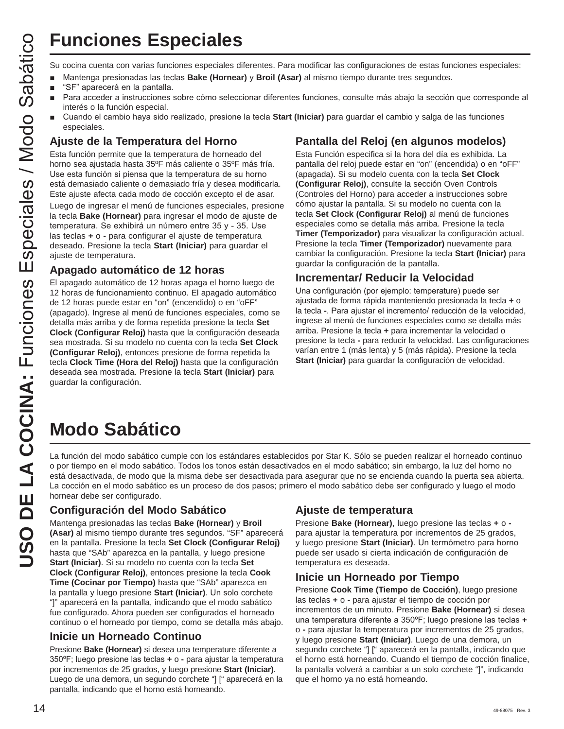# **Funciones Especiales**

- Mantenga presionadas las teclas **Bake (Hornear)** y **Broil (Asar)** al mismo tiempo durante tres segundos.
- "SF" aparecerá en la pantalla.
- Para acceder a instrucciones sobre cómo seleccionar diferentes funciones, consulte más abajo la sección que corresponde al interés o la función especial.
- Cuando el cambio haya sido realizado, presione la tecla Start (Iniciar) para guardar el cambio y salga de las funciones especiales.

### **Ajuste de la Temperatura del Horno**

Esta función permite que la temperatura de horneado del horno sea ajustada hasta 35ºF más caliente o 35ºF más fría. Use esta función si piensa que la temperatura de su horno está demasiado caliente o demasiado fría y desea modificarla. Este ajuste afecta cada modo de cocción excepto el de asar.

Luego de ingresar el menú de funciones especiales, presione la tecla **Bake (Hornear)** para ingresar el modo de ajuste de temperatura. Se exhibirá un número entre 35 y - 35. Use las teclas **+** o **-** para configurar el ajuste de temperatura deseado. Presione la tecla **Start (Iniciar)** para guardar el ajuste de temperatura.

### **Apagado automático de 12 horas**

El apagado automático de 12 horas apaga el horno luego de 12 horas de funcionamiento continuo. El apagado automático de 12 horas puede estar en "on" (encendido) o en "oFF" (apagado). Ingrese al menú de funciones especiales, como se detalla más arriba y de forma repetida presione la tecla **Set Clock (Configurar Reloj)** hasta que la configuración deseada sea mostrada. Si su modelo no cuenta con la tecla **Set Clock (Configurar Reloj)**, entonces presione de forma repetida la tecla **Clock Time (Hora del Reloj)** hasta que la configuración deseada sea mostrada. Presione la tecla **Start (Iniciar)** para guardar la configuración.

### **Pantalla del Reloj (en algunos modelos)**

**USO DE LA COCINA:** COCINA: COCINA: COCINA: COCINA: COCINA: COCINA: COCINA: COCINA: COCINA: COCINA: COCINA: COCINA: COCINA: COCINA: COCINA: COCINA: COCINA: COCINA: COCINA: COCINA: COCINA: COCINA: COCINA: COCINA: COCINA: CO Esta Función especifica si la hora del día es exhibida. La pantalla del reloj puede estar en "on" (encendida) o en "oFF" (apagada). Si su modelo cuenta con la tecla **Set Clock (Configurar Reloj)**, consulte la sección Oven Controls (Controles del Horno) para acceder a instrucciones sobre cómo ajustar la pantalla. Si su modelo no cuenta con la tecla **Set Clock (Configurar Reloj)** al menú de funciones especiales como se detalla más arriba. Presione la tecla **Timer (Temporizador)** para visualizar la configuración actual. Presione la tecla **Timer (Temporizador)** nuevamente para cambiar la configuración. Presione la tecla **Start (Iniciar)** para guardar la configuración de la pantalla.

### **Incrementar/ Reducir la Velocidad**

Una configuración (por ejemplo: temperature) puede ser ajustada de forma rápida manteniendo presionada la tecla **+** o la tecla -. Para ajustar el incremento/ reducción de la velocidad, ingrese al menú de funciones especiales como se detalla más arriba. Presione la tecla **+** para incrementar la velocidad o presione la tecla **-** para reducir la velocidad. Las configuraciones varían entre 1 (más lenta) y 5 (más rápida). Presione la tecla **Start (Iniciar)** para guardar la configuración de velocidad.

# **Modo Sabático**

La función del modo sabático cumple con los estándares establecidos por Star K. Sólo se pueden realizar el horneado continuo o por tiempo en el modo sabático. Todos los tonos están desactivados en el modo sabático; sin embargo, la luz del horno no está desactivada, de modo que la misma debe ser desactivada para asegurar que no se encienda cuando la puerta sea abierta. La cocción en el modo sabático es un proceso de dos pasos; primero el modo sabático debe ser configurado y luego el modo hornear debe ser configurado.

### **Configuración del Modo Sabático**

Mantenga presionadas las teclas **Bake (Hornear)** y **Broil (Asar)** al mismo tiempo durante tres segundos. "SF" aparecerá en la pantalla. Presione la tecla **Set Clock (Configurar Reloj)** hasta que "SAb" aparezca en la pantalla, y luego presione **Start (Iniciar)**. Si su modelo no cuenta con la tecla **Set Clock (Configurar Reloj)**, entonces presione la tecla **Cook Time (Cocinar por Tiempo)** hasta que "SAb" aparezca en la pantalla y luego presione Start (Iniciar). Un solo corchete "]" aparecerá en la pantalla, indicando que el modo sabático fue configurado. Ahora pueden ser configurados el horneado continuo o el horneado por tiempo, como se detalla más abajo.

### **Inicie un Horneado Continuo**

Presione **Bake (Hornear)** si desea una temperature diferente a 350°F; luego presione las teclas **+** o - para ajustar la temperatura por incrementos de 25 grados, y luego presione **Start (Iniciar)**. Luego de una demora, un segundo corchete "] [" aparecerá en la pantalla, indicando que el horno está horneando.

### **Ajuste de temperatura**

Presione **Bake (Hornear)**, luego presione las teclas **+** o  para ajustar la temperatura por incrementos de 25 grados, y luego presione **Start (Iniciar)**. Un termómetro para horno puede ser usado si cierta indicación de configuración de temperatura es deseada.

### **Inicie un Horneado por Tiempo**

Presione **Cook Time (Tiempo de Cocción)**, luego presione las teclas **+** o **-** para ajustar el tiempo de cocción por incrementos de un minuto. Presione **Bake (Hornear)** si desea una temperatura diferente a 350°F: luego presione las teclas **+** o **-** para ajustar la temperatura por incrementos de 25 grados, y luego presione **Start (Iniciar)**. Luego de una demora, un segundo corchete "] [" aparecerá en la pantalla, indicando que el horno está horneando. Cuando el tiempo de cocción finalice, la pantalla volverá a cambiar a un solo corchete "]", indicando que el horno ya no está horneando.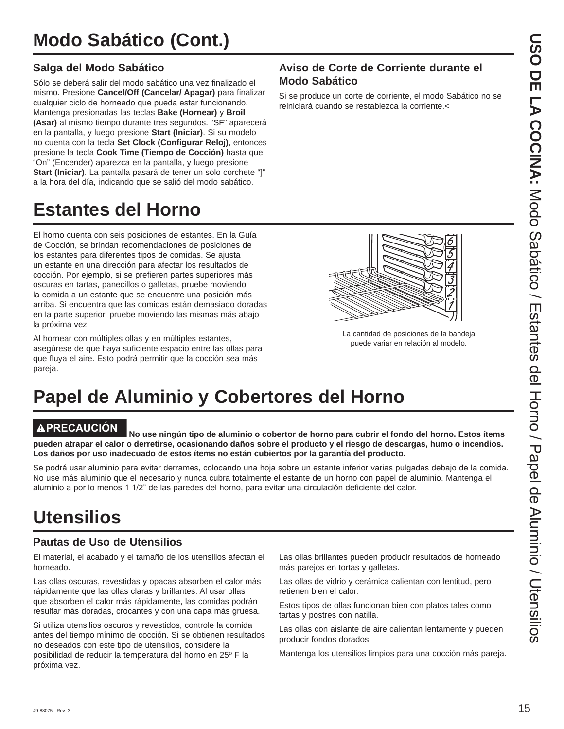### **Salga del Modo Sabático**

Sólo se deberá salir del modo sabático una vez finalizado el mismo. Presione **Cancel/Off (Cancelar/ Apagar)** para finalizar cualquier ciclo de horneado que pueda estar funcionando. Mantenga presionadas las teclas **Bake (Hornear)** y **Broil (Asar)** al mismo tiempo durante tres segundos. "SF" aparecerá en la pantalla, y luego presione **Start (Iniciar)**. Si su modelo no cuenta con la tecla **Set Clock (Configurar Reloj)**, entonces presione la tecla **Cook Time (Tiempo de Cocción)** hasta que "On" (Encender) aparezca en la pantalla, y luego presione **Start (Iniciar)**. La pantalla pasará de tener un solo corchete "]" a la hora del día, indicando que se salió del modo sabático.

# **Estantes del Horno**

El horno cuenta con seis posiciones de estantes. En la Guía de Cocción, se brindan recomendaciones de posiciones de los estantes para diferentes tipos de comidas. Se ajusta un estante en una dirección para afectar los resultados de cocción. Por ejemplo, si se prefieren partes superiores más oscuras en tartas, panecillos o galletas, pruebe moviendo la comida a un estante que se encuentre una posición más arriba. Si encuentra que las comidas están demasiado doradas en la parte superior, pruebe moviendo las mismas más abajo la próxima vez.

Al hornear con múltiples ollas y en múltiples estantes, asegúrese de que haya suficiente espacio entre las ollas para que fluya el aire. Esto podrá permitir que la cocción sea más pareja.

# **Papel de Aluminio y Cobertores del Horno**

**PRECAUCIÓN No use ningún tipo de aluminio o cobertor de horno para cubrir el fondo del horno. Estos ítems pueden atrapar el calor o derretirse, ocasionando daños sobre el producto y el riesgo de descargas, humo o incendios. Los daños por uso inadecuado de estos ítems no están cubiertos por la garantía del producto.**

Se podrá usar aluminio para evitar derrames, colocando una hoja sobre un estante inferior varias pulgadas debajo de la comida. No use más aluminio que el necesario y nunca cubra totalmente el estante de un horno con papel de aluminio. Mantenga el aluminio a por lo menos 1 1/2" de las paredes del horno, para evitar una circulación deficiente del calor.

## **Utensilios**

### **Pautas de Uso de Utensilios**

El material, el acabado y el tamaño de los utensilios afectan el horneado.

Las ollas oscuras, revestidas y opacas absorben el calor más rápidamente que las ollas claras y brillantes. Al usar ollas que absorben el calor más rápidamente, las comidas podrán resultar más doradas, crocantes y con una capa más gruesa.

Si utiliza utensilios oscuros y revestidos, controle la comida antes del tiempo mínimo de cocción. Si se obtienen resultados no deseados con este tipo de utensilios, considere la posibilidad de reducir la temperatura del horno en 25º F la próxima vez.

Las ollas brillantes pueden producir resultados de horneado más parejos en tortas y galletas.

Las ollas de vidrio y cerámica calientan con lentitud, pero retienen bien el calor.

Estos tipos de ollas funcionan bien con platos tales como tartas y postres con natilla.

Las ollas con aislante de aire calientan lentamente y pueden producir fondos dorados.

Mantenga los utensilios limpios para una cocción más pareja.

### **Aviso de Corte de Corriente durante el Modo Sabático**

Si se produce un corte de corriente, el modo Sabático no se reiniciará cuando se restablezca la corriente.<



La cantidad de posiciones de la bandeja puede variar en relación al modelo.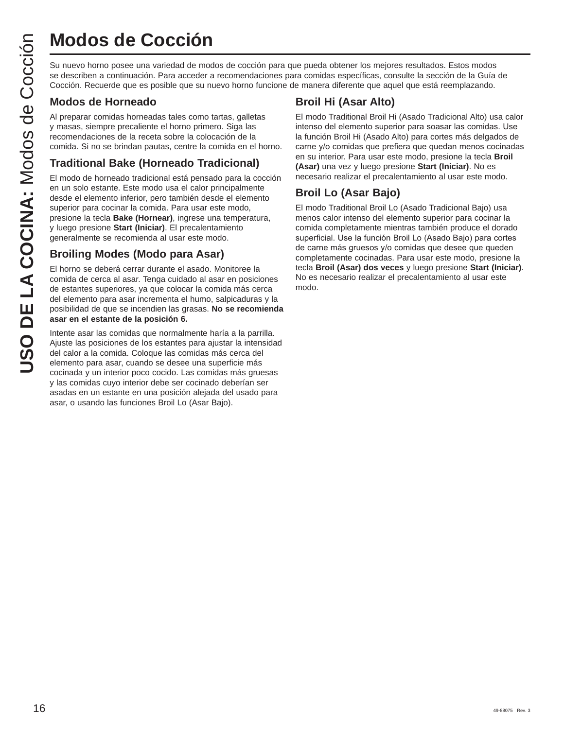Su nuevo horno posee una variedad de modos de cocción para que pueda obtener los mejores resultados. Estos modos se describen a continuación. Para acceder a recomendaciones para comidas específicas, consulte la sección de la Guía de Cocción. Recuerde que es posible que su nuevo horno funcione de manera diferente que aquel que está reemplazando.

### **Modos de Horneado**

Al preparar comidas horneadas tales como tartas, galletas y masas, siempre precaliente el horno primero. Siga las recomendaciones de la receta sobre la colocación de la comida. Si no se brindan pautas, centre la comida en el horno.

### **Traditional Bake (Horneado Tradicional)**

El modo de horneado tradicional está pensado para la cocción en un solo estante. Este modo usa el calor principalmente desde el elemento inferior, pero también desde el elemento superior para cocinar la comida. Para usar este modo, presione la tecla **Bake (Hornear)**, ingrese una temperatura, y luego presione **Start (Iniciar)**. El precalentamiento generalmente se recomienda al usar este modo. **USO DE COCCIÓN**<br>
Su nuevo homo posee una variedad de moc<br>
se describen a continuación. Para acceder a<br>
Cocción. Recuerde que es posible que su nu<br> **Modos de Horneado**<br>
Al preparar comidas horneadas tales como trimo<br>
recom

### **Broiling Modes (Modo para Asar)**

El horno se deberá cerrar durante el asado. Monitoree la comida de cerca al asar. Tenga cuidado al asar en posiciones de estantes superiores, ya que colocar la comida más cerca del elemento para asar incrementa el humo, salpicaduras y la posibilidad de que se incendien las grasas. **No se recomienda asar en el estante de la posición 6.**

Intente asar las comidas que normalmente haría a la parrilla. Ajuste las posiciones de los estantes para ajustar la intensidad del calor a la comida. Coloque las comidas más cerca del elemento para asar, cuando se desee una superficie más cocinada y un interior poco cocido. Las comidas más gruesas y las comidas cuyo interior debe ser cocinado deberían ser asadas en un estante en una posición alejada del usado para asar, o usando las funciones Broil Lo (Asar Bajo).

### **Broil Hi (Asar Alto)**

El modo Traditional Broil Hi (Asado Tradicional Alto) usa calor intenso del elemento superior para soasar las comidas. Use la función Broil Hi (Asado Alto) para cortes más delgados de carne y/o comidas que prefiera que quedan menos cocinadas en su interior. Para usar este modo, presione la tecla **Broil (Asar)** una vez y luego presione **Start (Iniciar)**. No es necesario realizar el precalentamiento al usar este modo.

### **Broil Lo (Asar Bajo)**

El modo Traditional Broil Lo (Asado Tradicional Bajo) usa menos calor intenso del elemento superior para cocinar la comida completamente mientras también produce el dorado superficial. Use la función Broil Lo (Asado Bajo) para cortes de carne más gruesos y/o comidas que desee que queden completamente cocinadas. Para usar este modo, presione la tecla **Broil (Asar) dos veces** y luego presione **Start (Iniciar)**. No es necesario realizar el precalentamiento al usar este modo.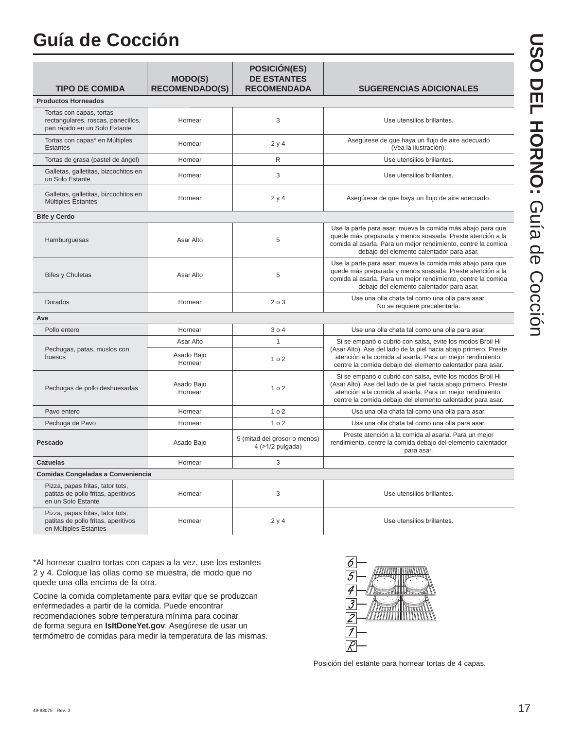# **Guía de Cocción**

| <b>TIPO DE COMIDA</b>                                                                            | <b>MODO(S)</b><br><b>RECOMENDADO(S)</b> | POSICIÓN(ES)<br><b>DE ESTANTES</b><br><b>RECOMENDADA</b> | <b>SUGERENCIAS ADICIONALES</b>                                                                                                                                                                                                                            |
|--------------------------------------------------------------------------------------------------|-----------------------------------------|----------------------------------------------------------|-----------------------------------------------------------------------------------------------------------------------------------------------------------------------------------------------------------------------------------------------------------|
| <b>Productos Horneados</b>                                                                       |                                         |                                                          |                                                                                                                                                                                                                                                           |
| Tortas con capas, tortas<br>rectangulares, roscas, panecillos,<br>pan rápido en un Solo Estante  | Hornear                                 | 3                                                        | Use utensilios brillantes.                                                                                                                                                                                                                                |
| Tortas con capas* en Múltiples<br>Estantes                                                       | Hornear                                 | 2y4                                                      | Asegúrese de que haya un flujo de aire adecuado<br>(Vea la ilustración).                                                                                                                                                                                  |
| Tortas de grasa (pastel de ángel)                                                                | Hornear                                 | R                                                        | Use utensilios brillantes.                                                                                                                                                                                                                                |
| Galletas, galletitas, bizcochitos en<br>un Solo Estante                                          | Hornear                                 | 3                                                        | Use utensilios brillantes.                                                                                                                                                                                                                                |
| Galletas, galletitas, bizcochitos en<br>Múltiples Estantes                                       | Hornear                                 | 2y4                                                      | Asegúrese de que haya un flujo de aire adecuado.                                                                                                                                                                                                          |
| <b>Bife y Cerdo</b>                                                                              |                                         |                                                          |                                                                                                                                                                                                                                                           |
| Hamburguesas                                                                                     | Asar Alto                               | 5                                                        | Use la parte para asar; mueva la comida más abajo para que<br>quede más preparada y menos soasada. Preste atención a la<br>comida al asarla. Para un mejor rendimiento, centre la comida<br>debajo del elemento calentador para asar.                     |
| <b>Bifes y Chuletas</b>                                                                          | Asar Alto                               | 5                                                        | Use la parte para asar; mueva la comida más abajo para que<br>quede más preparada y menos soasada. Preste atención a la<br>comida al asarla. Para un mejor rendimiento, centre la comida<br>debajo del elemento calentador para asar.                     |
| Dorados                                                                                          | Hornear                                 | 203                                                      | Use una olla chata tal como una olla para asar.<br>No se requiere precalentarla.                                                                                                                                                                          |
| Ave                                                                                              |                                         |                                                          |                                                                                                                                                                                                                                                           |
| Pollo entero                                                                                     | Hornear                                 | 304                                                      | Use una olla chata tal como una olla para asar.                                                                                                                                                                                                           |
|                                                                                                  | Asar Alto                               | 1                                                        | Si se empanó o cubrió con salsa, evite los modos Broil Hi                                                                                                                                                                                                 |
| Pechugas, patas, muslos con<br>huesos                                                            | Asado Bajo<br>Hornear                   | 1 <sub>0</sub> 2                                         | (Asar Alto). Ase del lado de la piel hacia abajo primero. Preste<br>atención a la comida al asarla. Para un mejor rendimiento,<br>centre la comida debajo del elemento calentador para asar.                                                              |
| Pechugas de pollo deshuesadas                                                                    | Asado Bajo<br>Hornear                   | 1 <sub>0</sub> 2                                         | Si se empanó o cubrió con salsa, evite los modos Broil Hi<br>(Asar Alto). Ase del lado de la piel hacia abajo primero. Preste<br>atención a la comida al asarla. Para un mejor rendimiento,<br>centre la comida debajo del elemento calentador para asar. |
| Pavo entero                                                                                      | Hornear                                 | 1 <sub>0</sub> 2                                         | Usa una olla chata tal como una olla para asar.                                                                                                                                                                                                           |
| Pechuga de Pavo                                                                                  | Hornear                                 | 102                                                      | Usa una olla chata tal como una olla para asar.                                                                                                                                                                                                           |
| Pescado                                                                                          | Asado Bajo                              | 5 (mitad del grosor o menos)<br>4 (>1/2 pulgada)         | Preste atención a la comida al asarla. Para un mejor<br>rendimiento, centre la comida debajo del elemento calentador<br>para asar.                                                                                                                        |
| <b>Cazuelas</b>                                                                                  | Hornear                                 | 3                                                        |                                                                                                                                                                                                                                                           |
| Comidas Congeladas a Conveniencia                                                                |                                         |                                                          |                                                                                                                                                                                                                                                           |
| Pizza, papas fritas, tator tots,<br>patitas de pollo fritas, aperitivos<br>en un Solo Estante    | Hornear                                 | 3                                                        | Use utensilios brillantes.                                                                                                                                                                                                                                |
| Pizza, papas fritas, tator tots,<br>patitas de pollo fritas, aperitivos<br>en Múltiples Estantes | Hornear                                 | 2y4                                                      | Use utensilios brillantes.                                                                                                                                                                                                                                |

\*Al hornear cuatro tortas con capas a la vez, use los estantes 2 y 4. Coloque las ollas como se muestra, de modo que no quede una olla encima de la otra.

Cocine la comida completamente para evitar que se produzcan enfermedades a partir de la comida. Puede encontrar recomendaciones sobre temperatura mínima para cocinar de forma segura en **IsItDoneYet.gov**. Asegúrese de usar un termómetro de comidas para medir la temperatura de las mismas.



Posición del estante para hornear tortas de 4 capas.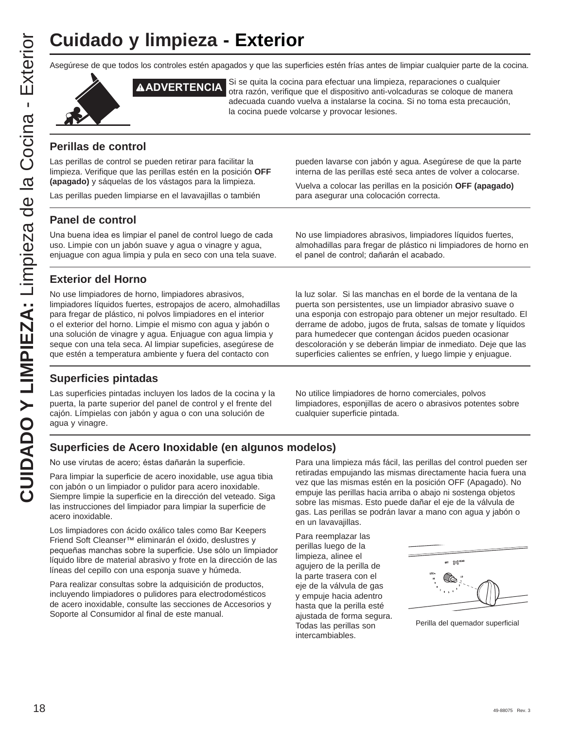# **Cuidado y limpieza - Exterior**

**CUIDADO Y LIMPIEZA:** Limpieza de la Cocina - Exterior **CUIDADO Y LIMPIEZA: Limpieza de la Cocina - Exterior** 

Asegúrese de que todos los controles estén apagados y que las superficies estén frías antes de limpiar cualquier parte de la cocina.



**ADVERTENCIA** Si se quita la cocina para efectuar una limpieza, reparaciones o cualquier otra razón, verifique que el dispositivo anti-volcaduras se coloque de manera adecuada cuando vuelva a instalarse la cocina. Si no toma esta precaución, la cocina puede volcarse y provocar lesiones.

### **Perillas de control**

Las perillas de control se pueden retirar para facilitar la limpieza. Verifique que las perillas estén en la posición **OFF (apagado)** y sáquelas de los vástagos para la limpieza.

Las perillas pueden limpiarse en el lavavajillas o también

### **Panel de control**

Una buena idea es limpiar el panel de control luego de cada uso. Limpie con un jabón suave y agua o vinagre y agua, enjuague con agua limpia y pula en seco con una tela suave.

### **Exterior del Horno**

No use limpiadores de horno, limpiadores abrasivos, limpiadores líquidos fuertes, estropajos de acero, almohadillas para fregar de plástico, ni polvos limpiadores en el interior o el exterior del horno. Limpie el mismo con agua y jabón o una solución de vinagre y agua. Enjuague con agua limpia y seque con una tela seca. Al limpiar supeficies, asegúrese de que estén a temperatura ambiente y fuera del contacto con

### **Superficies pintadas**

Las superficies pintadas incluyen los lados de la cocina y la puerta, la parte superior del panel de control y el frente del cajón. Límpielas con jabón y agua o con una solución de agua y vinagre.

pueden lavarse con jabón y agua. Asegúrese de que la parte interna de las perillas esté seca antes de volver a colocarse.

Vuelva a colocar las perillas en la posición **OFF (apagado)** para asegurar una colocación correcta.

No use limpiadores abrasivos, limpiadores líquidos fuertes, almohadillas para fregar de plástico ni limpiadores de horno en el panel de control; dañarán el acabado.

la luz solar. Si las manchas en el borde de la ventana de la puerta son persistentes, use un limpiador abrasivo suave o una esponja con estropajo para obtener un mejor resultado. El derrame de adobo, jugos de fruta, salsas de tomate y líquidos para humedecer que contengan ácidos pueden ocasionar descoloración y se deberán limpiar de inmediato. Deje que las superficies calientes se enfríen, y luego limpie y enjuague.

No utilice limpiadores de horno comerciales, polvos limpiadores, esponjillas de acero o abrasivos potentes sobre cualquier superficie pintada.

### **Superficies de Acero Inoxidable (en algunos modelos)**

No use virutas de acero; éstas dañarán la superficie.

Para limpiar la superficie de acero inoxidable, use agua tibia con jabón o un limpiador o pulidor para acero inoxidable. Siempre limpie la superficie en la dirección del veteado. Siga las instrucciones del limpiador para limpiar la superficie de acero inoxidable.

Los limpiadores con ácido oxálico tales como Bar Keepers Friend Soft Cleanser™ eliminarán el óxido, deslustres y pequeñas manchas sobre la superficie. Use sólo un limpiador líquido libre de material abrasivo y frote en la dirección de las líneas del cepillo con una esponja suave y húmeda.

Para realizar consultas sobre la adquisición de productos, incluyendo limpiadores o pulidores para electrodomésticos de acero inoxidable, consulte las secciones de Accesorios y Soporte al Consumidor al final de este manual.

Para una limpieza más fácil, las perillas del control pueden ser retiradas empujando las mismas directamente hacia fuera una vez que las mismas estén en la posición OFF (Apagado). No empuje las perillas hacia arriba o abajo ni sostenga objetos sobre las mismas. Esto puede dañar el eje de la válvula de gas. Las perillas se podrán lavar a mano con agua y jabón o en un lavavajillas.

Para reemplazar las perillas luego de la limpieza, alinee el agujero de la perilla de la parte trasera con el eje de la válvula de gas y empuje hacia adentro hasta que la perilla esté ajustada de forma segura. Todas las perillas son intercambiables.



Perilla del quemador superficial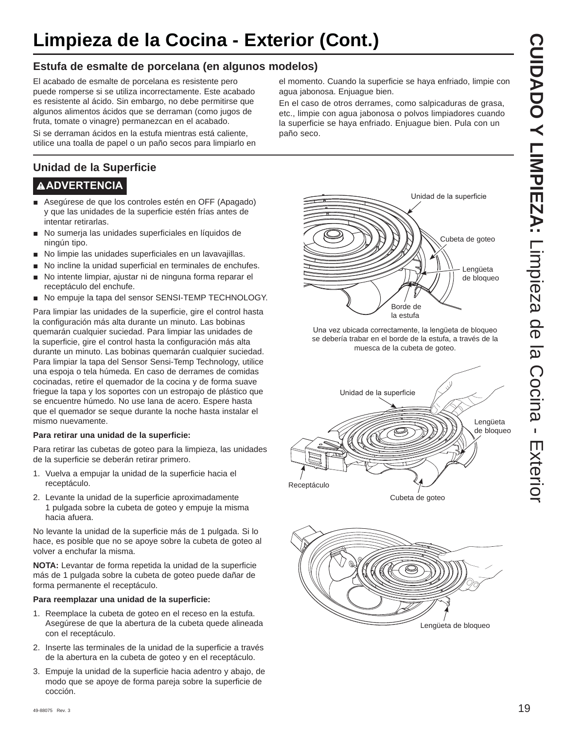## **Limpieza de la Cocina - Exterior (Cont.)**

### **Estufa de esmalte de porcelana (en algunos modelos)**

El acabado de esmalte de porcelana es resistente pero puede romperse si se utiliza incorrectamente. Este acabado es resistente al ácido. Sin embargo, no debe permitirse que algunos alimentos ácidos que se derraman (como jugos de fruta, tomate o vinagre) permanezcan en el acabado.

Si se derraman ácidos en la estufa mientras está caliente, utilice una toalla de papel o un paño secos para limpiarlo en

### **Unidad de la Superficie**

### **ADVERTENCIA**

- Asegúrese de que los controles estén en OFF (Apagado) y que las unidades de la superficie estén frías antes de intentar retirarlas.
- No sumerja las unidades superficiales en líquidos de ningún tipo.
- No limpie las unidades superficiales en un lavavajillas.
- No incline la unidad superficial en terminales de enchufes.
- No intente limpiar, ajustar ni de ninguna forma reparar el receptáculo del enchufe.
- No empuje la tapa del sensor SENSI-TEMP TECHNOLOGY.

Para limpiar las unidades de la superficie, gire el control hasta la configuración más alta durante un minuto. Las bobinas quemarán cualquier suciedad. Para limpiar las unidades de la superficie, gire el control hasta la configuración más alta durante un minuto. Las bobinas quemarán cualquier suciedad. Para limpiar la tapa del Sensor Sensi-Temp Technology, utilice una espoja o tela húmeda. En caso de derrames de comidas cocinadas, retire el quemador de la cocina y de forma suave friegue la tapa y los soportes con un estropajo de plástico que se encuentre húmedo. No use lana de acero. Espere hasta que el quemador se seque durante la noche hasta instalar el mismo nuevamente.

#### **Para retirar una unidad de la superficie:**

Para retirar las cubetas de goteo para la limpieza, las unidades de la superficie se deberán retirar primero.

- 1. Vuelva a empujar la unidad de la superficie hacia el receptáculo.
- 2. Levante la unidad de la superficie aproximadamente 1 pulgada sobre la cubeta de goteo y empuje la misma hacia afuera.

No levante la unidad de la superficie más de 1 pulgada. Si lo hace, es posible que no se apoye sobre la cubeta de goteo al volver a enchufar la misma.

**NOTA:** Levantar de forma repetida la unidad de la superficie más de 1 pulgada sobre la cubeta de goteo puede dañar de forma permanente el receptáculo.

#### **Para reemplazar una unidad de la superficie:**

- 1. Reemplace la cubeta de goteo en el receso en la estufa. Asegúrese de que la abertura de la cubeta quede alineada con el receptáculo.
- 2. Inserte las terminales de la unidad de la superficie a través de la abertura en la cubeta de goteo y en el receptáculo.
- 3. Empuje la unidad de la superficie hacia adentro y abajo, de modo que se apoye de forma pareja sobre la superficie de cocción.

el momento. Cuando la superficie se haya enfriado, limpie con agua jabonosa. Enjuague bien.

En el caso de otros derrames, como salpicaduras de grasa, etc., limpie con agua jabonosa o polvos limpiadores cuando la superficie se haya enfriado. Enjuague bien. Pula con un paño seco.



Una vez ubicada correctamente, la lengüeta de bloqueo se debería trabar en el borde de la estufa, a través de la muesca de la cubeta de goteo.



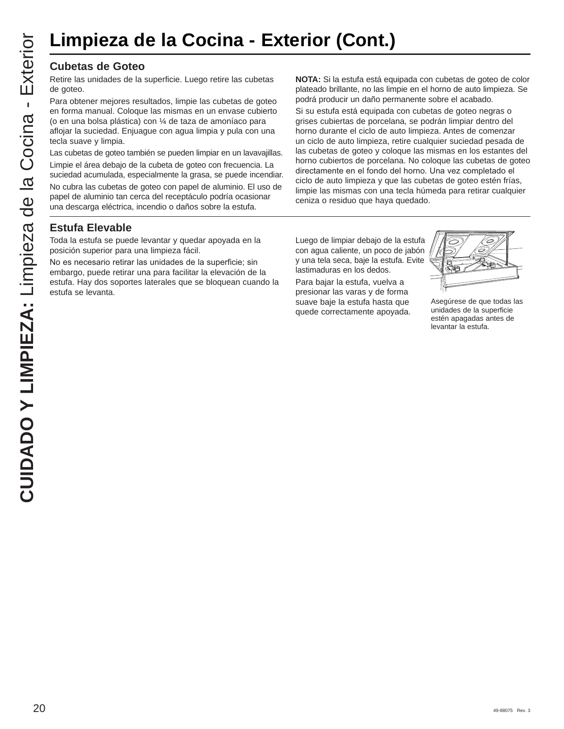# **Limpieza de la Cocina - Exterior (Cont.)**

Retire las unidades de la superficie. Luego retire las cubetas de goteo.

Para obtener mejores resultados, limpie las cubetas de goteo en forma manual. Coloque las mismas en un envase cubierto (o en una bolsa plástica) con ¼ de taza de amoníaco para aflojar la suciedad. Enjuague con agua limpia y pula con una tecla suave y limpia.

Las cubetas de goteo también se pueden limpiar en un lavavajillas.

Limpie el área debajo de la cubeta de goteo con frecuencia. La suciedad acumulada, especialmente la grasa, se puede incendiar.

No cubra las cubetas de goteo con papel de aluminio. El uso de papel de aluminio tan cerca del receptáculo podría ocasionar una descarga eléctrica, incendio o daños sobre la estufa.

**NOTA:** Si la estufa está equipada con cubetas de goteo de color plateado brillante, no las limpie en el horno de auto limpieza. Se podrá producir un daño permanente sobre el acabado.

Si su estufa está equipada con cubetas de goteo negras o grises cubiertas de porcelana, se podrán limpiar dentro del horno durante el ciclo de auto limpieza. Antes de comenzar un ciclo de auto limpieza, retire cualquier suciedad pesada de las cubetas de goteo y coloque las mismas en los estantes del horno cubiertos de porcelana. No coloque las cubetas de goteo directamente en el fondo del horno. Una vez completado el ciclo de auto limpieza y que las cubetas de goteo estén frías, limpie las mismas con una tecla húmeda para retirar cualquier ceniza o residuo que haya quedado.

### **Estufa Elevable**

Toda la estufa se puede levantar y quedar apoyada en la posición superior para una limpieza fácil.

No es necesario retirar las unidades de la superficie; sin embargo, puede retirar una para facilitar la elevación de la estufa. Hay dos soportes laterales que se bloquean cuando la estufa se levanta.

Luego de limpiar debajo de la estufa con agua caliente, un poco de jabón y una tela seca, baje la estufa. Evite lastimaduras en los dedos.

Para bajar la estufa, vuelva a presionar las varas y de forma suave baje la estufa hasta que quede correctamente apoyada.



Asegúrese de que todas las unidades de la superficie estén apagadas antes de levantar la estufa.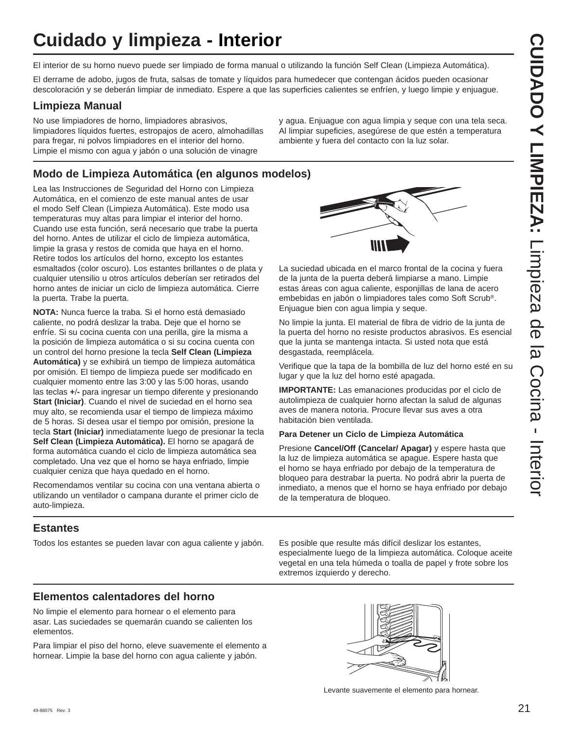# **Cuidado y limpieza - Interior**

El interior de su horno nuevo puede ser limpiado de forma manual o utilizando la función Self Clean (Limpieza Automática).

El derrame de adobo, jugos de fruta, salsas de tomate y líquidos para humedecer que contengan ácidos pueden ocasionar descoloración y se deberán limpiar de inmediato. Espere a que las superficies calientes se enfríen, y luego limpie y enjuague.

### **Limpieza Manual**

No use limpiadores de horno, limpiadores abrasivos, limpiadores líquidos fuertes, estropajos de acero, almohadillas para fregar, ni polvos limpiadores en el interior del horno. Limpie el mismo con agua y jabón o una solución de vinagre

y agua. Enjuague con agua limpia y seque con una tela seca. Al limpiar supeficies, asegúrese de que estén a temperatura ambiente y fuera del contacto con la luz solar.

### **Modo de Limpieza Automática (en algunos modelos)**

Lea las Instrucciones de Seguridad del Horno con Limpieza Automática, en el comienzo de este manual antes de usar el modo Self Clean (Limpieza Automática). Este modo usa temperaturas muy altas para limpiar el interior del horno. Cuando use esta función, será necesario que trabe la puerta del horno. Antes de utilizar el ciclo de limpieza automática, limpie la grasa y restos de comida que haya en el horno. Retire todos los artículos del horno, excepto los estantes esmaltados (color oscuro). Los estantes brillantes o de plata y cualquier utensilio u otros artículos deberían ser retirados del horno antes de iniciar un ciclo de limpieza automática. Cierre la puerta. Trabe la puerta.

**NOTA:** Nunca fuerce la traba. Si el horno está demasiado caliente, no podrá deslizar la traba. Deje que el horno se enfríe. Si su cocina cuenta con una perilla, gire la misma a la posición de limpieza automática o si su cocina cuenta con un control del horno presione la tecla **Self Clean (Limpieza Automática)** y se exhibirá un tiempo de limpieza automática por omisión. El tiempo de limpieza puede ser modificado en cualquier momento entre las 3:00 y las 5:00 horas, usando las teclas **+-** para ingresar un tiempo diferente y presionando **Start (Iniciar)**. Cuando el nivel de suciedad en el horno sea muy alto, se recomienda usar el tiempo de limpieza máximo de 5 horas. Si desea usar el tiempo por omisión, presione la tecla **Start (Iniciar)** inmediatamente luego de presionar la tecla **Self Clean (Limpieza Automática).** El horno se apagará de forma automática cuando el ciclo de limpieza automática sea completado. Una vez que el horno se haya enfriado, limpie cualquier ceniza que haya quedado en el horno.

Recomendamos ventilar su cocina con una ventana abierta o utilizando un ventilador o campana durante el primer ciclo de auto-limpieza.

La suciedad ubicada en el marco frontal de la cocina y fuera de la junta de la puerta deberá limpiarse a mano. Limpie estas áreas con agua caliente, esponjillas de lana de acero embebidas en jabón o limpiadores tales como Soft Scrub®. Enjuague bien con agua limpia y seque.

No limpie la junta. El material de fibra de vidrio de la junta de la puerta del horno no resiste productos abrasivos. Es esencial que la junta se mantenga intacta. Si usted nota que está desgastada, reemplácela.

Verifique que la tapa de la bombilla de luz del horno esté en su lugar y que la luz del horno esté apagada.

**IMPORTANTE:** Las emanaciones producidas por el ciclo de autolimpieza de cualquier horno afectan la salud de algunas aves de manera notoria. Procure llevar sus aves a otra habitación bien ventilada.

### **Para Detener un Ciclo de Limpieza Automática**

Presione **Cancel/Off (Cancelar/ Apagar)** y espere hasta que la luz de limpieza automática se apague. Espere hasta que el horno se haya enfriado por debajo de la temperatura de bloqueo para destrabar la puerta. No podrá abrir la puerta de inmediato, a menos que el horno se haya enfriado por debajo de la temperatura de bloqueo.

### **Estantes**

Todos los estantes se pueden lavar con agua caliente y jabón. Es posible que resulte más difícil deslizar los estantes,

especialmente luego de la limpieza automática. Coloque aceite vegetal en una tela húmeda o toalla de papel y frote sobre los extremos izquierdo y derecho.

### **Elementos calentadores del horno**

No limpie el elemento para hornear o el elemento para asar. Las suciedades se quemarán cuando se calienten los elementos.

Para limpiar el piso del horno, eleve suavemente el elemento a hornear. Limpie la base del horno con agua caliente y jabón.



Levante suavemente el elemento para hornear.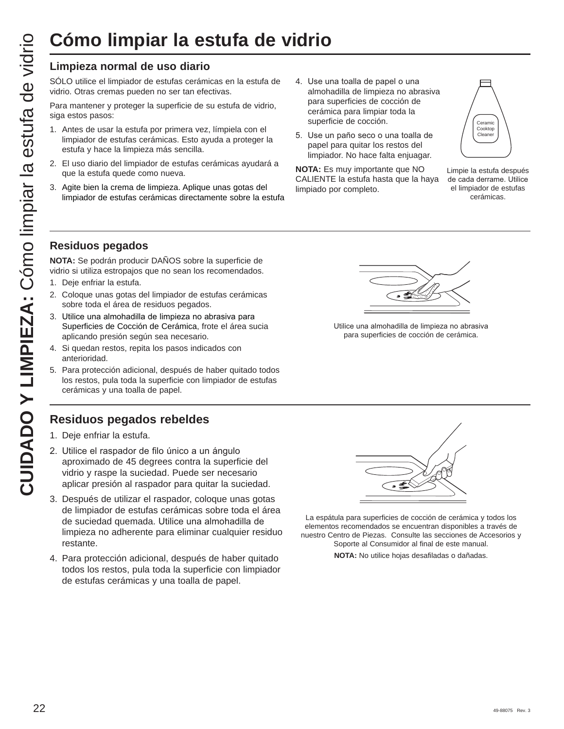### **Limpieza normal de uso diario**

SÓLO utilice el limpiador de estufas cerámicas en la estufa de vidrio. Otras cremas pueden no ser tan efectivas.

Para mantener y proteger la superficie de su estufa de vidrio, siga estos pasos:

- 1. Antes de usar la estufa por primera vez, límpiela con el limpiador de estufas cerámicas. Esto ayuda a proteger la estufa y hace la limpieza más sencilla.
- 2. El uso diario del limpiador de estufas cerámicas ayudará a que la estufa quede como nueva.
- 3. Agite bien la crema de limpieza. Aplique unas gotas del limpiador de estufas cerámicas directamente sobre la estufa
- 4. Use una toalla de papel o una almohadilla de limpieza no abrasiva para superficies de cocción de cerámica para limpiar toda la superficie de cocción.
- 5. Use un paño seco o una toalla de papel para quitar los restos del limpiador. No hace falta enjuagar.

**NOTA:** Es muy importante que NO CALIENTE la estufa hasta que la haya limpiado por completo.



Limpie la estufa después de cada derrame. Utilice el limpiador de estufas cerámicas.

### **Residuos pegados**

**NOTA:** Se podrán producir DAÑOS sobre la superficie de vidrio si utiliza estropajos que no sean los recomendados.

- 1. Deje enfriar la estufa.
- 2. Coloque unas gotas del limpiador de estufas cerámicas sobre toda el área de residuos pegados.
- 3. Utilice una almohadilla de limpieza no abrasiva para Superficies de Cocción de Cerámica, frote el área sucia aplicando presión según sea necesario.
- 4. Si quedan restos, repita los pasos indicados con anterioridad.
- 5. Para protección adicional, después de haber quitado todos los restos, pula toda la superficie con limpiador de estufas cerámicas y una toalla de papel.

### **Residuos pegados rebeldes**

- 1. Deje enfriar la estufa.
- 2. Utilice el raspador de filo único a un ángulo aproximado de 45 degrees contra la superficie del vidrio y raspe la suciedad. Puede ser necesario aplicar presión al raspador para quitar la suciedad.
- 22 **Limpiar la estufa de vidrio**<br>22 **Limpiar normal de uso distin<br>
de vidro y distinguisa como limpiar de vidro de vidro de vidro de vidro de vidro de vidro de vidro de vidro de vidro de vidro de vidro de vidro de vidro d** 3. Después de utilizar el raspador, coloque unas gotas de limpiador de estufas cerámicas sobre toda el área de suciedad quemada. Utilice una almohadilla de limpieza no adherente para eliminar cualquier residuo restante.
	- 4. Para protección adicional, después de haber quitado todos los restos, pula toda la superficie con limpiador de estufas cerámicas y una toalla de papel.



Utilice una almohadilla de limpieza no abrasiva para superficies de cocción de cerámica.



La espátula para superficies de cocción de cerámica y todos los elementos recomendados se encuentran disponibles a través de nuestro Centro de Piezas. Consulte las secciones de Accesorios y Soporte al Consumidor al final de este manual.

**NOTA:** No utilice hojas desafiladas o dañadas.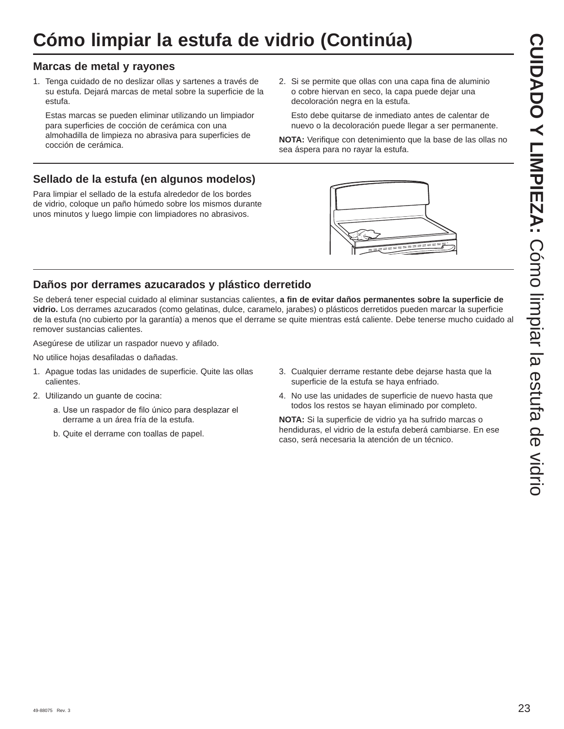# **Cómo limpiar la estufa de vidrio (Continúa)**

### **Marcas de metal y rayones**

1. Tenga cuidado de no deslizar ollas y sartenes a través de su estufa. Dejará marcas de metal sobre la superficie de la estufa.

 Estas marcas se pueden eliminar utilizando un limpiador para superficies de cocción de cerámica con una almohadilla de limpieza no abrasiva para superficies de cocción de cerámica.

2. Si se permite que ollas con una capa fina de aluminio o cobre hiervan en seco, la capa puede dejar una decoloración negra en la estufa.

 Esto debe quitarse de inmediato antes de calentar de nuevo o la decoloración puede llegar a ser permanente.

**NOTA:** Verifique con detenimiento que la base de las ollas no sea áspera para no rayar la estufa.

### **Sellado de la estufa (en algunos modelos)**

Para limpiar el sellado de la estufa alrededor de los bordes de vidrio, coloque un paño húmedo sobre los mismos durante unos minutos y luego limpie con limpiadores no abrasivos.

### **Daños por derrames azucarados y plástico derretido**

Se deberá tener especial cuidado al eliminar sustancias calientes, **a fin de evitar daños permanentes sobre la superficie de vidrio.** Los derrames azucarados (como gelatinas, dulce, caramelo, jarabes) o plásticos derretidos pueden marcar la superficie de la estufa (no cubierto por la garantía) a menos que el derrame se quite mientras está caliente. Debe tenerse mucho cuidado al remover sustancias calientes.

Asegúrese de utilizar un raspador nuevo y afilado.

No utilice hojas desafiladas o dañadas.

- 1. Apague todas las unidades de superficie. Quite las ollas calientes.
- 2. Utilizando un guante de cocina:
	- a. Use un raspador de filo único para desplazar el derrame a un área fría de la estufa.
	- b. Quite el derrame con toallas de papel.
- 3. Cualquier derrame restante debe dejarse hasta que la superficie de la estufa se haya enfriado.
- 4. No use las unidades de superficie de nuevo hasta que todos los restos se hayan eliminado por completo.

**NOTA:** Si la superficie de vidrio ya ha sufrido marcas o hendiduras, el vidrio de la estufa deberá cambiarse. En ese caso, será necesaria la atención de un técnico.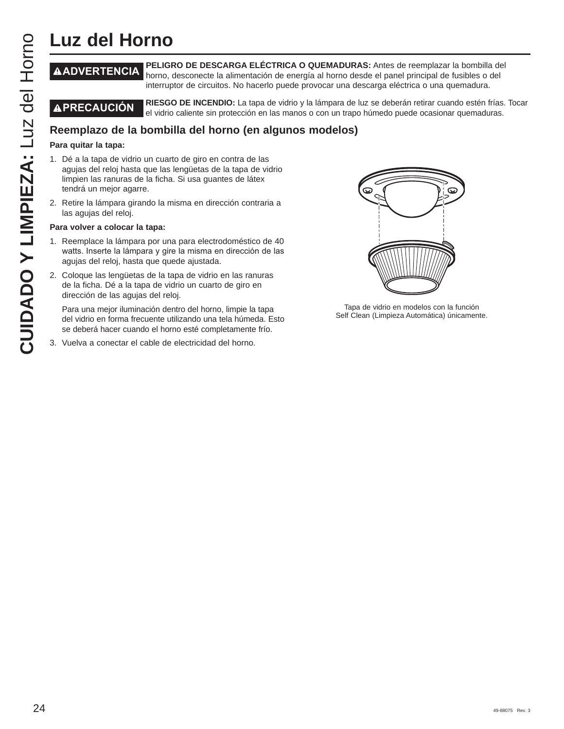# **Luz del Horno**

**ADVERTENCIA PELIGRO DE DESCARGA ELÉCTRICA O QUEMADURAS:** Antes de reemplazar la bombilla del horno, desconecte la alimentación de energía al horno desde el panel principal de fusibles o del interruptor de circuitos. No hacerlo puede provocar una descarga eléctrica o una quemadura.

**PRECAUCIÓN RIESGO DE INCENDIO:** La tapa de vidrio y la lámpara de luz se deberán retirar cuando estén frías. Tocar el vidrio caliente sin protección en las manos o con un trapo húmedo puede ocasionar quemaduras.

### **Para quitar la tapa:**

- CUIDE **CUIDE FRANCIA PELIGRO DE DESCARGA ELÉCTRICA O QUEMADURE (CONSECTRIGA DE DERIGRO) (CONSECTRIGA DE DERIGRO) CONSECTRIGA DE DESCARGA DE DESCARGA DE INCENSION (CONSECTRIGA DE DESCAPTED DE DESCAPTED DE DESCAPTED DE DESC** 1. Dé a la tapa de vidrio un cuarto de giro en contra de las agujas del reloj hasta que las lengüetas de la tapa de vidrio limpien las ranuras de la ficha. Si usa guantes de látex tendrá un mejor agarre.
	- 2. Retire la lámpara girando la misma en dirección contraria a las agujas del reloj.

#### **Para volver a colocar la tapa:**

- 1. Reemplace la lámpara por una para electrodoméstico de 40 watts. Inserte la lámpara y gire la misma en dirección de las agujas del reloj, hasta que quede ajustada.
- 2. Coloque las lengüetas de la tapa de vidrio en las ranuras de la ficha. Dé a la tapa de vidrio un cuarto de giro en dirección de las agujas del reloj.

 Para una mejor iluminación dentro del horno, limpie la tapa del vidrio en forma frecuente utilizando una tela húmeda. Esto se deberá hacer cuando el horno esté completamente frío.

3. Vuelva a conectar el cable de electricidad del horno.



Tapa de vidrio en modelos con la función Self Clean (Limpieza Automática) únicamente.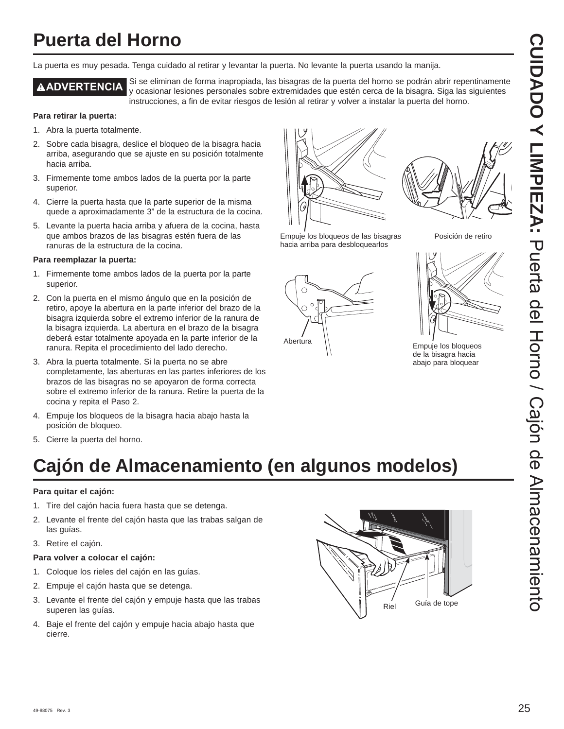## **Puerta del Horno**

La puerta es muy pesada. Tenga cuidado al retirar y levantar la puerta. No levante la puerta usando la manija.

**A ADVERTENCIA** Si se eliminan de forma inapropiada, las bisagras de la puerta del horno se podrán abrir repentinamente y ocasionar lesiones personales sobre extremidades que estén cerca de la bisagra. Siga las siguientes instrucciones, a fin de evitar riesgos de lesión al retirar y volver a instalar la puerta del horno.

#### **Para retirar la puerta:**

- 1. Abra la puerta totalmente.
- 2. Sobre cada bisagra, deslice el bloqueo de la bisagra hacia arriba, asegurando que se ajuste en su posición totalmente hacia arriba.
- 3. Firmemente tome ambos lados de la puerta por la parte superior.
- 4. Cierre la puerta hasta que la parte superior de la misma quede a aproximadamente 3" de la estructura de la cocina.
- 5. Levante la puerta hacia arriba y afuera de la cocina, hasta que ambos brazos de las bisagras estén fuera de las ranuras de la estructura de la cocina.

#### **Para reemplazar la puerta:**

- 1. Firmemente tome ambos lados de la puerta por la parte superior.
- 2. Con la puerta en el mismo ángulo que en la posición de retiro, apoye la abertura en la parte inferior del brazo de la bisagra izquierda sobre el extremo inferior de la ranura de la bisagra izquierda. La abertura en el brazo de la bisagra deberá estar totalmente apoyada en la parte inferior de la ranura. Repita el procedimiento del lado derecho.
- 3. Abra la puerta totalmente. Si la puerta no se abre completamente, las aberturas en las partes inferiores de los brazos de las bisagras no se apoyaron de forma correcta sobre el extremo inferior de la ranura. Retire la puerta de la cocina y repita el Paso 2.
- 4. Empuje los bloqueos de la bisagra hacia abajo hasta la posición de bloqueo.
- 5. Cierre la puerta del horno.

# **Cajón de Almacenamiento (en algunos modelos)**

### **Para quitar el cajón:**

- 1. Tire del cajón hacia fuera hasta que se detenga.
- 2. Levante el frente del cajón hasta que las trabas salgan de las guías.
- 3. Retire el cajón.

### **Para volver a colocar el cajón:**

- 1. Coloque los rieles del cajón en las guías.
- 2. Empuje el cajón hasta que se detenga.
- 3. Levante el frente del cajón y empuje hasta que las trabas superen las guías.
- 4. Baje el frente del cajón y empuje hacia abajo hasta que cierre.





Posición de retiro

de la bisagra hacia abajo para bloquear

Empuje los bloqueos de las bisagras hacia arriba para desbloquearlos



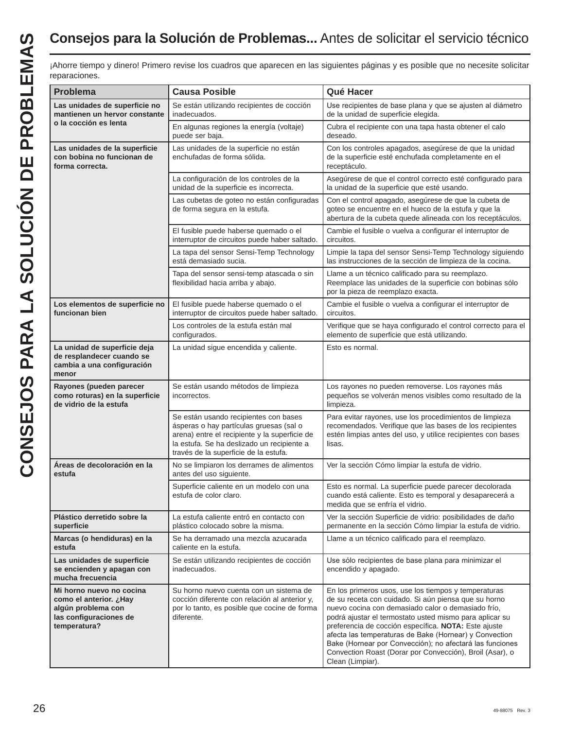### **Consejos para la Solución de Problemas...** Antes de solicitar el servicio técnico

| <b>Problema</b>                                                                                                    | <b>Causa Posible</b>                                                                                                                                                                                                     | Qué Hacer                                                                                                                                                                                                                                                                                                                                                                                                                                                                                   |  |  |  |  |  |
|--------------------------------------------------------------------------------------------------------------------|--------------------------------------------------------------------------------------------------------------------------------------------------------------------------------------------------------------------------|---------------------------------------------------------------------------------------------------------------------------------------------------------------------------------------------------------------------------------------------------------------------------------------------------------------------------------------------------------------------------------------------------------------------------------------------------------------------------------------------|--|--|--|--|--|
| Las unidades de superficie no<br>mantienen un hervor constante                                                     | Se están utilizando recipientes de cocción<br>inadecuados.                                                                                                                                                               | Use recipientes de base plana y que se ajusten al diámetro<br>de la unidad de superficie elegida.                                                                                                                                                                                                                                                                                                                                                                                           |  |  |  |  |  |
| o la cocción es lenta                                                                                              | En algunas regiones la energía (voltaje)<br>puede ser baja.                                                                                                                                                              | Cubra el recipiente con una tapa hasta obtener el calo<br>deseado.                                                                                                                                                                                                                                                                                                                                                                                                                          |  |  |  |  |  |
| Las unidades de la superficie<br>con bobina no funcionan de<br>forma correcta.                                     | Las unidades de la superficie no están<br>enchufadas de forma sólida.                                                                                                                                                    | Con los controles apagados, asegúrese de que la unidad<br>de la superficie esté enchufada completamente en el<br>receptáculo.                                                                                                                                                                                                                                                                                                                                                               |  |  |  |  |  |
|                                                                                                                    | La configuración de los controles de la<br>unidad de la superficie es incorrecta.                                                                                                                                        | Asegúrese de que el control correcto esté configurado para<br>la unidad de la superficie que esté usando.                                                                                                                                                                                                                                                                                                                                                                                   |  |  |  |  |  |
|                                                                                                                    | Las cubetas de goteo no están configuradas<br>de forma segura en la estufa.                                                                                                                                              | Con el control apagado, asegúrese de que la cubeta de<br>goteo se encuentre en el hueco de la estufa y que la<br>abertura de la cubeta quede alineada con los receptáculos.                                                                                                                                                                                                                                                                                                                 |  |  |  |  |  |
|                                                                                                                    | El fusible puede haberse quemado o el<br>interruptor de circuitos puede haber saltado.                                                                                                                                   | Cambie el fusible o vuelva a configurar el interruptor de<br>circuitos.                                                                                                                                                                                                                                                                                                                                                                                                                     |  |  |  |  |  |
|                                                                                                                    | La tapa del sensor Sensi-Temp Technology<br>está demasiado sucia.                                                                                                                                                        | Limpie la tapa del sensor Sensi-Temp Technology siguiendo<br>las instrucciones de la sección de limpieza de la cocina.                                                                                                                                                                                                                                                                                                                                                                      |  |  |  |  |  |
|                                                                                                                    | Tapa del sensor sensi-temp atascada o sin<br>flexibilidad hacia arriba y abajo.                                                                                                                                          | Llame a un técnico calificado para su reemplazo.<br>Reemplace las unidades de la superficie con bobinas sólo<br>por la pieza de reemplazo exacta.                                                                                                                                                                                                                                                                                                                                           |  |  |  |  |  |
| Los elementos de superficie no<br>funcionan bien                                                                   | El fusible puede haberse quemado o el<br>interruptor de circuitos puede haber saltado.                                                                                                                                   | Cambie el fusible o vuelva a configurar el interruptor de<br>circuitos.                                                                                                                                                                                                                                                                                                                                                                                                                     |  |  |  |  |  |
|                                                                                                                    | Los controles de la estufa están mal<br>configurados.                                                                                                                                                                    | Verifique que se haya configurado el control correcto para el<br>elemento de superficie que está utilizando.                                                                                                                                                                                                                                                                                                                                                                                |  |  |  |  |  |
| La unidad de superficie deja<br>de resplandecer cuando se<br>cambia a una configuración<br>menor                   | La unidad sigue encendida y caliente.                                                                                                                                                                                    | Esto es normal.                                                                                                                                                                                                                                                                                                                                                                                                                                                                             |  |  |  |  |  |
| Rayones (pueden parecer<br>como roturas) en la superficie<br>de vidrio de la estufa                                | Se están usando métodos de limpieza<br>incorrectos.                                                                                                                                                                      | Los rayones no pueden removerse. Los rayones más<br>pequeños se volverán menos visibles como resultado de la<br>limpieza.                                                                                                                                                                                                                                                                                                                                                                   |  |  |  |  |  |
|                                                                                                                    | Se están usando recipientes con bases<br>ásperas o hay partículas gruesas (sal o<br>arena) entre el recipiente y la superficie de<br>la estufa. Se ha deslizado un recipiente a<br>través de la superficie de la estufa. | Para evitar rayones, use los procedimientos de limpieza<br>recomendados. Verifique que las bases de los recipientes<br>estén limpias antes del uso, y utilice recipientes con bases<br>lisas.                                                                                                                                                                                                                                                                                               |  |  |  |  |  |
| Áreas de decoloración en la<br>estufa                                                                              | No se limpiaron los derrames de alimentos<br>antes del uso siguiente.                                                                                                                                                    | Ver la sección Cómo limpiar la estufa de vidrio.                                                                                                                                                                                                                                                                                                                                                                                                                                            |  |  |  |  |  |
|                                                                                                                    | Superficie caliente en un modelo con una<br>estufa de color claro.                                                                                                                                                       | Esto es normal. La superficie puede parecer decolorada<br>cuando está caliente. Esto es temporal y desaparecerá a<br>medida que se enfría el vidrio.                                                                                                                                                                                                                                                                                                                                        |  |  |  |  |  |
| Plástico derretido sobre la<br>superficie                                                                          | La estufa caliente entró en contacto con<br>plástico colocado sobre la misma.                                                                                                                                            | Ver la sección Superficie de vidrio: posibilidades de daño<br>permanente en la sección Cómo limpiar la estufa de vidrio.                                                                                                                                                                                                                                                                                                                                                                    |  |  |  |  |  |
| Marcas (o hendiduras) en la<br>estufa                                                                              | Se ha derramado una mezcla azucarada<br>caliente en la estufa.                                                                                                                                                           | Llame a un técnico calificado para el reemplazo.                                                                                                                                                                                                                                                                                                                                                                                                                                            |  |  |  |  |  |
| Las unidades de superficie<br>se encienden y apagan con<br>mucha frecuencia                                        | Se están utilizando recipientes de cocción<br>inadecuados.                                                                                                                                                               | Use sólo recipientes de base plana para minimizar el<br>encendido y apagado.                                                                                                                                                                                                                                                                                                                                                                                                                |  |  |  |  |  |
| Mi horno nuevo no cocina<br>como el anterior. ¿Hay<br>algún problema con<br>las configuraciones de<br>temperatura? | Su horno nuevo cuenta con un sistema de<br>cocción diferente con relación al anterior y,<br>por lo tanto, es posible que cocine de forma<br>diferente.                                                                   | En los primeros usos, use los tiempos y temperaturas<br>de su receta con cuidado. Si aún piensa que su horno<br>nuevo cocina con demasiado calor o demasiado frío,<br>podrá ajustar el termostato usted mismo para aplicar su<br>preferencia de cocción específica. NOTA: Este ajuste<br>afecta las temperaturas de Bake (Hornear) y Convection<br>Bake (Hornear por Convección); no afectará las funciones<br>Convection Roast (Dorar por Convección), Broil (Asar), o<br>Clean (Limpiar). |  |  |  |  |  |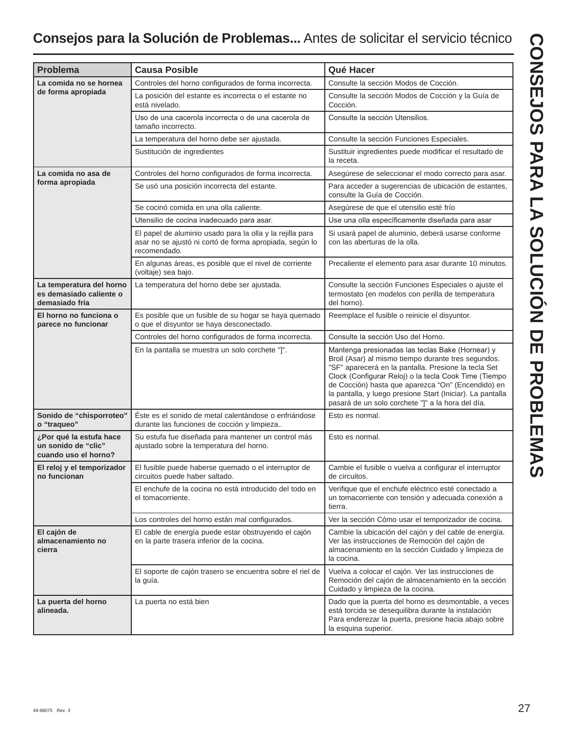### **Consejos para la Solución de Problemas...** Antes de solicitar el servicio técnico

| <b>Problema</b>                                                        | <b>Causa Posible</b>                                                                                                                 | Qué Hacer                                                                                                                                                                                                                                                                                                                                                                                         |  |  |  |  |
|------------------------------------------------------------------------|--------------------------------------------------------------------------------------------------------------------------------------|---------------------------------------------------------------------------------------------------------------------------------------------------------------------------------------------------------------------------------------------------------------------------------------------------------------------------------------------------------------------------------------------------|--|--|--|--|
| La comida no se hornea                                                 | Controles del horno configurados de forma incorrecta.                                                                                | Consulte la sección Modos de Cocción.                                                                                                                                                                                                                                                                                                                                                             |  |  |  |  |
| de forma apropiada                                                     | La posición del estante es incorrecta o el estante no<br>está nivelado.                                                              | Consulte la sección Modos de Cocción y la Guía de<br>Cocción.                                                                                                                                                                                                                                                                                                                                     |  |  |  |  |
|                                                                        | Uso de una cacerola incorrecta o de una cacerola de<br>tamaño incorrecto.                                                            | Consulte la sección Utensilios.                                                                                                                                                                                                                                                                                                                                                                   |  |  |  |  |
|                                                                        | La temperatura del horno debe ser ajustada.                                                                                          | Consulte la sección Funciones Especiales.                                                                                                                                                                                                                                                                                                                                                         |  |  |  |  |
|                                                                        | Sustitución de ingredientes                                                                                                          | Sustituir ingredientes puede modificar el resultado de<br>la receta.                                                                                                                                                                                                                                                                                                                              |  |  |  |  |
| La comida no asa de                                                    | Controles del horno configurados de forma incorrecta.                                                                                | Asegúrese de seleccionar el modo correcto para asar.                                                                                                                                                                                                                                                                                                                                              |  |  |  |  |
| forma apropiada                                                        | Se usó una posición incorrecta del estante.                                                                                          | Para acceder a sugerencias de ubicación de estantes,<br>consulte la Guía de Cocción.                                                                                                                                                                                                                                                                                                              |  |  |  |  |
|                                                                        | Se cocinó comida en una olla caliente.                                                                                               | Asegúrese de que el utensilio esté frío                                                                                                                                                                                                                                                                                                                                                           |  |  |  |  |
|                                                                        | Utensilio de cocina inadecuado para asar.                                                                                            | Use una olla específicamente diseñada para asar                                                                                                                                                                                                                                                                                                                                                   |  |  |  |  |
|                                                                        | El papel de aluminio usado para la olla y la rejilla para<br>asar no se ajustó ni cortó de forma apropiada, según lo<br>recomendado. | Si usará papel de aluminio, deberá usarse conforme<br>con las aberturas de la olla.                                                                                                                                                                                                                                                                                                               |  |  |  |  |
|                                                                        | En algunas áreas, es posible que el nivel de corriente<br>(voltaje) sea bajo.                                                        | Precaliente el elemento para asar durante 10 minutos.                                                                                                                                                                                                                                                                                                                                             |  |  |  |  |
| La temperatura del horno<br>es demasiado caliente o<br>demasiado fría  | La temperatura del horno debe ser ajustada.                                                                                          | Consulte la sección Funciones Especiales o ajuste el<br>termostato (en modelos con perilla de temperatura<br>del horno).                                                                                                                                                                                                                                                                          |  |  |  |  |
| El horno no funciona o<br>parece no funcionar                          | Es posible que un fusible de su hogar se haya quemado<br>o que el disyuntor se haya desconectado.                                    | Reemplace el fusible o reinicie el disyuntor.                                                                                                                                                                                                                                                                                                                                                     |  |  |  |  |
|                                                                        | Controles del horno configurados de forma incorrecta.                                                                                | Consulte la sección Uso del Horno.                                                                                                                                                                                                                                                                                                                                                                |  |  |  |  |
|                                                                        | En la pantalla se muestra un solo corchete "]".                                                                                      | Mantenga presionadas las teclas Bake (Hornear) y<br>Broil (Asar) al mismo tiempo durante tres segundos.<br>"SF" aparecerá en la pantalla. Presione la tecla Set<br>Clock (Configurar Reloj) o la tecla Cook Time (Tiempo<br>de Cocción) hasta que aparezca "On" (Encendido) en<br>la pantalla, y luego presione Start (Iniciar). La pantalla<br>pasará de un solo corchete "]" a la hora del día. |  |  |  |  |
| Sonido de "chisporroteo"<br>o "traqueo"                                | Éste es el sonido de metal calentándose o enfriándose<br>durante las funciones de cocción y limpieza                                 | Esto es normal.                                                                                                                                                                                                                                                                                                                                                                                   |  |  |  |  |
| ¿Por qué la estufa hace<br>un sonido de "clic"<br>cuando uso el horno? | Su estufa fue diseñada para mantener un control más<br>ajustado sobre la temperatura del horno.                                      | Esto es normal.                                                                                                                                                                                                                                                                                                                                                                                   |  |  |  |  |
| El reloj y el temporizador<br>no funcionan                             | El fusible puede haberse quemado o el interruptor de<br>circuitos puede haber saltado.                                               | Cambie el fusible o vuelva a configurar el interruptor<br>de circuitos.                                                                                                                                                                                                                                                                                                                           |  |  |  |  |
|                                                                        | El enchufe de la cocina no está introducido del todo en<br>el tomacorriente.                                                         | Verifique que el enchufe eléctrico esté conectado a<br>un tomacorriente con tensión y adecuada conexión a<br>tierra.                                                                                                                                                                                                                                                                              |  |  |  |  |
|                                                                        | Los controles del horno están mal configurados.                                                                                      | Ver la sección Cómo usar el temporizador de cocina.                                                                                                                                                                                                                                                                                                                                               |  |  |  |  |
| El cajón de<br>almacenamiento no<br>cierra                             | El cable de energía puede estar obstruyendo el cajón<br>en la parte trasera inferior de la cocina.                                   | Cambie la ubicación del cajón y del cable de energía.<br>Ver las instrucciones de Remoción del cajón de<br>almacenamiento en la sección Cuidado y limpieza de<br>la cocina.                                                                                                                                                                                                                       |  |  |  |  |
|                                                                        | El soporte de cajón trasero se encuentra sobre el riel de<br>la guía.                                                                | Vuelva a colocar el cajón. Ver las instrucciones de<br>Remoción del cajón de almacenamiento en la sección<br>Cuidado y limpieza de la cocina.                                                                                                                                                                                                                                                     |  |  |  |  |
| La puerta del horno<br>alineada.                                       | La puerta no está bien                                                                                                               | Dado que la puerta del horno es desmontable, a veces<br>está torcida se desequilibra durante la instalación<br>Para enderezar la puerta, presione hacia abajo sobre<br>la esquina superior.                                                                                                                                                                                                       |  |  |  |  |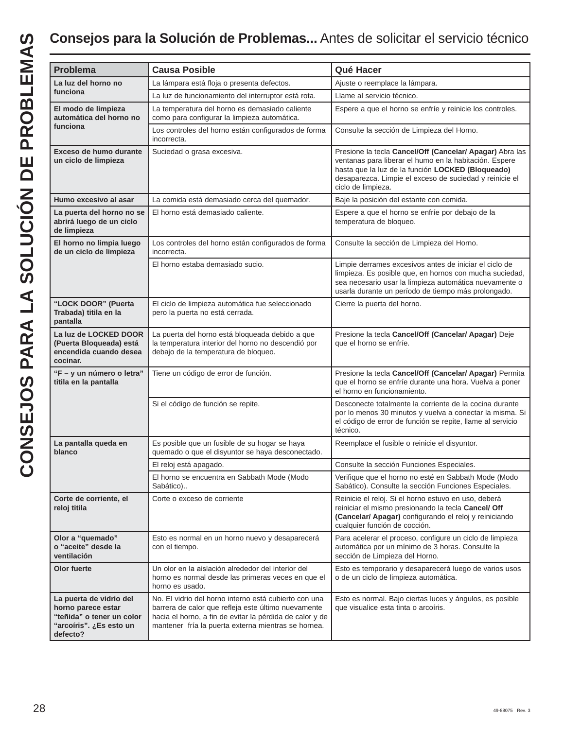| <b>Problema</b>                                                                                                   | <b>Causa Posible</b>                                                                                                                                                                                                            | Qué Hacer                                                                                                                                                                                                                                                |  |  |
|-------------------------------------------------------------------------------------------------------------------|---------------------------------------------------------------------------------------------------------------------------------------------------------------------------------------------------------------------------------|----------------------------------------------------------------------------------------------------------------------------------------------------------------------------------------------------------------------------------------------------------|--|--|
| La luz del horno no                                                                                               | La lámpara está floja o presenta defectos.                                                                                                                                                                                      | Ajuste o reemplace la lámpara.                                                                                                                                                                                                                           |  |  |
| funciona                                                                                                          | La luz de funcionamiento del interruptor está rota.                                                                                                                                                                             | Llame al servicio técnico.                                                                                                                                                                                                                               |  |  |
| El modo de limpieza<br>automática del horno no                                                                    | La temperatura del horno es demasiado caliente<br>como para configurar la limpieza automática.                                                                                                                                  | Espere a que el horno se enfríe y reinicie los controles.                                                                                                                                                                                                |  |  |
| funciona                                                                                                          | Los controles del horno están configurados de forma<br>incorrecta.                                                                                                                                                              | Consulte la sección de Limpieza del Horno.                                                                                                                                                                                                               |  |  |
| Exceso de humo durante<br>un ciclo de limpieza                                                                    | Suciedad o grasa excesiva.                                                                                                                                                                                                      | Presione la tecla Cancel/Off (Cancelar/ Apagar) Abra las<br>ventanas para liberar el humo en la habitación. Espere<br>hasta que la luz de la función LOCKED (Bloqueado)<br>desaparezca. Limpie el exceso de suciedad y reinicie el<br>ciclo de limpieza. |  |  |
| Humo excesivo al asar                                                                                             | La comida está demasiado cerca del quemador.                                                                                                                                                                                    | Baje la posición del estante con comida.                                                                                                                                                                                                                 |  |  |
| La puerta del horno no se<br>abrirá luego de un ciclo<br>de limpieza                                              | El horno está demasiado caliente.                                                                                                                                                                                               | Espere a que el horno se enfríe por debajo de la<br>temperatura de bloqueo.                                                                                                                                                                              |  |  |
| El horno no limpia luego<br>de un ciclo de limpieza                                                               | Los controles del horno están configurados de forma<br>incorrecta.                                                                                                                                                              | Consulte la sección de Limpieza del Horno.                                                                                                                                                                                                               |  |  |
|                                                                                                                   | El horno estaba demasiado sucio.                                                                                                                                                                                                | Limpie derrames excesivos antes de iniciar el ciclo de<br>limpieza. Es posible que, en hornos con mucha suciedad,<br>sea necesario usar la limpieza automática nuevamente o<br>usarla durante un período de tiempo más prolongado.                       |  |  |
| "LOCK DOOR" (Puerta<br>Trabada) titila en la<br>pantalla                                                          | El ciclo de limpieza automática fue seleccionado<br>pero la puerta no está cerrada.                                                                                                                                             | Cierre la puerta del horno.                                                                                                                                                                                                                              |  |  |
| La luz de LOCKED DOOR<br>(Puerta Bloqueada) está<br>encendida cuando desea<br>cocinar.                            | La puerta del horno está bloqueada debido a que<br>la temperatura interior del horno no descendió por<br>debajo de la temperatura de bloqueo.                                                                                   | Presione la tecla Cancel/Off (Cancelar/ Apagar) Deje<br>que el horno se enfríe.                                                                                                                                                                          |  |  |
| "F - y un número o letra"<br>titila en la pantalla                                                                | Tiene un código de error de función.                                                                                                                                                                                            | Presione la tecla Cancel/Off (Cancelar/ Apagar) Permita<br>que el horno se enfríe durante una hora. Vuelva a poner<br>el horno en funcionamiento.                                                                                                        |  |  |
|                                                                                                                   | Si el código de función se repite.                                                                                                                                                                                              | Desconecte totalmente la corriente de la cocina durante<br>por lo menos 30 minutos y vuelva a conectar la misma. Si<br>el código de error de función se repite, llame al servicio<br>técnico.                                                            |  |  |
| La pantalla queda en<br>blanco                                                                                    | Es posible que un fusible de su hogar se haya<br>quemado o que el disyuntor se haya desconectado.                                                                                                                               | Reemplace el fusible o reinicie el disyuntor.                                                                                                                                                                                                            |  |  |
|                                                                                                                   | El reloj está apagado.                                                                                                                                                                                                          | Consulte la sección Funciones Especiales.                                                                                                                                                                                                                |  |  |
|                                                                                                                   | El horno se encuentra en Sabbath Mode (Modo<br>Sabático)                                                                                                                                                                        | Verifique que el horno no esté en Sabbath Mode (Modo<br>Sabático). Consulte la sección Funciones Especiales.                                                                                                                                             |  |  |
| Corte de corriente, el<br>reloj titila                                                                            | Corte o exceso de corriente                                                                                                                                                                                                     | Reinicie el reloj. Si el horno estuvo en uso, deberá<br>reiniciar el mismo presionando la tecla Cancel/ Off<br>(Cancelar/ Apagar) configurando el reloj y reiniciando<br>cualquier función de cocción.                                                   |  |  |
| Olor a "quemado"<br>o "aceite" desde la<br>ventilación                                                            | Esto es normal en un horno nuevo y desaparecerá<br>con el tiempo.                                                                                                                                                               | Para acelerar el proceso, configure un ciclo de limpieza<br>automática por un mínimo de 3 horas. Consulte la<br>sección de Limpieza del Horno.                                                                                                           |  |  |
| Olor fuerte                                                                                                       | Un olor en la aislación alrededor del interior del<br>horno es normal desde las primeras veces en que el<br>horno es usado.                                                                                                     | Esto es temporario y desaparecerá luego de varios usos<br>o de un ciclo de limpieza automática.                                                                                                                                                          |  |  |
| La puerta de vidrio del<br>horno parece estar<br>"teñida" o tener un color<br>"arcoiris". ¿Es esto un<br>defecto? | No. El vidrio del horno interno está cubierto con una<br>barrera de calor que refleja este último nuevamente<br>hacia el horno, a fin de evitar la pérdida de calor y de<br>mantener fría la puerta externa mientras se hornea. | Esto es normal. Bajo ciertas luces y ángulos, es posible<br>que visualice esta tinta o arcoíris.                                                                                                                                                         |  |  |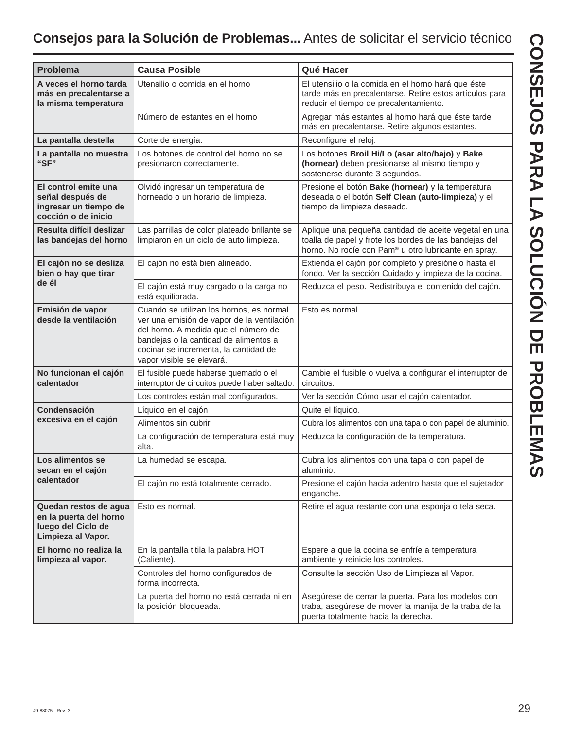### **Consejos para la Solución de Problemas...** Antes de solicitar el servicio técnico

| <b>Problema</b>                                                                             | <b>Causa Posible</b>                                                                                                                                                                                                                          | Qué Hacer                                                                                                                                                                           |
|---------------------------------------------------------------------------------------------|-----------------------------------------------------------------------------------------------------------------------------------------------------------------------------------------------------------------------------------------------|-------------------------------------------------------------------------------------------------------------------------------------------------------------------------------------|
| A veces el horno tarda<br>más en precalentarse a<br>la misma temperatura                    | Utensilio o comida en el horno                                                                                                                                                                                                                | El utensilio o la comida en el horno hará que éste<br>tarde más en precalentarse. Retire estos artículos para<br>reducir el tiempo de precalentamiento.                             |
|                                                                                             | Número de estantes en el horno                                                                                                                                                                                                                | Agregar más estantes al horno hará que éste tarde<br>más en precalentarse. Retire algunos estantes.                                                                                 |
| La pantalla destella                                                                        | Corte de energía.                                                                                                                                                                                                                             | Reconfigure el reloj.                                                                                                                                                               |
| La pantalla no muestra<br>"SF"                                                              | Los botones de control del horno no se<br>presionaron correctamente.                                                                                                                                                                          | Los botones Broil Hi/Lo (asar alto/bajo) y Bake<br>(hornear) deben presionarse al mismo tiempo y<br>sostenerse durante 3 segundos.                                                  |
| El control emite una<br>señal después de<br>ingresar un tiempo de<br>cocción o de inicio    | Olvidó ingresar un temperatura de<br>horneado o un horario de limpieza.                                                                                                                                                                       | Presione el botón Bake (hornear) y la temperatura<br>deseada o el botón Self Clean (auto-limpieza) y el<br>tiempo de limpieza deseado.                                              |
| Resulta difícil deslizar<br>las bandejas del horno                                          | Las parrillas de color plateado brillante se<br>limpiaron en un ciclo de auto limpieza.                                                                                                                                                       | Aplique una pequeña cantidad de aceite vegetal en una<br>toalla de papel y frote los bordes de las bandejas del<br>horno. No rocíe con Pam <sup>®</sup> u otro lubricante en spray. |
| El cajón no se desliza<br>bien o hay que tirar                                              | El cajón no está bien alineado.                                                                                                                                                                                                               | Extienda el cajón por completo y presiónelo hasta el<br>fondo. Ver la sección Cuidado y limpieza de la cocina.                                                                      |
| de él                                                                                       | El cajón está muy cargado o la carga no<br>está equilibrada.                                                                                                                                                                                  | Reduzca el peso. Redistribuya el contenido del cajón.                                                                                                                               |
| Emisión de vapor<br>desde la ventilación                                                    | Cuando se utilizan los hornos, es normal<br>ver una emisión de vapor de la ventilación<br>del horno. A medida que el número de<br>bandejas o la cantidad de alimentos a<br>cocinar se incrementa, la cantidad de<br>vapor visible se elevará. | Esto es normal.                                                                                                                                                                     |
| No funcionan el cajón<br>calentador                                                         | El fusible puede haberse quemado o el<br>interruptor de circuitos puede haber saltado.                                                                                                                                                        | Cambie el fusible o vuelva a configurar el interruptor de<br>circuitos.                                                                                                             |
|                                                                                             | Los controles están mal configurados.                                                                                                                                                                                                         | Ver la sección Cómo usar el cajón calentador.                                                                                                                                       |
| Condensación                                                                                | Líquido en el cajón                                                                                                                                                                                                                           | Quite el líquido.                                                                                                                                                                   |
| excesiva en el cajón                                                                        | Alimentos sin cubrir.                                                                                                                                                                                                                         | Cubra los alimentos con una tapa o con papel de aluminio.                                                                                                                           |
|                                                                                             | La configuración de temperatura está muy<br>alta.                                                                                                                                                                                             | Reduzca la configuración de la temperatura.                                                                                                                                         |
| Los alimentos se<br>secan en el caión                                                       | La humedad se escapa.                                                                                                                                                                                                                         | Cubra los alimentos con una tapa o con papel de<br>aluminio.                                                                                                                        |
| calentador                                                                                  | El cajón no está totalmente cerrado.                                                                                                                                                                                                          | Presione el cajón hacia adentro hasta que el sujetador<br>enganche.                                                                                                                 |
| Quedan restos de agua<br>en la puerta del horno<br>luego del Ciclo de<br>Limpieza al Vapor. | Esto es normal.                                                                                                                                                                                                                               | Retire el agua restante con una esponja o tela seca.                                                                                                                                |
| El horno no realiza la<br>limpieza al vapor.                                                | En la pantalla titila la palabra HOT<br>(Caliente).                                                                                                                                                                                           | Espere a que la cocina se enfríe a temperatura<br>ambiente y reinicie los controles.                                                                                                |
|                                                                                             | Controles del horno configurados de<br>forma incorrecta.                                                                                                                                                                                      | Consulte la sección Uso de Limpieza al Vapor.                                                                                                                                       |
|                                                                                             | La puerta del horno no está cerrada ni en<br>la posición bloqueada.                                                                                                                                                                           | Asegúrese de cerrar la puerta. Para los modelos con<br>traba, asegúrese de mover la manija de la traba de la<br>puerta totalmente hacia la derecha.                                 |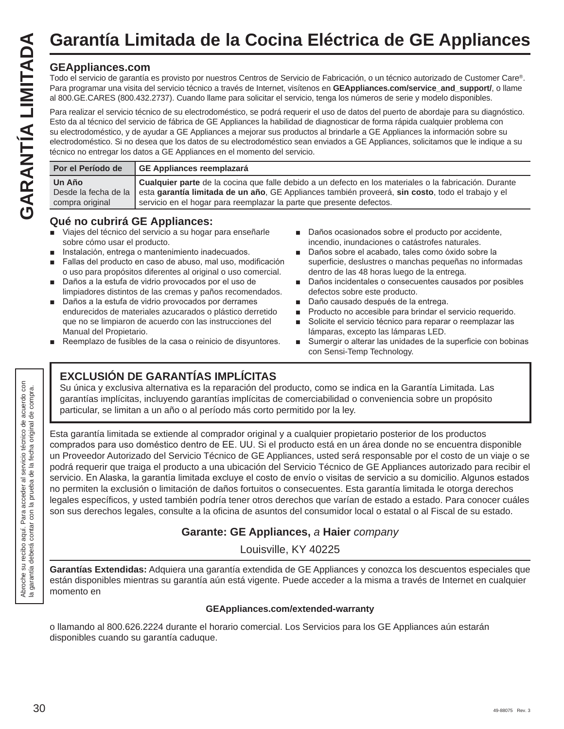# **Garantía Limitada de la Cocina Eléctrica de GE Appliances**

### **GEAppliances.com**

Todo el servicio de garantía es provisto por nuestros Centros de Servicio de Fabricación, o un técnico autorizado de Customer Care®. Para programar una visita del servicio técnico a través de Internet, visítenos en **GEAppliances.com/service\_and\_support/**, o llame al 800.GE.CARES (800.432.2737). Cuando llame para solicitar el servicio, tenga los números de serie y modelo disponibles.

Para realizar el servicio técnico de su electrodoméstico, se podrá requerir el uso de datos del puerto de abordaje para su diagnóstico. Esto da al técnico del servicio de fábrica de GE Appliances la habilidad de diagnosticar de forma rápida cualquier problema con su electrodoméstico, y de ayudar a GE Appliances a mejorar sus productos al brindarle a GE Appliances la información sobre su electrodoméstico. Si no desea que los datos de su electrodoméstico sean enviados a GE Appliances, solicitamos que le indique a su técnico no entregar los datos a GE Appliances en el momento del servicio.

| Por el Período de         | GE Appliances reemplazará                                                                                                                                                                                                                                                                                |
|---------------------------|----------------------------------------------------------------------------------------------------------------------------------------------------------------------------------------------------------------------------------------------------------------------------------------------------------|
| Un Año<br>compra original | Cualquier parte de la cocina que falle debido a un defecto en los materiales o la fabricación. Durante<br>Desde la fecha de la esta garantía limitada de un año. GE Appliances también proveerá, sin costo, todo el trabajo y el<br>servicio en el hogar para reemplazar la parte que presente defectos. |

### **Qué no cubrirá GE Appliances:**

- Viajes del técnico del servicio a su hogar para enseñarle sobre cómo usar el producto.
- Instalación, entrega o mantenimiento inadecuados.
- Fallas del producto en caso de abuso, mal uso, modificación o uso para propósitos diferentes al original o uso comercial.
- Daños a la estufa de vidrio provocados por el uso de limpiadores distintos de las cremas y paños recomendados.
- Daños a la estufa de vidrio provocados por derrames endurecidos de materiales azucarados o plástico derretido que no se limpiaron de acuerdo con las instrucciones del Manual del Propietario.
- $\blacksquare$  Reemplazo de fusibles de la casa o reinicio de disyuntores.
- Daños ocasionados sobre el producto por accidente, incendio, inundaciones o catástrofes naturales.
- Daños sobre el acabado, tales como óxido sobre la superficie, deslustres o manchas pequeñas no informadas dentro de las 48 horas luego de la entrega.
- Daños incidentales o consecuentes causados por posibles defectos sobre este producto.
- Daño causado después de la entrega.
- **Producto no accesible para brindar el servicio requerido.**
- Solicite el servicio técnico para reparar o reemplazar las lámparas, excepto las lámparas LED.
- Sumergir o alterar las unidades de la superficie con bobinas con Sensi-Temp Technology.

### **EXCLUSIÓN DE GARANTÍAS IMPLÍCITAS**

Su única y exclusiva alternativa es la reparación del producto, como se indica en la Garantía Limitada. Las garantías implícitas, incluyendo garantías implícitas de comerciabilidad o conveniencia sobre un propósito particular, se limitan a un año o al período más corto permitido por la ley.

Esta garantía limitada se extiende al comprador original y a cualquier propietario posterior de los productos comprados para uso doméstico dentro de EE. UU. Si el producto está en un área donde no se encuentra disponible un Proveedor Autorizado del Servicio Técnico de GE Appliances, usted será responsable por el costo de un viaje o se podrá requerir que traiga el producto a una ubicación del Servicio Técnico de GE Appliances autorizado para recibir el servicio. En Alaska, la garantía limitada excluye el costo de envío o visitas de servicio a su domicilio. Algunos estados no permiten la exclusión o limitación de daños fortuitos o consecuentes. Esta garantía limitada le otorga derechos legales específicos, y usted también podría tener otros derechos que varían de estado a estado. Para conocer cuáles son sus derechos legales, consulte a la oficina de asuntos del consumidor local o estatal o al Fiscal de su estado.

### **Garante: GE Appliances,** *a* **Haier** *company*

Louisville, KY 40225

**Garantías Extendidas:** Adquiera una garantía extendida de GE Appliances y conozca los descuentos especiales que están disponibles mientras su garantía aún está vigente. Puede acceder a la misma a través de Internet en cualquier momento en

### **GEAppliances.com/extended-warranty**

o llamando al 800.626.2224 durante el horario comercial. Los Servicios para los GE Appliances aún estarán disponibles cuando su garantía caduque.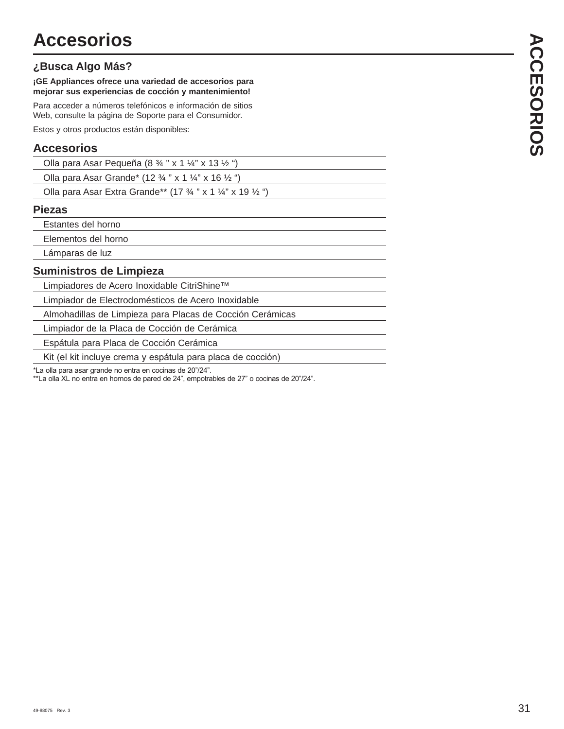### **¿Busca Algo Más?**

**¡GE Appliances ofrece una variedad de accesorios para mejorar sus experiencias de cocción y mantenimiento!**

Para acceder a números telefónicos e información de sitios Web, consulte la página de Soporte para el Consumidor.

Estos y otros productos están disponibles:

### **Accesorios**

| Olla para Asar Pequeña (8 $\frac{3}{4}$ " x 1 $\frac{1}{4}$ " x 13 $\frac{1}{2}$ ") |  |
|-------------------------------------------------------------------------------------|--|
|                                                                                     |  |

| Olla para Asar Grande* (12 $\frac{3}{4}$ " x 1 $\frac{1}{4}$ " x 16 $\frac{1}{2}$ ") |
|--------------------------------------------------------------------------------------|
|                                                                                      |

| Olla para Asar Extra Grande** (17 3/4 " x 1 1/4" x 19 1/2 ") |  |  |  |  |  |  |  |  |  |  |
|--------------------------------------------------------------|--|--|--|--|--|--|--|--|--|--|
|--------------------------------------------------------------|--|--|--|--|--|--|--|--|--|--|

### **Piezas**

Estantes del horno

Elementos del horno

Lámparas de luz

### **Suministros de Limpieza**

Limpiadores de Acero Inoxidable CitriShine™

Limpiador de Electrodomésticos de Acero Inoxidable

Almohadillas de Limpieza para Placas de Cocción Cerámicas

Limpiador de la Placa de Cocción de Cerámica

Espátula para Placa de Cocción Cerámica

Kit (el kit incluye crema y espátula para placa de cocción)

\*La olla para asar grande no entra en cocinas de 20"/24".

\*\*La olla XL no entra en hornos de pared de 24", empotrables de 27" o cocinas de 20"/24".